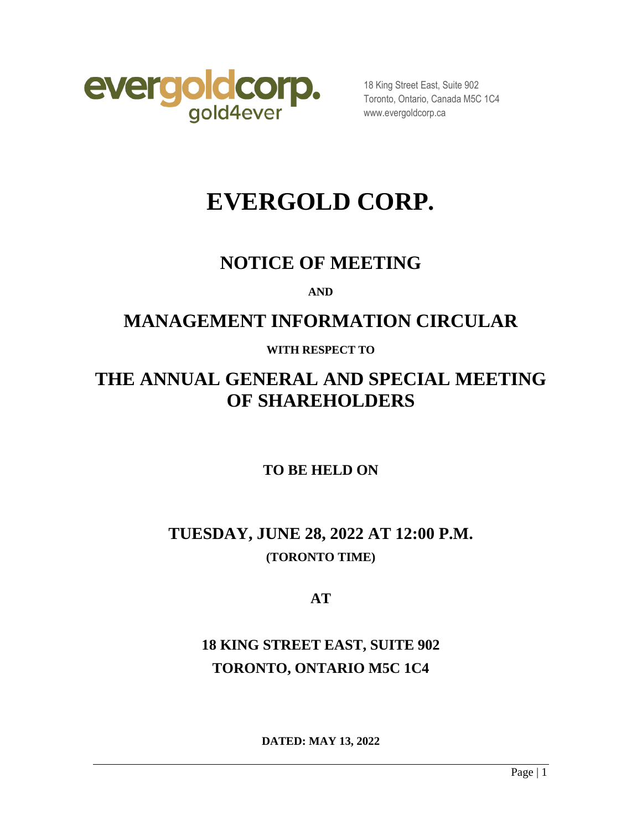

18 King Street East, Suite 902 Toronto, Ontario, Canada M5C 1C4 www.evergoldcorp.ca

# **EVERGOLD CORP.**

## **NOTICE OF MEETING**

**AND**

## **MANAGEMENT INFORMATION CIRCULAR**

## **WITH RESPECT TO**

## **THE ANNUAL GENERAL AND SPECIAL MEETING OF SHAREHOLDERS**

## **TO BE HELD ON**

## **TUESDAY, JUNE 28, 2022 AT 12:00 P.M. (TORONTO TIME)**

**AT** 

## **18 KING STREET EAST, SUITE 902 TORONTO, ONTARIO M5C 1C4**

**DATED: MAY 13, 2022**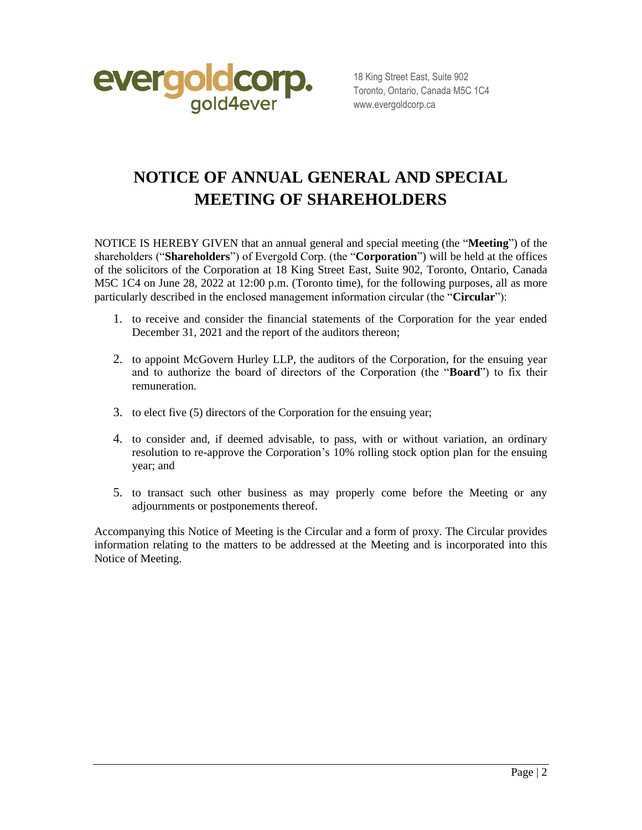

18 King Street East, Suite 902 Toronto, Ontario, Canada M5C 1C4 www.evergoldcorp.ca

## **NOTICE OF ANNUAL GENERAL AND SPECIAL MEETING OF SHAREHOLDERS**

NOTICE IS HEREBY GIVEN that an annual general and special meeting (the "**Meeting**") of the shareholders ("**Shareholders**") of Evergold Corp. (the "**Corporation**") will be held at the offices of the solicitors of the Corporation at 18 King Street East, Suite 902, Toronto, Ontario, Canada M5C 1C4 on June 28, 2022 at 12:00 p.m. (Toronto time), for the following purposes, all as more particularly described in the enclosed management information circular (the "**Circular**"):

- 1. to receive and consider the financial statements of the Corporation for the year ended December 31, 2021 and the report of the auditors thereon;
- 2. to appoint McGovern Hurley LLP, the auditors of the Corporation, for the ensuing year and to authorize the board of directors of the Corporation (the "**Board**") to fix their remuneration.
- 3. to elect five (5) directors of the Corporation for the ensuing year;
- 4. to consider and, if deemed advisable, to pass, with or without variation, an ordinary resolution to re-approve the Corporation's 10% rolling stock option plan for the ensuing year; and
- 5. to transact such other business as may properly come before the Meeting or any adjournments or postponements thereof.

Accompanying this Notice of Meeting is the Circular and a form of proxy. The Circular provides information relating to the matters to be addressed at the Meeting and is incorporated into this Notice of Meeting.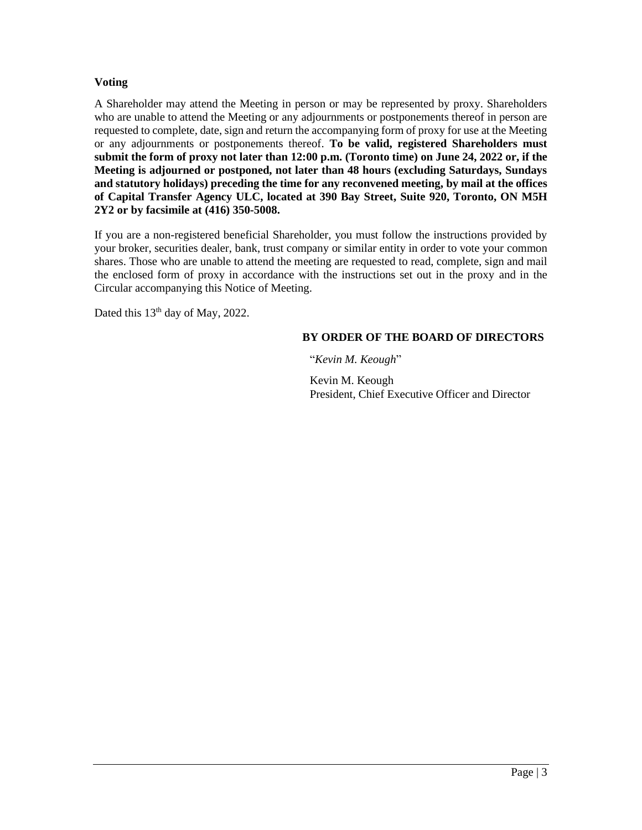#### **Voting**

A Shareholder may attend the Meeting in person or may be represented by proxy. Shareholders who are unable to attend the Meeting or any adjournments or postponements thereof in person are requested to complete, date, sign and return the accompanying form of proxy for use at the Meeting or any adjournments or postponements thereof. **To be valid, registered Shareholders must submit the form of proxy not later than 12:00 p.m. (Toronto time) on June 24, 2022 or, if the Meeting is adjourned or postponed, not later than 48 hours (excluding Saturdays, Sundays and statutory holidays) preceding the time for any reconvened meeting, by mail at the offices of Capital Transfer Agency ULC, located at 390 Bay Street, Suite 920, Toronto, ON M5H 2Y2 or by facsimile at (416) 350-5008.**

If you are a non-registered beneficial Shareholder, you must follow the instructions provided by your broker, securities dealer, bank, trust company or similar entity in order to vote your common shares. Those who are unable to attend the meeting are requested to read, complete, sign and mail the enclosed form of proxy in accordance with the instructions set out in the proxy and in the Circular accompanying this Notice of Meeting.

Dated this  $13<sup>th</sup>$  day of May, 2022.

#### **BY ORDER OF THE BOARD OF DIRECTORS**

"*Kevin M. Keough*"

Kevin M. Keough President, Chief Executive Officer and Director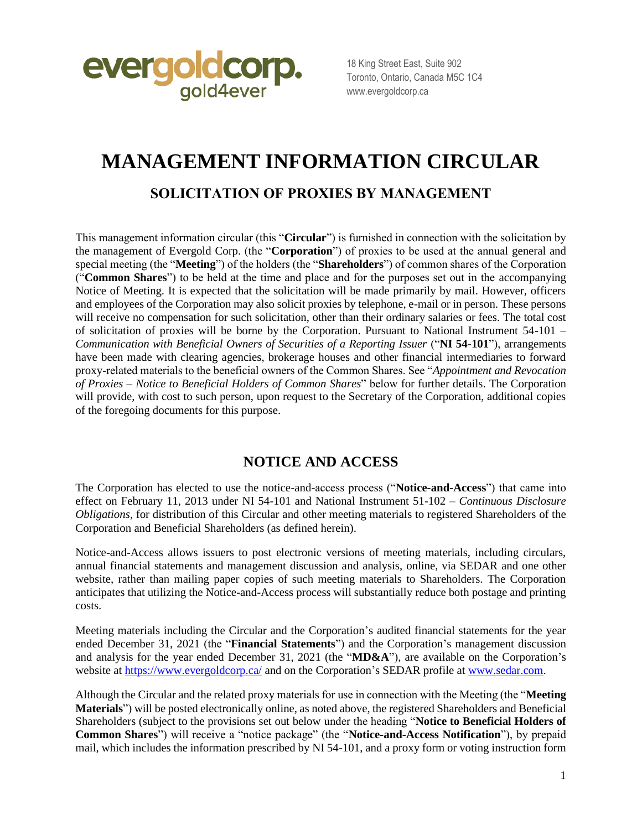

18 King Street East, Suite 902 Toronto, Ontario, Canada M5C 1C4 www.evergoldcorp.ca

## **MANAGEMENT INFORMATION CIRCULAR**

### **SOLICITATION OF PROXIES BY MANAGEMENT**

This management information circular (this "**Circular**") is furnished in connection with the solicitation by the management of Evergold Corp. (the "**Corporation**") of proxies to be used at the annual general and special meeting (the "**Meeting**") of the holders (the "**Shareholders**") of common shares of the Corporation ("**Common Shares**") to be held at the time and place and for the purposes set out in the accompanying Notice of Meeting. It is expected that the solicitation will be made primarily by mail. However, officers and employees of the Corporation may also solicit proxies by telephone, e-mail or in person. These persons will receive no compensation for such solicitation, other than their ordinary salaries or fees. The total cost of solicitation of proxies will be borne by the Corporation. Pursuant to National Instrument 54-101 – *Communication with Beneficial Owners of Securities of a Reporting Issuer* ("**NI 54-101**"), arrangements have been made with clearing agencies, brokerage houses and other financial intermediaries to forward proxy-related materials to the beneficial owners of the Common Shares. See "*Appointment and Revocation of Proxies – Notice to Beneficial Holders of Common Shares*" below for further details. The Corporation will provide, with cost to such person, upon request to the Secretary of the Corporation, additional copies of the foregoing documents for this purpose.

### **NOTICE AND ACCESS**

The Corporation has elected to use the notice-and-access process ("**Notice-and-Access**") that came into effect on February 11, 2013 under NI 54-101 and National Instrument 51-102 – *Continuous Disclosure Obligations*, for distribution of this Circular and other meeting materials to registered Shareholders of the Corporation and Beneficial Shareholders (as defined herein).

Notice-and-Access allows issuers to post electronic versions of meeting materials, including circulars, annual financial statements and management discussion and analysis, online, via SEDAR and one other website, rather than mailing paper copies of such meeting materials to Shareholders. The Corporation anticipates that utilizing the Notice-and-Access process will substantially reduce both postage and printing costs.

Meeting materials including the Circular and the Corporation's audited financial statements for the year ended December 31, 2021 (the "**Financial Statements**") and the Corporation's management discussion and analysis for the year ended December 31, 2021 (the "**MD&A**"), are available on the Corporation's website at<https://www.evergoldcorp.ca/> and on the Corporation's SEDAR profile at [www.sedar.com.](http://www.sedar.com/)

Although the Circular and the related proxy materials for use in connection with the Meeting (the "**Meeting Materials**") will be posted electronically online, as noted above, the registered Shareholders and Beneficial Shareholders (subject to the provisions set out below under the heading "**Notice to Beneficial Holders of Common Shares**") will receive a "notice package" (the "**Notice-and-Access Notification**"), by prepaid mail, which includes the information prescribed by NI 54-101, and a proxy form or voting instruction form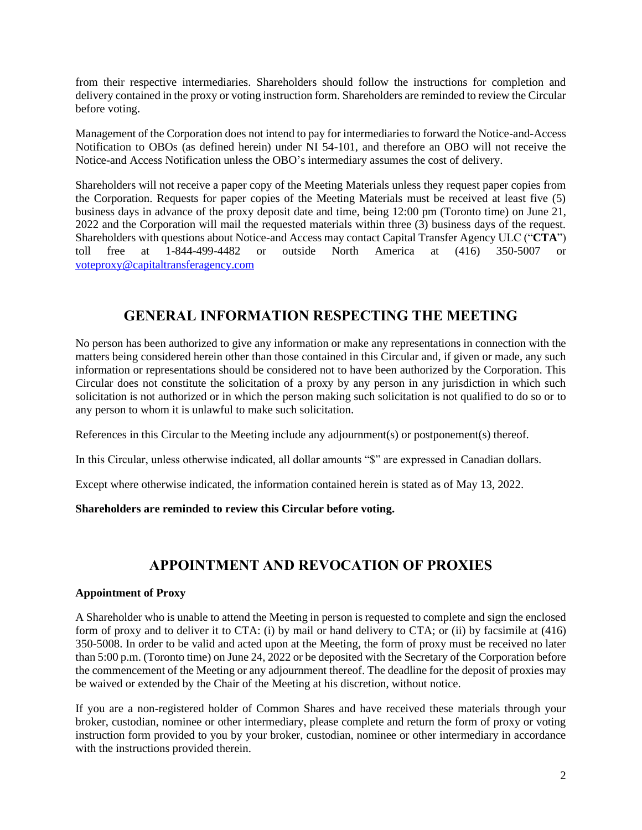from their respective intermediaries. Shareholders should follow the instructions for completion and delivery contained in the proxy or voting instruction form. Shareholders are reminded to review the Circular before voting.

Management of the Corporation does not intend to pay for intermediaries to forward the Notice-and-Access Notification to OBOs (as defined herein) under NI 54-101, and therefore an OBO will not receive the Notice-and Access Notification unless the OBO's intermediary assumes the cost of delivery.

Shareholders will not receive a paper copy of the Meeting Materials unless they request paper copies from the Corporation. Requests for paper copies of the Meeting Materials must be received at least five (5) business days in advance of the proxy deposit date and time, being 12:00 pm (Toronto time) on June 21, 2022 and the Corporation will mail the requested materials within three (3) business days of the request. Shareholders with questions about Notice-and Access may contact Capital Transfer Agency ULC ("**CTA**") toll free at 1-844-499-4482 or outside North America at (416) 350-5007 or [voteproxy@capitaltransferagency.com](mailto:voteproxy@capitaltransferagency.com)

## **GENERAL INFORMATION RESPECTING THE MEETING**

No person has been authorized to give any information or make any representations in connection with the matters being considered herein other than those contained in this Circular and, if given or made, any such information or representations should be considered not to have been authorized by the Corporation. This Circular does not constitute the solicitation of a proxy by any person in any jurisdiction in which such solicitation is not authorized or in which the person making such solicitation is not qualified to do so or to any person to whom it is unlawful to make such solicitation.

References in this Circular to the Meeting include any adjournment(s) or postponement(s) thereof.

In this Circular, unless otherwise indicated, all dollar amounts "\$" are expressed in Canadian dollars.

Except where otherwise indicated, the information contained herein is stated as of May 13, 2022.

#### **Shareholders are reminded to review this Circular before voting.**

## **APPOINTMENT AND REVOCATION OF PROXIES**

#### **Appointment of Proxy**

A Shareholder who is unable to attend the Meeting in person is requested to complete and sign the enclosed form of proxy and to deliver it to CTA: (i) by mail or hand delivery to CTA; or (ii) by facsimile at (416) 350-5008. In order to be valid and acted upon at the Meeting, the form of proxy must be received no later than 5:00 p.m. (Toronto time) on June 24, 2022 or be deposited with the Secretary of the Corporation before the commencement of the Meeting or any adjournment thereof. The deadline for the deposit of proxies may be waived or extended by the Chair of the Meeting at his discretion, without notice.

If you are a non-registered holder of Common Shares and have received these materials through your broker, custodian, nominee or other intermediary, please complete and return the form of proxy or voting instruction form provided to you by your broker, custodian, nominee or other intermediary in accordance with the instructions provided therein.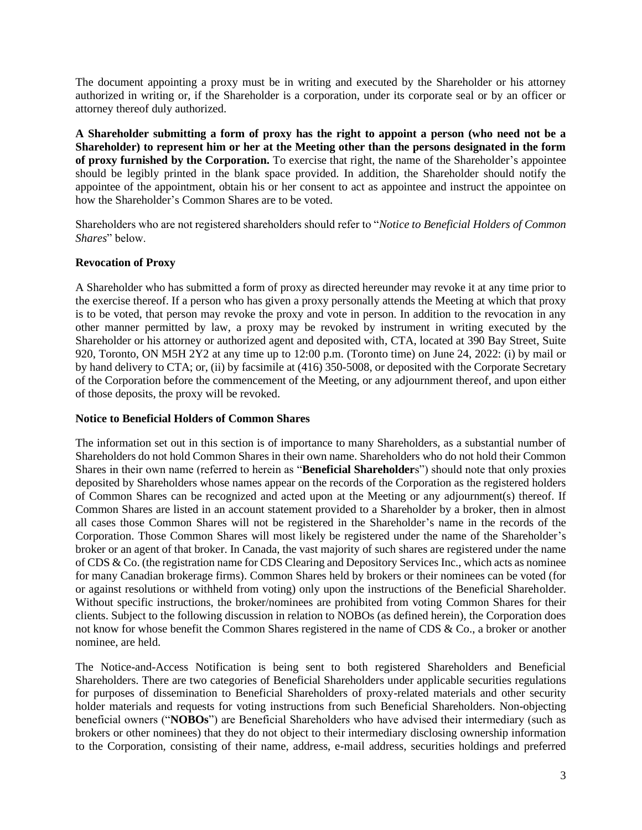The document appointing a proxy must be in writing and executed by the Shareholder or his attorney authorized in writing or, if the Shareholder is a corporation, under its corporate seal or by an officer or attorney thereof duly authorized.

**A Shareholder submitting a form of proxy has the right to appoint a person (who need not be a Shareholder) to represent him or her at the Meeting other than the persons designated in the form of proxy furnished by the Corporation.** To exercise that right, the name of the Shareholder's appointee should be legibly printed in the blank space provided. In addition, the Shareholder should notify the appointee of the appointment, obtain his or her consent to act as appointee and instruct the appointee on how the Shareholder's Common Shares are to be voted.

Shareholders who are not registered shareholders should refer to "*Notice to Beneficial Holders of Common Shares*" below.

#### **Revocation of Proxy**

A Shareholder who has submitted a form of proxy as directed hereunder may revoke it at any time prior to the exercise thereof. If a person who has given a proxy personally attends the Meeting at which that proxy is to be voted, that person may revoke the proxy and vote in person. In addition to the revocation in any other manner permitted by law, a proxy may be revoked by instrument in writing executed by the Shareholder or his attorney or authorized agent and deposited with, CTA, located at 390 Bay Street, Suite 920, Toronto, ON M5H 2Y2 at any time up to 12:00 p.m. (Toronto time) on June 24, 2022: (i) by mail or by hand delivery to CTA; or, (ii) by facsimile at (416) 350-5008, or deposited with the Corporate Secretary of the Corporation before the commencement of the Meeting, or any adjournment thereof, and upon either of those deposits, the proxy will be revoked.

#### **Notice to Beneficial Holders of Common Shares**

The information set out in this section is of importance to many Shareholders, as a substantial number of Shareholders do not hold Common Shares in their own name. Shareholders who do not hold their Common Shares in their own name (referred to herein as "**Beneficial Shareholder**s") should note that only proxies deposited by Shareholders whose names appear on the records of the Corporation as the registered holders of Common Shares can be recognized and acted upon at the Meeting or any adjournment(s) thereof. If Common Shares are listed in an account statement provided to a Shareholder by a broker, then in almost all cases those Common Shares will not be registered in the Shareholder's name in the records of the Corporation. Those Common Shares will most likely be registered under the name of the Shareholder's broker or an agent of that broker. In Canada, the vast majority of such shares are registered under the name of CDS & Co. (the registration name for CDS Clearing and Depository Services Inc., which acts as nominee for many Canadian brokerage firms). Common Shares held by brokers or their nominees can be voted (for or against resolutions or withheld from voting) only upon the instructions of the Beneficial Shareholder. Without specific instructions, the broker/nominees are prohibited from voting Common Shares for their clients. Subject to the following discussion in relation to NOBOs (as defined herein), the Corporation does not know for whose benefit the Common Shares registered in the name of CDS & Co., a broker or another nominee, are held.

The Notice-and-Access Notification is being sent to both registered Shareholders and Beneficial Shareholders. There are two categories of Beneficial Shareholders under applicable securities regulations for purposes of dissemination to Beneficial Shareholders of proxy-related materials and other security holder materials and requests for voting instructions from such Beneficial Shareholders. Non-objecting beneficial owners ("**NOBOs**") are Beneficial Shareholders who have advised their intermediary (such as brokers or other nominees) that they do not object to their intermediary disclosing ownership information to the Corporation, consisting of their name, address, e-mail address, securities holdings and preferred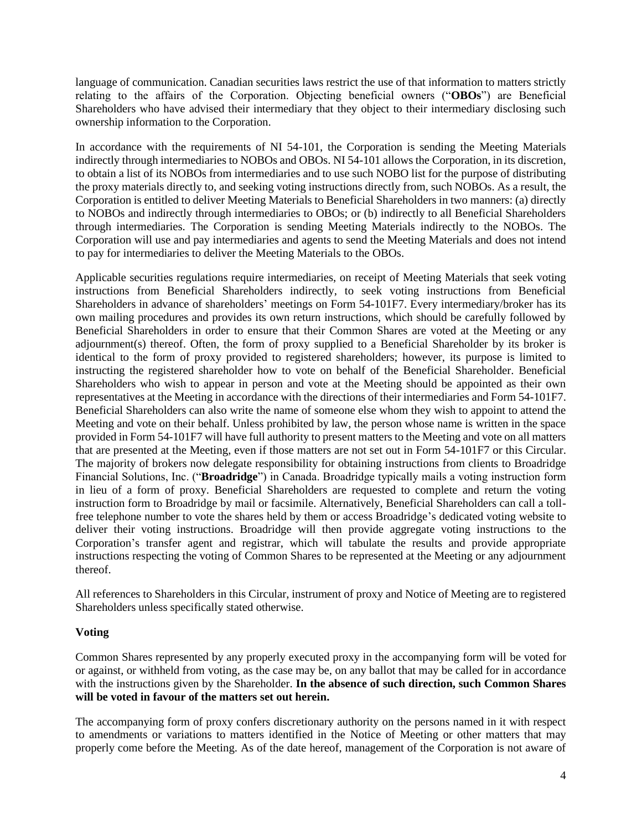language of communication. Canadian securities laws restrict the use of that information to matters strictly relating to the affairs of the Corporation. Objecting beneficial owners ("**OBOs**") are Beneficial Shareholders who have advised their intermediary that they object to their intermediary disclosing such ownership information to the Corporation.

In accordance with the requirements of NI 54-101, the Corporation is sending the Meeting Materials indirectly through intermediaries to NOBOs and OBOs. NI 54-101 allows the Corporation, in its discretion, to obtain a list of its NOBOs from intermediaries and to use such NOBO list for the purpose of distributing the proxy materials directly to, and seeking voting instructions directly from, such NOBOs. As a result, the Corporation is entitled to deliver Meeting Materials to Beneficial Shareholders in two manners: (a) directly to NOBOs and indirectly through intermediaries to OBOs; or (b) indirectly to all Beneficial Shareholders through intermediaries. The Corporation is sending Meeting Materials indirectly to the NOBOs. The Corporation will use and pay intermediaries and agents to send the Meeting Materials and does not intend to pay for intermediaries to deliver the Meeting Materials to the OBOs.

Applicable securities regulations require intermediaries, on receipt of Meeting Materials that seek voting instructions from Beneficial Shareholders indirectly, to seek voting instructions from Beneficial Shareholders in advance of shareholders' meetings on Form 54-101F7. Every intermediary/broker has its own mailing procedures and provides its own return instructions, which should be carefully followed by Beneficial Shareholders in order to ensure that their Common Shares are voted at the Meeting or any adjournment(s) thereof. Often, the form of proxy supplied to a Beneficial Shareholder by its broker is identical to the form of proxy provided to registered shareholders; however, its purpose is limited to instructing the registered shareholder how to vote on behalf of the Beneficial Shareholder. Beneficial Shareholders who wish to appear in person and vote at the Meeting should be appointed as their own representatives at the Meeting in accordance with the directions of their intermediaries and Form 54-101F7. Beneficial Shareholders can also write the name of someone else whom they wish to appoint to attend the Meeting and vote on their behalf. Unless prohibited by law, the person whose name is written in the space provided in Form 54-101F7 will have full authority to present matters to the Meeting and vote on all matters that are presented at the Meeting, even if those matters are not set out in Form 54-101F7 or this Circular. The majority of brokers now delegate responsibility for obtaining instructions from clients to Broadridge Financial Solutions, Inc. ("**Broadridge**") in Canada. Broadridge typically mails a voting instruction form in lieu of a form of proxy. Beneficial Shareholders are requested to complete and return the voting instruction form to Broadridge by mail or facsimile. Alternatively, Beneficial Shareholders can call a tollfree telephone number to vote the shares held by them or access Broadridge's dedicated voting website to deliver their voting instructions. Broadridge will then provide aggregate voting instructions to the Corporation's transfer agent and registrar, which will tabulate the results and provide appropriate instructions respecting the voting of Common Shares to be represented at the Meeting or any adjournment thereof.

All references to Shareholders in this Circular, instrument of proxy and Notice of Meeting are to registered Shareholders unless specifically stated otherwise.

#### **Voting**

Common Shares represented by any properly executed proxy in the accompanying form will be voted for or against, or withheld from voting, as the case may be, on any ballot that may be called for in accordance with the instructions given by the Shareholder. **In the absence of such direction, such Common Shares will be voted in favour of the matters set out herein.**

The accompanying form of proxy confers discretionary authority on the persons named in it with respect to amendments or variations to matters identified in the Notice of Meeting or other matters that may properly come before the Meeting. As of the date hereof, management of the Corporation is not aware of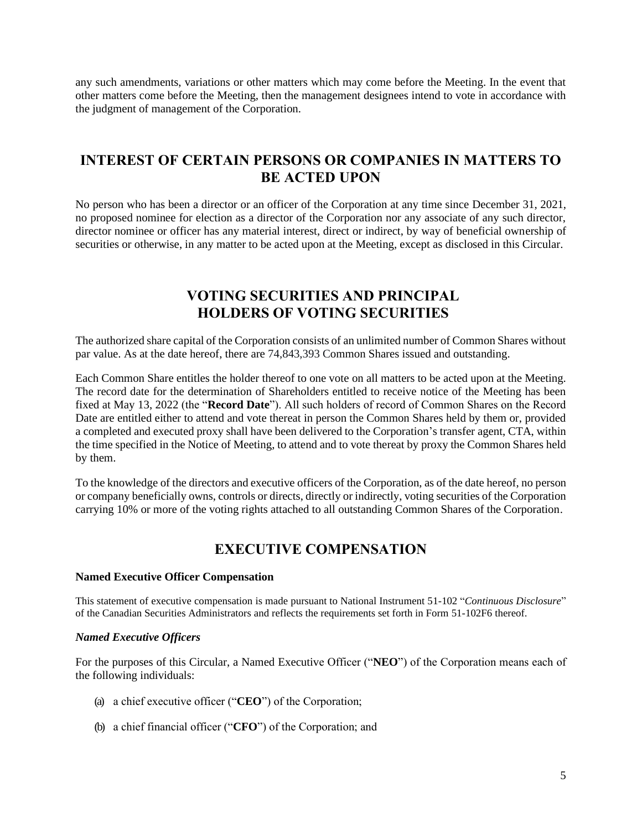any such amendments, variations or other matters which may come before the Meeting. In the event that other matters come before the Meeting, then the management designees intend to vote in accordance with the judgment of management of the Corporation.

## **INTEREST OF CERTAIN PERSONS OR COMPANIES IN MATTERS TO BE ACTED UPON**

No person who has been a director or an officer of the Corporation at any time since December 31, 2021, no proposed nominee for election as a director of the Corporation nor any associate of any such director, director nominee or officer has any material interest, direct or indirect, by way of beneficial ownership of securities or otherwise, in any matter to be acted upon at the Meeting, except as disclosed in this Circular.

## **VOTING SECURITIES AND PRINCIPAL HOLDERS OF VOTING SECURITIES**

The authorized share capital of the Corporation consists of an unlimited number of Common Shares without par value. As at the date hereof, there are 74,843,393 Common Shares issued and outstanding.

Each Common Share entitles the holder thereof to one vote on all matters to be acted upon at the Meeting. The record date for the determination of Shareholders entitled to receive notice of the Meeting has been fixed at May 13, 2022 (the "**Record Date**"). All such holders of record of Common Shares on the Record Date are entitled either to attend and vote thereat in person the Common Shares held by them or, provided a completed and executed proxy shall have been delivered to the Corporation's transfer agent, CTA, within the time specified in the Notice of Meeting, to attend and to vote thereat by proxy the Common Shares held by them.

To the knowledge of the directors and executive officers of the Corporation, as of the date hereof, no person or company beneficially owns, controls or directs, directly or indirectly, voting securities of the Corporation carrying 10% or more of the voting rights attached to all outstanding Common Shares of the Corporation.

## **EXECUTIVE COMPENSATION**

#### **Named Executive Officer Compensation**

This statement of executive compensation is made pursuant to National Instrument 51-102 "*Continuous Disclosure*" of the Canadian Securities Administrators and reflects the requirements set forth in Form 51-102F6 thereof.

#### *Named Executive Officers*

For the purposes of this Circular, a Named Executive Officer ("**NEO**") of the Corporation means each of the following individuals:

- (a) a chief executive officer ("**CEO**") of the Corporation;
- (b) a chief financial officer ("**CFO**") of the Corporation; and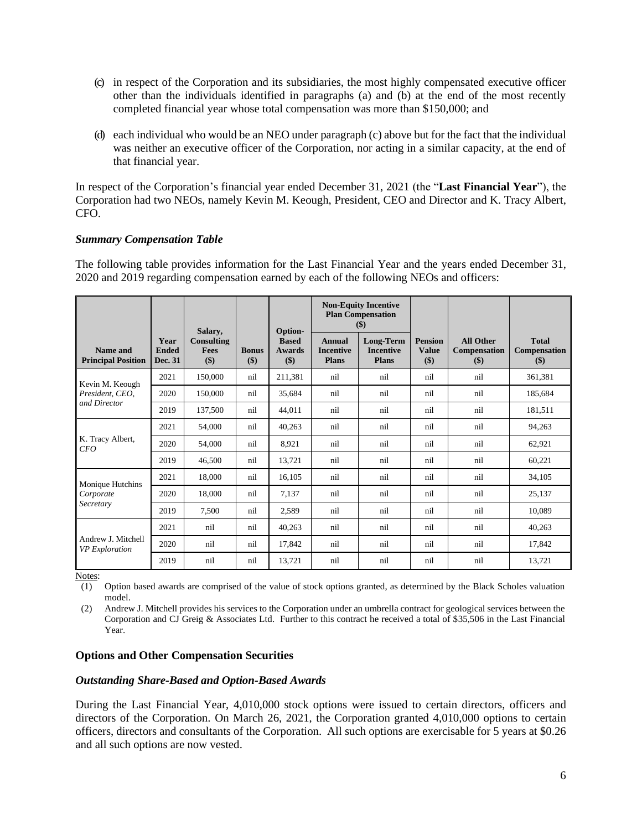- (c) in respect of the Corporation and its subsidiaries, the most highly compensated executive officer other than the individuals identified in paragraphs (a) and (b) at the end of the most recently completed financial year whose total compensation was more than \$150,000; and
- (d) each individual who would be an NEO under paragraph (c) above but for the fact that the individual was neither an executive officer of the Corporation, nor acting in a similar capacity, at the end of that financial year.

In respect of the Corporation's financial year ended December 31, 2021 (the "**Last Financial Year**"), the Corporation had two NEOs, namely Kevin M. Keough, President, CEO and Director and K. Tracy Albert, CFO.

#### *Summary Compensation Table*

The following table provides information for the Last Financial Year and the years ended December 31, 2020 and 2019 regarding compensation earned by each of the following NEOs and officers:

|                                             |                                        | Salary,                          |                     | Option-                              |                                            | <b>Non-Equity Incentive</b><br><b>Plan Compensation</b><br>\$) |                                       |                                                |                                            |
|---------------------------------------------|----------------------------------------|----------------------------------|---------------------|--------------------------------------|--------------------------------------------|----------------------------------------------------------------|---------------------------------------|------------------------------------------------|--------------------------------------------|
| Name and<br><b>Principal Position</b>       | Year<br><b>Ended</b><br><b>Dec. 31</b> | Consulting<br><b>Fees</b><br>\$) | <b>Bonus</b><br>\$) | <b>Based</b><br><b>Awards</b><br>\$) | Annual<br><b>Incentive</b><br><b>Plans</b> | Long-Term<br><b>Incentive</b><br><b>Plans</b>                  | <b>Pension</b><br><b>Value</b><br>\$) | <b>All Other</b><br><b>Compensation</b><br>\$) | <b>Total</b><br><b>Compensation</b><br>\$) |
| Kevin M. Keough                             | 2021                                   | 150,000                          | nil                 | 211,381                              | nil                                        | nil                                                            | nil                                   | nil                                            | 361,381                                    |
| President, CEO,                             | 2020                                   | 150,000                          | nil                 | 35,684                               | nil                                        | nil                                                            | nil                                   | nil                                            | 185.684                                    |
| and Director                                | 2019                                   | 137,500                          | nil                 | 44,011                               | nil                                        | nil                                                            | nil                                   | nil                                            | 181,511                                    |
|                                             | 2021                                   | 54,000                           | nil                 | 40,263                               | nil                                        | nil                                                            | nil                                   | nil                                            | 94,263                                     |
| K. Tracy Albert,<br>CFO                     | 2020                                   | 54,000                           | nil                 | 8,921                                | nil                                        | nil                                                            | nil                                   | nil                                            | 62,921                                     |
|                                             | 2019                                   | 46,500                           | nil                 | 13,721                               | nil                                        | nil                                                            | nil                                   | nil                                            | 60,221                                     |
| Monique Hutchins                            | 2021                                   | 18,000                           | nil                 | 16,105                               | nil                                        | nil                                                            | nil                                   | nil                                            | 34,105                                     |
| Corporate                                   | 2020                                   | 18,000                           | nil                 | 7,137                                | nil                                        | nil                                                            | nil                                   | nil                                            | 25,137                                     |
| Secretary                                   | 2019                                   | 7,500                            | nil                 | 2,589                                | nil                                        | nil                                                            | nil                                   | nil                                            | 10,089                                     |
|                                             | 2021                                   | nil                              | nil                 | 40,263                               | nil                                        | nil                                                            | nil                                   | nil                                            | 40,263                                     |
| Andrew J. Mitchell<br><b>VP</b> Exploration | 2020                                   | nil                              | nil                 | 17,842                               | nil                                        | nil                                                            | nil                                   | nil                                            | 17,842                                     |
|                                             | 2019                                   | nil                              | nil                 | 13,721                               | nil                                        | nil                                                            | nil                                   | nil                                            | 13,721                                     |

Notes:

(1) Option based awards are comprised of the value of stock options granted, as determined by the Black Scholes valuation model.

(2) Andrew J. Mitchell provides his services to the Corporation under an umbrella contract for geological services between the Corporation and CJ Greig & Associates Ltd. Further to this contract he received a total of \$35,506 in the Last Financial Year.

#### **Options and Other Compensation Securities**

#### *Outstanding Share-Based and Option-Based Awards*

During the Last Financial Year, 4,010,000 stock options were issued to certain directors, officers and directors of the Corporation. On March 26, 2021, the Corporation granted 4,010,000 options to certain officers, directors and consultants of the Corporation. All such options are exercisable for 5 years at \$0.26 and all such options are now vested.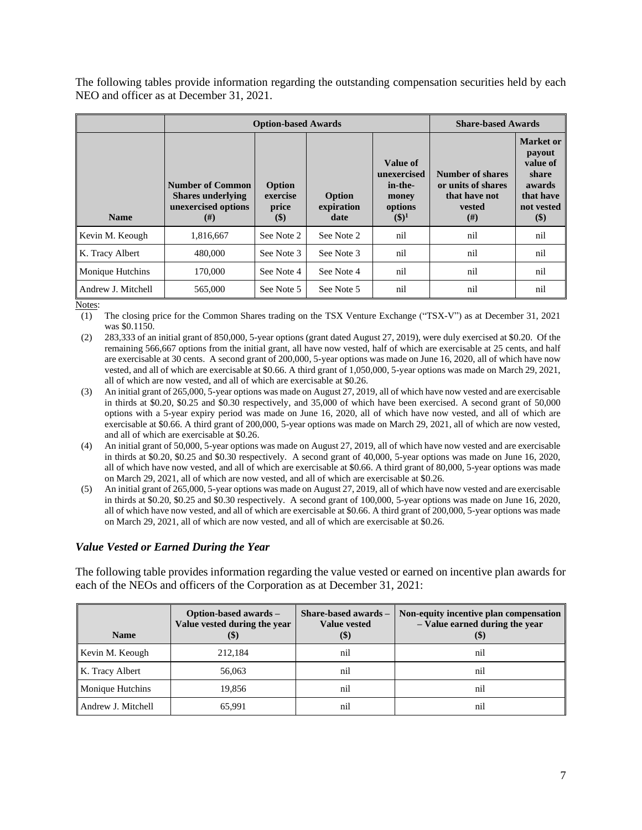The following tables provide information regarding the outstanding compensation securities held by each NEO and officer as at December 31, 2021.

|                    |                                                                                        | <b>Option-based Awards</b>            | <b>Share-based Awards</b>    |                                                                    |                                                                                |                                                                                                |
|--------------------|----------------------------------------------------------------------------------------|---------------------------------------|------------------------------|--------------------------------------------------------------------|--------------------------------------------------------------------------------|------------------------------------------------------------------------------------------------|
| <b>Name</b>        | <b>Number of Common</b><br><b>Shares underlying</b><br>unexercised options<br>$^{(#)}$ | Option<br>exercise<br>price<br>$(\$)$ | Option<br>expiration<br>date | Value of<br>unexercised<br>in-the-<br>money<br>options<br>$(\$)^1$ | Number of shares<br>or units of shares<br>that have not<br><b>vested</b><br>#) | <b>Market</b> or<br>payout<br>value of<br>share<br>awards<br>that have<br>not vested<br>$(\$)$ |
| Kevin M. Keough    | 1,816,667                                                                              | See Note 2                            | See Note 2                   | nil                                                                | nil                                                                            | nil                                                                                            |
| K. Tracy Albert    | 480,000                                                                                | See Note 3                            | See Note 3                   | nil                                                                | nil                                                                            | nil                                                                                            |
| Monique Hutchins   | 170,000                                                                                | See Note 4                            | See Note 4                   | nil                                                                | nil                                                                            | nil                                                                                            |
| Andrew J. Mitchell | 565,000                                                                                | See Note 5                            | See Note 5                   | nil                                                                | nil                                                                            | nil                                                                                            |

Notes:

(1) The closing price for the Common Shares trading on the TSX Venture Exchange ("TSX-V") as at December 31, 2021 was \$0.1150.

- (2) 283,333 of an initial grant of 850,000, 5-year options (grant dated August 27, 2019), were duly exercised at \$0.20. Of the remaining 566,667 options from the initial grant, all have now vested, half of which are exercisable at 25 cents, and half are exercisable at 30 cents. A second grant of 200,000, 5-year options was made on June 16, 2020, all of which have now vested, and all of which are exercisable at \$0.66. A third grant of 1,050,000, 5-year options was made on March 29, 2021, all of which are now vested, and all of which are exercisable at \$0.26.
- (3) An initial grant of 265,000, 5-year options was made on August 27, 2019, all of which have now vested and are exercisable in thirds at \$0.20, \$0.25 and \$0.30 respectively, and 35,000 of which have been exercised. A second grant of 50,000 options with a 5-year expiry period was made on June 16, 2020, all of which have now vested, and all of which are exercisable at \$0.66. A third grant of 200,000, 5-year options was made on March 29, 2021, all of which are now vested, and all of which are exercisable at \$0.26.
- (4) An initial grant of 50,000, 5-year options was made on August 27, 2019, all of which have now vested and are exercisable in thirds at \$0.20, \$0.25 and \$0.30 respectively. A second grant of 40,000, 5-year options was made on June 16, 2020, all of which have now vested, and all of which are exercisable at \$0.66. A third grant of 80,000, 5-year options was made on March 29, 2021, all of which are now vested, and all of which are exercisable at \$0.26.
- (5) An initial grant of 265,000, 5-year options was made on August 27, 2019, all of which have now vested and are exercisable in thirds at \$0.20, \$0.25 and \$0.30 respectively. A second grant of 100,000, 5-year options was made on June 16, 2020, all of which have now vested, and all of which are exercisable at \$0.66. A third grant of 200,000, 5-year options was made on March 29, 2021, all of which are now vested, and all of which are exercisable at \$0.26.

#### *Value Vested or Earned During the Year*

The following table provides information regarding the value vested or earned on incentive plan awards for each of the NEOs and officers of the Corporation as at December 31, 2021:

| <b>Name</b>             | Option-based awards -<br>Value vested during the year | Share-based awards -<br><b>Value vested</b><br>(\$) | Non-equity incentive plan compensation<br>- Value earned during the year |
|-------------------------|-------------------------------------------------------|-----------------------------------------------------|--------------------------------------------------------------------------|
| Kevin M. Keough         | 212.184                                               | nil                                                 | nil                                                                      |
| K. Tracy Albert         | 56,063                                                | nil                                                 | nil                                                                      |
| <b>Monique Hutchins</b> | 19,856                                                | nil                                                 | nil                                                                      |
| Andrew J. Mitchell      | 65,991                                                | n1                                                  | n1                                                                       |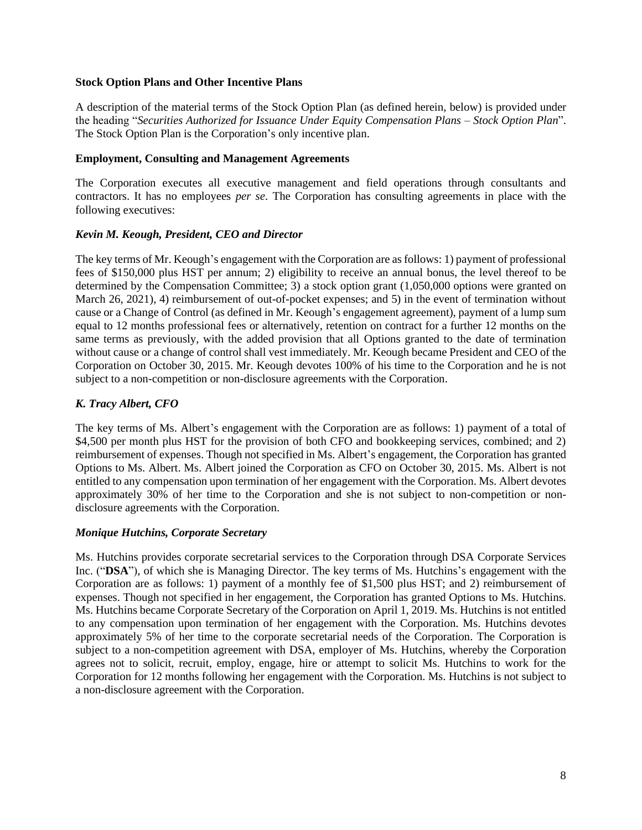#### **Stock Option Plans and Other Incentive Plans**

A description of the material terms of the Stock Option Plan (as defined herein, below) is provided under the heading "*Securities Authorized for Issuance Under Equity Compensation Plans – Stock Option Plan*". The Stock Option Plan is the Corporation's only incentive plan.

#### **Employment, Consulting and Management Agreements**

The Corporation executes all executive management and field operations through consultants and contractors. It has no employees *per se*. The Corporation has consulting agreements in place with the following executives:

#### *Kevin M. Keough, President, CEO and Director*

The key terms of Mr. Keough's engagement with the Corporation are as follows: 1) payment of professional fees of \$150,000 plus HST per annum; 2) eligibility to receive an annual bonus, the level thereof to be determined by the Compensation Committee; 3) a stock option grant (1,050,000 options were granted on March 26, 2021), 4) reimbursement of out-of-pocket expenses; and 5) in the event of termination without cause or a Change of Control (as defined in Mr. Keough's engagement agreement), payment of a lump sum equal to 12 months professional fees or alternatively, retention on contract for a further 12 months on the same terms as previously, with the added provision that all Options granted to the date of termination without cause or a change of control shall vest immediately. Mr. Keough became President and CEO of the Corporation on October 30, 2015. Mr. Keough devotes 100% of his time to the Corporation and he is not subject to a non-competition or non-disclosure agreements with the Corporation.

#### *K. Tracy Albert, CFO*

The key terms of Ms. Albert's engagement with the Corporation are as follows: 1) payment of a total of \$4,500 per month plus HST for the provision of both CFO and bookkeeping services, combined; and 2) reimbursement of expenses. Though not specified in Ms. Albert's engagement, the Corporation has granted Options to Ms. Albert. Ms. Albert joined the Corporation as CFO on October 30, 2015. Ms. Albert is not entitled to any compensation upon termination of her engagement with the Corporation. Ms. Albert devotes approximately 30% of her time to the Corporation and she is not subject to non-competition or nondisclosure agreements with the Corporation.

#### *Monique Hutchins, Corporate Secretary*

Ms. Hutchins provides corporate secretarial services to the Corporation through DSA Corporate Services Inc. ("**DSA**"), of which she is Managing Director. The key terms of Ms. Hutchins's engagement with the Corporation are as follows: 1) payment of a monthly fee of \$1,500 plus HST; and 2) reimbursement of expenses. Though not specified in her engagement, the Corporation has granted Options to Ms. Hutchins. Ms. Hutchins became Corporate Secretary of the Corporation on April 1, 2019. Ms. Hutchins is not entitled to any compensation upon termination of her engagement with the Corporation. Ms. Hutchins devotes approximately 5% of her time to the corporate secretarial needs of the Corporation. The Corporation is subject to a non-competition agreement with DSA, employer of Ms. Hutchins, whereby the Corporation agrees not to solicit, recruit, employ, engage, hire or attempt to solicit Ms. Hutchins to work for the Corporation for 12 months following her engagement with the Corporation. Ms. Hutchins is not subject to a non-disclosure agreement with the Corporation.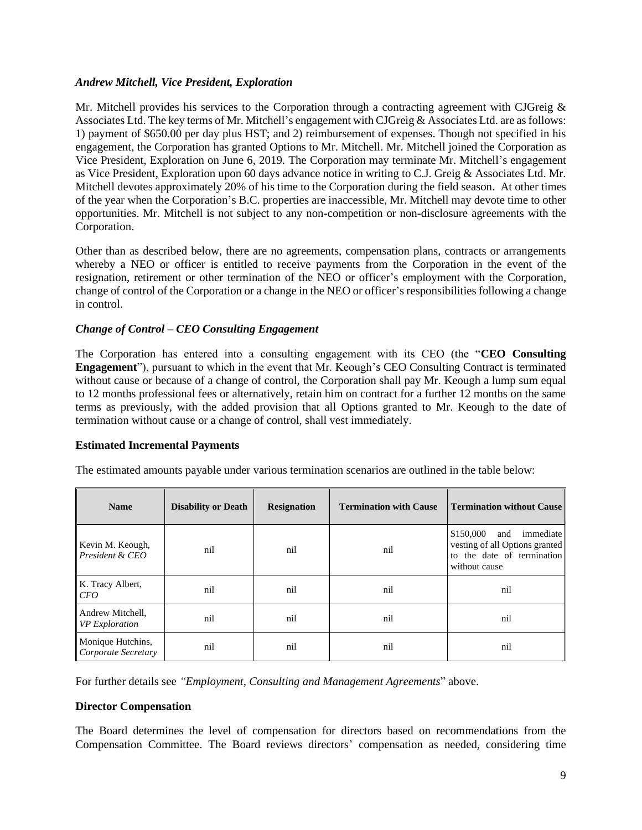#### *Andrew Mitchell, Vice President, Exploration*

Mr. Mitchell provides his services to the Corporation through a contracting agreement with CJGreig  $\&$ Associates Ltd. The key terms of Mr. Mitchell's engagement with CJGreig & Associates Ltd. are as follows: 1) payment of \$650.00 per day plus HST; and 2) reimbursement of expenses. Though not specified in his engagement, the Corporation has granted Options to Mr. Mitchell. Mr. Mitchell joined the Corporation as Vice President, Exploration on June 6, 2019. The Corporation may terminate Mr. Mitchell's engagement as Vice President, Exploration upon 60 days advance notice in writing to C.J. Greig & Associates Ltd. Mr. Mitchell devotes approximately 20% of his time to the Corporation during the field season. At other times of the year when the Corporation's B.C. properties are inaccessible, Mr. Mitchell may devote time to other opportunities. Mr. Mitchell is not subject to any non-competition or non-disclosure agreements with the Corporation.

Other than as described below, there are no agreements, compensation plans, contracts or arrangements whereby a NEO or officer is entitled to receive payments from the Corporation in the event of the resignation, retirement or other termination of the NEO or officer's employment with the Corporation, change of control of the Corporation or a change in the NEO or officer's responsibilities following a change in control.

#### *Change of Control – CEO Consulting Engagement*

The Corporation has entered into a consulting engagement with its CEO (the "**CEO Consulting Engagement**"), pursuant to which in the event that Mr. Keough's CEO Consulting Contract is terminated without cause or because of a change of control, the Corporation shall pay Mr. Keough a lump sum equal to 12 months professional fees or alternatively, retain him on contract for a further 12 months on the same terms as previously, with the added provision that all Options granted to Mr. Keough to the date of termination without cause or a change of control, shall vest immediately.

#### **Estimated Incremental Payments**

| <b>Name</b>                               | <b>Disability or Death</b> | <b>Resignation</b> | <b>Termination with Cause</b> | <b>Termination without Cause</b>                                                                               |
|-------------------------------------------|----------------------------|--------------------|-------------------------------|----------------------------------------------------------------------------------------------------------------|
| Kevin M. Keough,<br>President & CEO       | nil                        | nil                | nil                           | \$150,000<br>immediate<br>and<br>vesting of all Options granted<br>to the date of termination<br>without cause |
| K. Tracy Albert,<br><i>CFO</i>            | nil                        | nil                | nil                           | nil                                                                                                            |
| Andrew Mitchell,<br><b>VP</b> Exploration | nil                        | nil                | nil                           | nil                                                                                                            |
| Monique Hutchins,<br>Corporate Secretary  | nil                        | nil                | nil                           | nil                                                                                                            |

The estimated amounts payable under various termination scenarios are outlined in the table below:

For further details see *"Employment, Consulting and Management Agreements*" above.

#### **Director Compensation**

The Board determines the level of compensation for directors based on recommendations from the Compensation Committee. The Board reviews directors' compensation as needed, considering time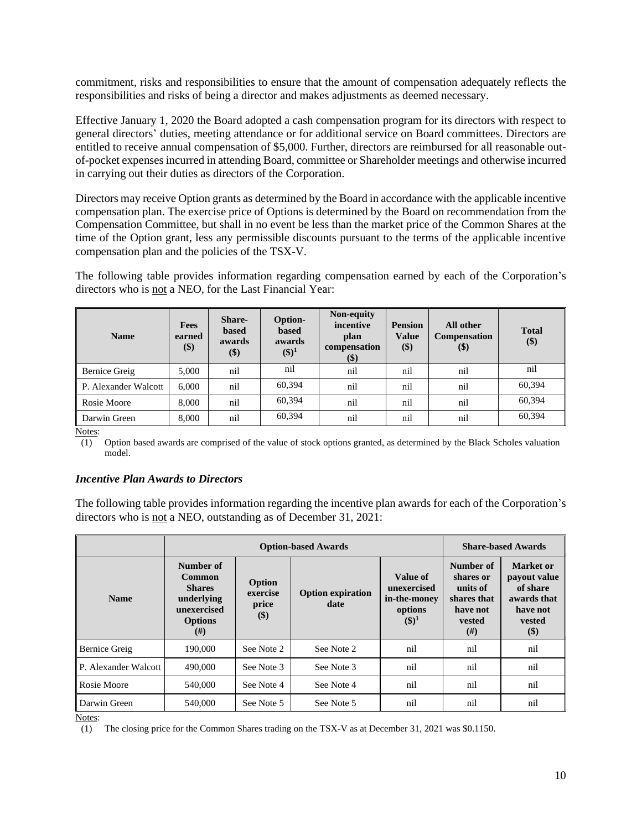commitment, risks and responsibilities to ensure that the amount of compensation adequately reflects the responsibilities and risks of being a director and makes adjustments as deemed necessary.

Effective January 1, 2020 the Board adopted a cash compensation program for its directors with respect to general directors' duties, meeting attendance or for additional service on Board committees. Directors are entitled to receive annual compensation of \$5,000. Further, directors are reimbursed for all reasonable outof-pocket expenses incurred in attending Board, committee or Shareholder meetings and otherwise incurred in carrying out their duties as directors of the Corporation.

Directors may receive Option grants as determined by the Board in accordance with the applicable incentive compensation plan. The exercise price of Options is determined by the Board on recommendation from the Compensation Committee, but shall in no event be less than the market price of the Common Shares at the time of the Option grant, less any permissible discounts pursuant to the terms of the applicable incentive compensation plan and the policies of the TSX-V.

The following table provides information regarding compensation earned by each of the Corporation's directors who is not a NEO, for the Last Financial Year:

| <b>Name</b>          | Fees<br>earned<br>\$) | <b>Share-</b><br><b>based</b><br>awards<br>$(\$)$ | Option-<br><b>based</b><br>awards<br>$(\$)^1$ | Non-equity<br>incentive<br>plan<br>compensation<br>\$) | <b>Pension</b><br><b>Value</b><br>\$) | All other<br>Compensation<br>\$) | <b>Total</b><br>\$) |
|----------------------|-----------------------|---------------------------------------------------|-----------------------------------------------|--------------------------------------------------------|---------------------------------------|----------------------------------|---------------------|
| Bernice Greig        | 5,000                 | nil                                               | nil                                           | nil                                                    | nil                                   | nil                              | nil                 |
| P. Alexander Walcott | 6,000                 | nil                                               | 60.394                                        | nil                                                    | nil                                   | nil                              | 60,394              |
| Rosie Moore          | 8,000                 | nil                                               | 60.394                                        | nil                                                    | nil                                   | nil                              | 60,394              |
| Darwin Green         | 8,000                 | nil                                               | 60.394                                        | nil                                                    | nil                                   | nil                              | 60,394              |

Notes:

(1) Option based awards are comprised of the value of stock options granted, as determined by the Black Scholes valuation model.

#### *Incentive Plan Awards to Directors*

The following table provides information regarding the incentive plan awards for each of the Corporation's directors who is not a NEO, outstanding as of December 31, 2021:

|                      |                                                                                                        | <b>Option-based Awards</b>            |                                  |                                                                | <b>Share-based Awards</b>                                                     |                                                                                      |
|----------------------|--------------------------------------------------------------------------------------------------------|---------------------------------------|----------------------------------|----------------------------------------------------------------|-------------------------------------------------------------------------------|--------------------------------------------------------------------------------------|
| <b>Name</b>          | Number of<br><b>Common</b><br><b>Shares</b><br>underlying<br>unexercised<br><b>Options</b><br>$^{(#)}$ | Option<br>exercise<br>price<br>$(\$)$ | <b>Option expiration</b><br>date | Value of<br>unexercised<br>in-the-money<br>options<br>$(\$)^1$ | Number of<br>shares or<br>units of<br>shares that<br>have not<br>vested<br>#) | Market or<br>payout value<br>of share<br>awards that<br>have not<br>vested<br>$(\$)$ |
| <b>Bernice Greig</b> | 190,000                                                                                                | See Note 2                            | See Note 2                       | nil                                                            | nil                                                                           | nil                                                                                  |
| P. Alexander Walcott | 490,000                                                                                                | See Note 3                            | See Note 3                       | nil                                                            | nil                                                                           | nil                                                                                  |
| Rosie Moore          | 540,000                                                                                                | See Note 4                            | See Note 4                       | nil                                                            | nil                                                                           | nil                                                                                  |
| Darwin Green         | 540,000                                                                                                | See Note 5                            | See Note 5                       | nil                                                            | nil                                                                           | nil                                                                                  |

Notes:

(1) The closing price for the Common Shares trading on the TSX-V as at December 31, 2021 was \$0.1150.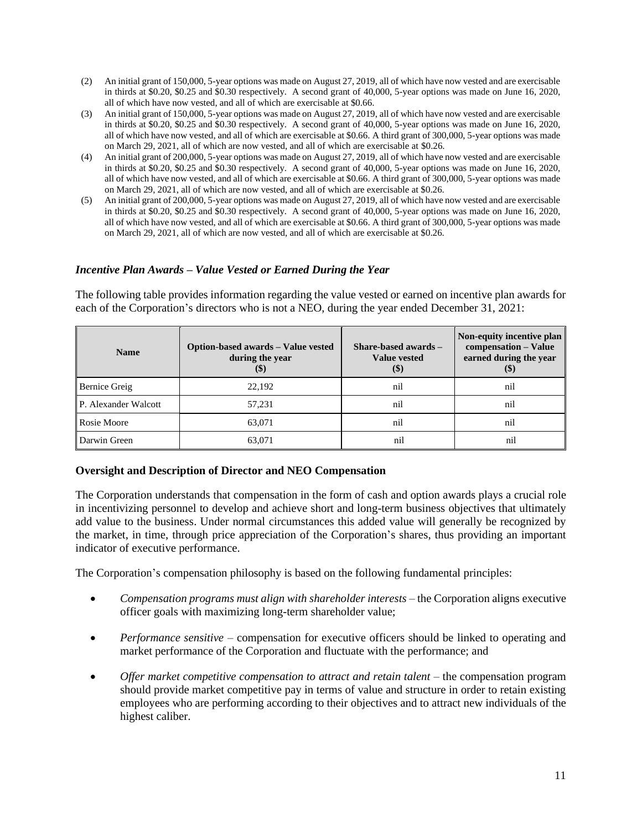- (2) An initial grant of 150,000, 5-year options was made on August 27, 2019, all of which have now vested and are exercisable in thirds at \$0.20, \$0.25 and \$0.30 respectively. A second grant of 40,000, 5-year options was made on June 16, 2020, all of which have now vested, and all of which are exercisable at \$0.66.
- (3) An initial grant of 150,000, 5-year options was made on August 27, 2019, all of which have now vested and are exercisable in thirds at \$0.20, \$0.25 and \$0.30 respectively. A second grant of 40,000, 5-year options was made on June 16, 2020, all of which have now vested, and all of which are exercisable at \$0.66. A third grant of 300,000, 5-year options was made on March 29, 2021, all of which are now vested, and all of which are exercisable at \$0.26.
- (4) An initial grant of 200,000, 5-year options was made on August 27, 2019, all of which have now vested and are exercisable in thirds at \$0.20, \$0.25 and \$0.30 respectively. A second grant of 40,000, 5-year options was made on June 16, 2020, all of which have now vested, and all of which are exercisable at \$0.66. A third grant of 300,000, 5-year options was made on March 29, 2021, all of which are now vested, and all of which are exercisable at \$0.26.
- (5) An initial grant of 200,000, 5-year options was made on August 27, 2019, all of which have now vested and are exercisable in thirds at \$0.20, \$0.25 and \$0.30 respectively. A second grant of 40,000, 5-year options was made on June 16, 2020, all of which have now vested, and all of which are exercisable at \$0.66. A third grant of 300,000, 5-year options was made on March 29, 2021, all of which are now vested, and all of which are exercisable at \$0.26.

#### *Incentive Plan Awards – Value Vested or Earned During the Year*

The following table provides information regarding the value vested or earned on incentive plan awards for each of the Corporation's directors who is not a NEO, during the year ended December 31, 2021:

| <b>Name</b>          | Option-based awards - Value vested<br>during the year<br>$\left( \mathcal{F} \right)$ | Share-based awards -<br><b>Value vested</b><br>$\left( \mathcal{S} \right)$ | Non-equity incentive plan<br>compensation - Value<br>earned during the year<br>$\left( \text{\$}\right)$ |
|----------------------|---------------------------------------------------------------------------------------|-----------------------------------------------------------------------------|----------------------------------------------------------------------------------------------------------|
| <b>Bernice Greig</b> | 22,192                                                                                | nil                                                                         | nil                                                                                                      |
| P. Alexander Walcott | 57,231                                                                                | nil                                                                         | nil                                                                                                      |
| Rosie Moore          | 63,071                                                                                | nil                                                                         | nil                                                                                                      |
| Darwin Green         | 63.071                                                                                | nil                                                                         | nil                                                                                                      |

#### **Oversight and Description of Director and NEO Compensation**

The Corporation understands that compensation in the form of cash and option awards plays a crucial role in incentivizing personnel to develop and achieve short and long-term business objectives that ultimately add value to the business. Under normal circumstances this added value will generally be recognized by the market, in time, through price appreciation of the Corporation's shares, thus providing an important indicator of executive performance.

The Corporation's compensation philosophy is based on the following fundamental principles:

- *Compensation programs must align with shareholder interests* the Corporation aligns executive officer goals with maximizing long-term shareholder value;
- *Performance sensitive* compensation for executive officers should be linked to operating and market performance of the Corporation and fluctuate with the performance; and
- *Offer market competitive compensation to attract and retain talent* the compensation program should provide market competitive pay in terms of value and structure in order to retain existing employees who are performing according to their objectives and to attract new individuals of the highest caliber.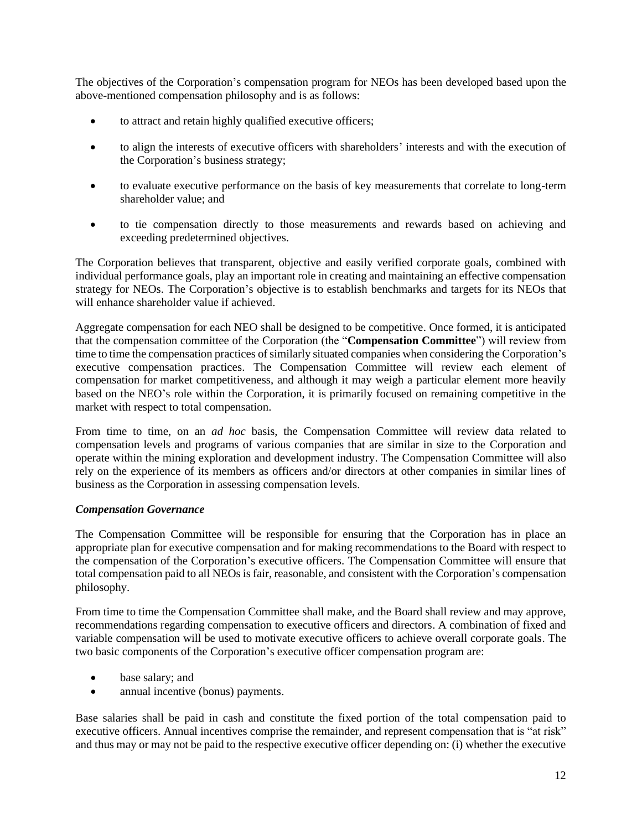The objectives of the Corporation's compensation program for NEOs has been developed based upon the above-mentioned compensation philosophy and is as follows:

- to attract and retain highly qualified executive officers;
- to align the interests of executive officers with shareholders' interests and with the execution of the Corporation's business strategy;
- to evaluate executive performance on the basis of key measurements that correlate to long-term shareholder value; and
- to tie compensation directly to those measurements and rewards based on achieving and exceeding predetermined objectives.

The Corporation believes that transparent, objective and easily verified corporate goals, combined with individual performance goals, play an important role in creating and maintaining an effective compensation strategy for NEOs. The Corporation's objective is to establish benchmarks and targets for its NEOs that will enhance shareholder value if achieved.

Aggregate compensation for each NEO shall be designed to be competitive. Once formed, it is anticipated that the compensation committee of the Corporation (the "**Compensation Committee**") will review from time to time the compensation practices of similarly situated companies when considering the Corporation's executive compensation practices. The Compensation Committee will review each element of compensation for market competitiveness, and although it may weigh a particular element more heavily based on the NEO's role within the Corporation, it is primarily focused on remaining competitive in the market with respect to total compensation.

From time to time, on an *ad hoc* basis, the Compensation Committee will review data related to compensation levels and programs of various companies that are similar in size to the Corporation and operate within the mining exploration and development industry. The Compensation Committee will also rely on the experience of its members as officers and/or directors at other companies in similar lines of business as the Corporation in assessing compensation levels.

#### *Compensation Governance*

The Compensation Committee will be responsible for ensuring that the Corporation has in place an appropriate plan for executive compensation and for making recommendations to the Board with respect to the compensation of the Corporation's executive officers. The Compensation Committee will ensure that total compensation paid to all NEOs is fair, reasonable, and consistent with the Corporation's compensation philosophy.

From time to time the Compensation Committee shall make, and the Board shall review and may approve, recommendations regarding compensation to executive officers and directors. A combination of fixed and variable compensation will be used to motivate executive officers to achieve overall corporate goals. The two basic components of the Corporation's executive officer compensation program are:

- base salary; and
- annual incentive (bonus) payments.

Base salaries shall be paid in cash and constitute the fixed portion of the total compensation paid to executive officers. Annual incentives comprise the remainder, and represent compensation that is "at risk" and thus may or may not be paid to the respective executive officer depending on: (i) whether the executive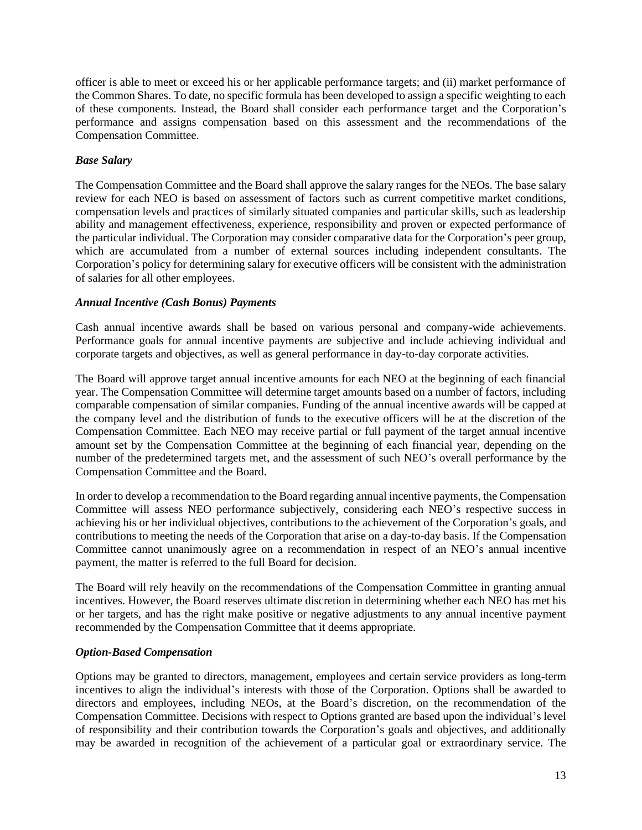officer is able to meet or exceed his or her applicable performance targets; and (ii) market performance of the Common Shares. To date, no specific formula has been developed to assign a specific weighting to each of these components. Instead, the Board shall consider each performance target and the Corporation's performance and assigns compensation based on this assessment and the recommendations of the Compensation Committee.

#### *Base Salary*

The Compensation Committee and the Board shall approve the salary ranges for the NEOs. The base salary review for each NEO is based on assessment of factors such as current competitive market conditions, compensation levels and practices of similarly situated companies and particular skills, such as leadership ability and management effectiveness, experience, responsibility and proven or expected performance of the particular individual. The Corporation may consider comparative data for the Corporation's peer group, which are accumulated from a number of external sources including independent consultants. The Corporation's policy for determining salary for executive officers will be consistent with the administration of salaries for all other employees.

#### *Annual Incentive (Cash Bonus) Payments*

Cash annual incentive awards shall be based on various personal and company-wide achievements. Performance goals for annual incentive payments are subjective and include achieving individual and corporate targets and objectives, as well as general performance in day-to-day corporate activities.

The Board will approve target annual incentive amounts for each NEO at the beginning of each financial year. The Compensation Committee will determine target amounts based on a number of factors, including comparable compensation of similar companies. Funding of the annual incentive awards will be capped at the company level and the distribution of funds to the executive officers will be at the discretion of the Compensation Committee. Each NEO may receive partial or full payment of the target annual incentive amount set by the Compensation Committee at the beginning of each financial year, depending on the number of the predetermined targets met, and the assessment of such NEO's overall performance by the Compensation Committee and the Board.

In order to develop a recommendation to the Board regarding annual incentive payments, the Compensation Committee will assess NEO performance subjectively, considering each NEO's respective success in achieving his or her individual objectives, contributions to the achievement of the Corporation's goals, and contributions to meeting the needs of the Corporation that arise on a day-to-day basis. If the Compensation Committee cannot unanimously agree on a recommendation in respect of an NEO's annual incentive payment, the matter is referred to the full Board for decision.

The Board will rely heavily on the recommendations of the Compensation Committee in granting annual incentives. However, the Board reserves ultimate discretion in determining whether each NEO has met his or her targets, and has the right make positive or negative adjustments to any annual incentive payment recommended by the Compensation Committee that it deems appropriate.

#### *Option-Based Compensation*

Options may be granted to directors, management, employees and certain service providers as long-term incentives to align the individual's interests with those of the Corporation. Options shall be awarded to directors and employees, including NEOs, at the Board's discretion, on the recommendation of the Compensation Committee. Decisions with respect to Options granted are based upon the individual's level of responsibility and their contribution towards the Corporation's goals and objectives, and additionally may be awarded in recognition of the achievement of a particular goal or extraordinary service. The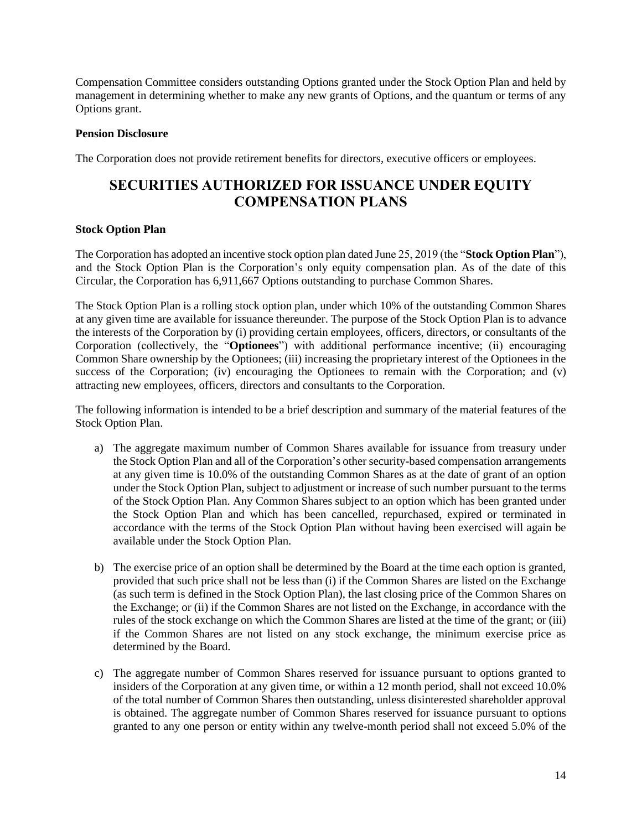Compensation Committee considers outstanding Options granted under the Stock Option Plan and held by management in determining whether to make any new grants of Options, and the quantum or terms of any Options grant.

#### **Pension Disclosure**

The Corporation does not provide retirement benefits for directors, executive officers or employees.

### **SECURITIES AUTHORIZED FOR ISSUANCE UNDER EQUITY COMPENSATION PLANS**

#### **Stock Option Plan**

The Corporation has adopted an incentive stock option plan dated June 25, 2019 (the "**Stock Option Plan**"), and the Stock Option Plan is the Corporation's only equity compensation plan. As of the date of this Circular, the Corporation has 6,911,667 Options outstanding to purchase Common Shares.

The Stock Option Plan is a rolling stock option plan, under which 10% of the outstanding Common Shares at any given time are available for issuance thereunder. The purpose of the Stock Option Plan is to advance the interests of the Corporation by (i) providing certain employees, officers, directors, or consultants of the Corporation (collectively, the "**Optionees**") with additional performance incentive; (ii) encouraging Common Share ownership by the Optionees; (iii) increasing the proprietary interest of the Optionees in the success of the Corporation; (iv) encouraging the Optionees to remain with the Corporation; and (v) attracting new employees, officers, directors and consultants to the Corporation.

The following information is intended to be a brief description and summary of the material features of the Stock Option Plan.

- a) The aggregate maximum number of Common Shares available for issuance from treasury under the Stock Option Plan and all of the Corporation's other security-based compensation arrangements at any given time is 10.0% of the outstanding Common Shares as at the date of grant of an option under the Stock Option Plan, subject to adjustment or increase of such number pursuant to the terms of the Stock Option Plan. Any Common Shares subject to an option which has been granted under the Stock Option Plan and which has been cancelled, repurchased, expired or terminated in accordance with the terms of the Stock Option Plan without having been exercised will again be available under the Stock Option Plan.
- b) The exercise price of an option shall be determined by the Board at the time each option is granted, provided that such price shall not be less than (i) if the Common Shares are listed on the Exchange (as such term is defined in the Stock Option Plan), the last closing price of the Common Shares on the Exchange; or (ii) if the Common Shares are not listed on the Exchange, in accordance with the rules of the stock exchange on which the Common Shares are listed at the time of the grant; or (iii) if the Common Shares are not listed on any stock exchange, the minimum exercise price as determined by the Board.
- c) The aggregate number of Common Shares reserved for issuance pursuant to options granted to insiders of the Corporation at any given time, or within a 12 month period, shall not exceed 10.0% of the total number of Common Shares then outstanding, unless disinterested shareholder approval is obtained. The aggregate number of Common Shares reserved for issuance pursuant to options granted to any one person or entity within any twelve-month period shall not exceed 5.0% of the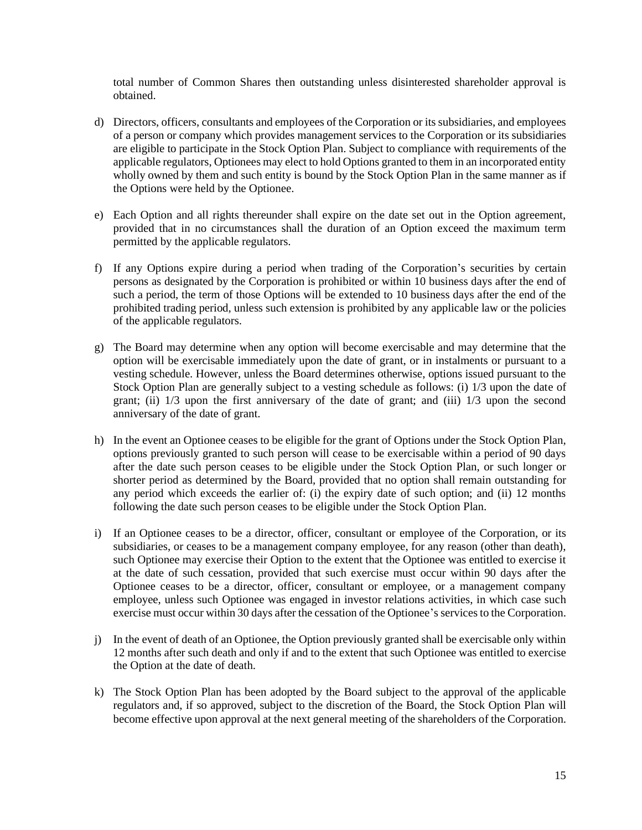total number of Common Shares then outstanding unless disinterested shareholder approval is obtained.

- d) Directors, officers, consultants and employees of the Corporation or its subsidiaries, and employees of a person or company which provides management services to the Corporation or its subsidiaries are eligible to participate in the Stock Option Plan. Subject to compliance with requirements of the applicable regulators, Optionees may elect to hold Options granted to them in an incorporated entity wholly owned by them and such entity is bound by the Stock Option Plan in the same manner as if the Options were held by the Optionee.
- e) Each Option and all rights thereunder shall expire on the date set out in the Option agreement, provided that in no circumstances shall the duration of an Option exceed the maximum term permitted by the applicable regulators.
- f) If any Options expire during a period when trading of the Corporation's securities by certain persons as designated by the Corporation is prohibited or within 10 business days after the end of such a period, the term of those Options will be extended to 10 business days after the end of the prohibited trading period, unless such extension is prohibited by any applicable law or the policies of the applicable regulators.
- g) The Board may determine when any option will become exercisable and may determine that the option will be exercisable immediately upon the date of grant, or in instalments or pursuant to a vesting schedule. However, unless the Board determines otherwise, options issued pursuant to the Stock Option Plan are generally subject to a vesting schedule as follows: (i) 1/3 upon the date of grant; (ii) 1/3 upon the first anniversary of the date of grant; and (iii) 1/3 upon the second anniversary of the date of grant.
- h) In the event an Optionee ceases to be eligible for the grant of Options under the Stock Option Plan, options previously granted to such person will cease to be exercisable within a period of 90 days after the date such person ceases to be eligible under the Stock Option Plan, or such longer or shorter period as determined by the Board, provided that no option shall remain outstanding for any period which exceeds the earlier of: (i) the expiry date of such option; and (ii) 12 months following the date such person ceases to be eligible under the Stock Option Plan.
- i) If an Optionee ceases to be a director, officer, consultant or employee of the Corporation, or its subsidiaries, or ceases to be a management company employee, for any reason (other than death), such Optionee may exercise their Option to the extent that the Optionee was entitled to exercise it at the date of such cessation, provided that such exercise must occur within 90 days after the Optionee ceases to be a director, officer, consultant or employee, or a management company employee, unless such Optionee was engaged in investor relations activities, in which case such exercise must occur within 30 days after the cessation of the Optionee's services to the Corporation.
- j) In the event of death of an Optionee, the Option previously granted shall be exercisable only within 12 months after such death and only if and to the extent that such Optionee was entitled to exercise the Option at the date of death.
- k) The Stock Option Plan has been adopted by the Board subject to the approval of the applicable regulators and, if so approved, subject to the discretion of the Board, the Stock Option Plan will become effective upon approval at the next general meeting of the shareholders of the Corporation.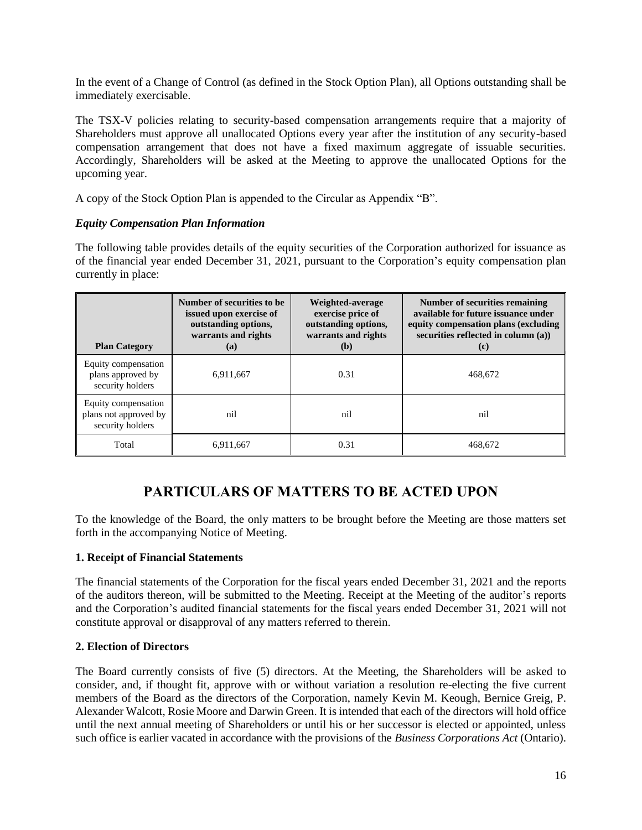In the event of a Change of Control (as defined in the Stock Option Plan), all Options outstanding shall be immediately exercisable.

The TSX-V policies relating to security-based compensation arrangements require that a majority of Shareholders must approve all unallocated Options every year after the institution of any security-based compensation arrangement that does not have a fixed maximum aggregate of issuable securities. Accordingly, Shareholders will be asked at the Meeting to approve the unallocated Options for the upcoming year.

A copy of the Stock Option Plan is appended to the Circular as Appendix "B".

#### *Equity Compensation Plan Information*

The following table provides details of the equity securities of the Corporation authorized for issuance as of the financial year ended December 31, 2021, pursuant to the Corporation's equity compensation plan currently in place:

| <b>Plan Category</b>                                             | Number of securities to be<br>issued upon exercise of<br>outstanding options,<br>warrants and rights<br><b>(a)</b> | Weighted-average<br>exercise price of<br>outstanding options,<br>warrants and rights<br>(b) | Number of securities remaining<br>available for future issuance under<br>equity compensation plans (excluding<br>securities reflected in column (a))<br>(c) |
|------------------------------------------------------------------|--------------------------------------------------------------------------------------------------------------------|---------------------------------------------------------------------------------------------|-------------------------------------------------------------------------------------------------------------------------------------------------------------|
| Equity compensation<br>plans approved by<br>security holders     | 6,911,667                                                                                                          | 0.31                                                                                        | 468,672                                                                                                                                                     |
| Equity compensation<br>plans not approved by<br>security holders | nil                                                                                                                | nil                                                                                         | nil                                                                                                                                                         |
| Total                                                            | 6,911,667                                                                                                          | 0.31                                                                                        | 468,672                                                                                                                                                     |

## **PARTICULARS OF MATTERS TO BE ACTED UPON**

To the knowledge of the Board, the only matters to be brought before the Meeting are those matters set forth in the accompanying Notice of Meeting.

#### **1. Receipt of Financial Statements**

The financial statements of the Corporation for the fiscal years ended December 31, 2021 and the reports of the auditors thereon, will be submitted to the Meeting. Receipt at the Meeting of the auditor's reports and the Corporation's audited financial statements for the fiscal years ended December 31, 2021 will not constitute approval or disapproval of any matters referred to therein.

#### **2. Election of Directors**

The Board currently consists of five (5) directors. At the Meeting, the Shareholders will be asked to consider, and, if thought fit, approve with or without variation a resolution re-electing the five current members of the Board as the directors of the Corporation, namely Kevin M. Keough, Bernice Greig, P. Alexander Walcott, Rosie Moore and Darwin Green. It is intended that each of the directors will hold office until the next annual meeting of Shareholders or until his or her successor is elected or appointed, unless such office is earlier vacated in accordance with the provisions of the *Business Corporations Act* (Ontario).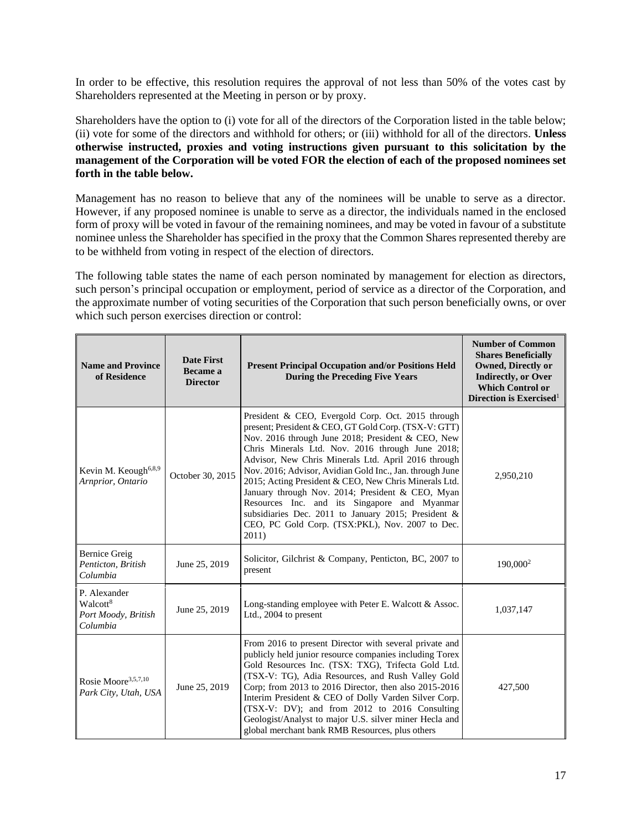In order to be effective, this resolution requires the approval of not less than 50% of the votes cast by Shareholders represented at the Meeting in person or by proxy.

Shareholders have the option to (i) vote for all of the directors of the Corporation listed in the table below; (ii) vote for some of the directors and withhold for others; or (iii) withhold for all of the directors. **Unless otherwise instructed, proxies and voting instructions given pursuant to this solicitation by the management of the Corporation will be voted FOR the election of each of the proposed nominees set forth in the table below.**

Management has no reason to believe that any of the nominees will be unable to serve as a director. However, if any proposed nominee is unable to serve as a director, the individuals named in the enclosed form of proxy will be voted in favour of the remaining nominees, and may be voted in favour of a substitute nominee unless the Shareholder has specified in the proxy that the Common Shares represented thereby are to be withheld from voting in respect of the election of directors.

The following table states the name of each person nominated by management for election as directors, such person's principal occupation or employment, period of service as a director of the Corporation, and the approximate number of voting securities of the Corporation that such person beneficially owns, or over which such person exercises direction or control:

| <b>Name and Province</b><br>of Residence                                | <b>Date First</b><br>Became a<br><b>Director</b> | <b>Present Principal Occupation and/or Positions Held</b><br><b>During the Preceding Five Years</b>                                                                                                                                                                                                                                                                                                                                                                                                                                                                                                                   | <b>Number of Common</b><br><b>Shares Beneficially</b><br><b>Owned, Directly or</b><br><b>Indirectly, or Over</b><br><b>Which Control or</b><br>Direction is Exercised <sup>1</sup> |
|-------------------------------------------------------------------------|--------------------------------------------------|-----------------------------------------------------------------------------------------------------------------------------------------------------------------------------------------------------------------------------------------------------------------------------------------------------------------------------------------------------------------------------------------------------------------------------------------------------------------------------------------------------------------------------------------------------------------------------------------------------------------------|------------------------------------------------------------------------------------------------------------------------------------------------------------------------------------|
| Kevin M. Keough <sup>6,8,9</sup><br>Arnprior, Ontario                   | October 30, 2015                                 | President & CEO, Evergold Corp. Oct. 2015 through<br>present; President & CEO, GT Gold Corp. (TSX-V: GTT)<br>Nov. 2016 through June 2018; President & CEO, New<br>Chris Minerals Ltd. Nov. 2016 through June 2018;<br>Advisor, New Chris Minerals Ltd. April 2016 through<br>Nov. 2016; Advisor, Avidian Gold Inc., Jan. through June<br>2015; Acting President & CEO, New Chris Minerals Ltd.<br>January through Nov. 2014; President & CEO, Myan<br>Resources Inc. and its Singapore and Myanmar<br>subsidiaries Dec. 2011 to January 2015; President &<br>CEO, PC Gold Corp. (TSX:PKL), Nov. 2007 to Dec.<br>2011) | 2,950,210                                                                                                                                                                          |
| <b>Bernice Greig</b><br>Penticton, British<br>Columbia                  | June 25, 2019                                    | Solicitor, Gilchrist & Company, Penticton, BC, 2007 to<br>present                                                                                                                                                                                                                                                                                                                                                                                                                                                                                                                                                     | 190,000 <sup>2</sup>                                                                                                                                                               |
| P. Alexander<br>Walcott <sup>8</sup><br>Port Moody, British<br>Columbia | June 25, 2019                                    | Long-standing employee with Peter E. Walcott & Assoc.<br>Ltd., 2004 to present                                                                                                                                                                                                                                                                                                                                                                                                                                                                                                                                        | 1,037,147                                                                                                                                                                          |
| Rosie Moore <sup>3,5,7,10</sup><br>Park City, Utah, USA                 | June 25, 2019                                    | From 2016 to present Director with several private and<br>publicly held junior resource companies including Torex<br>Gold Resources Inc. (TSX: TXG), Trifecta Gold Ltd.<br>(TSX-V: TG), Adia Resources, and Rush Valley Gold<br>Corp; from 2013 to 2016 Director, then also 2015-2016<br>Interim President & CEO of Dolly Varden Silver Corp.<br>(TSX-V: DV); and from 2012 to 2016 Consulting<br>Geologist/Analyst to major U.S. silver miner Hecla and<br>global merchant bank RMB Resources, plus others                                                                                                           | 427,500                                                                                                                                                                            |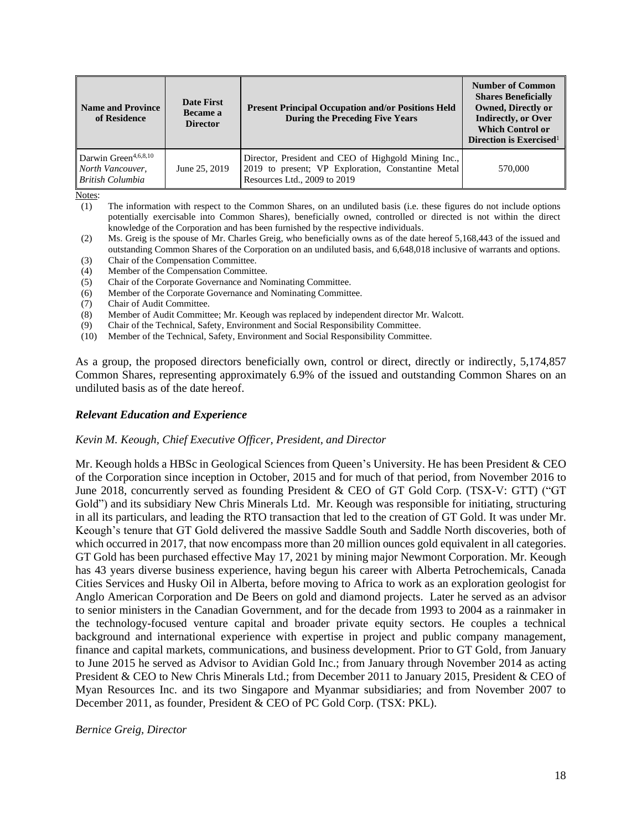| <b>Name and Province</b><br>of Residence                                        | <b>Date First</b><br>Became a<br><b>Director</b> | <b>Present Principal Occupation and/or Positions Held</b><br><b>During the Preceding Five Years</b>                                        | <b>Number of Common</b><br><b>Shares Beneficially</b><br><b>Owned, Directly or</b><br><b>Indirectly, or Over</b><br><b>Which Control or</b><br>Direction is Exercised <sup>1</sup> |
|---------------------------------------------------------------------------------|--------------------------------------------------|--------------------------------------------------------------------------------------------------------------------------------------------|------------------------------------------------------------------------------------------------------------------------------------------------------------------------------------|
| Darwin Green <sup>4,6,8,10</sup><br>North Vancouver.<br><b>British Columbia</b> | June 25, 2019                                    | Director, President and CEO of Highgold Mining Inc.,<br>2019 to present; VP Exploration, Constantine Metal<br>Resources Ltd., 2009 to 2019 | 570,000                                                                                                                                                                            |

Notes:

(1) The information with respect to the Common Shares, on an undiluted basis (i.e. these figures do not include options potentially exercisable into Common Shares), beneficially owned, controlled or directed is not within the direct knowledge of the Corporation and has been furnished by the respective individuals.

- (2) Ms. Greig is the spouse of Mr. Charles Greig, who beneficially owns as of the date hereof 5,168,443 of the issued and outstanding Common Shares of the Corporation on an undiluted basis, and 6,648,018 inclusive of warrants and options.
- (3) Chair of the Compensation Committee.
- (4) Member of the Compensation Committee.
- (5) Chair of the Corporate Governance and Nominating Committee.
- (6) Member of the Corporate Governance and Nominating Committee.
- (7) Chair of Audit Committee.
- (8) Member of Audit Committee; Mr. Keough was replaced by independent director Mr. Walcott.
- (9) Chair of the Technical, Safety, Environment and Social Responsibility Committee.
- (10) Member of the Technical, Safety, Environment and Social Responsibility Committee.

As a group, the proposed directors beneficially own, control or direct, directly or indirectly, 5,174,857 Common Shares, representing approximately 6.9% of the issued and outstanding Common Shares on an undiluted basis as of the date hereof.

#### *Relevant Education and Experience*

#### *Kevin M. Keough, Chief Executive Officer, President, and Director*

Mr. Keough holds a HBSc in Geological Sciences from Queen's University. He has been President & CEO of the Corporation since inception in October, 2015 and for much of that period, from November 2016 to June 2018, concurrently served as founding President & CEO of GT Gold Corp. (TSX-V: GTT) ("GT Gold") and its subsidiary New Chris Minerals Ltd. Mr. Keough was responsible for initiating, structuring in all its particulars, and leading the RTO transaction that led to the creation of GT Gold. It was under Mr. Keough's tenure that GT Gold delivered the massive Saddle South and Saddle North discoveries, both of which occurred in 2017, that now encompass more than 20 million ounces gold equivalent in all categories. GT Gold has been purchased effective May 17, 2021 by mining major Newmont Corporation. Mr. Keough has 43 years diverse business experience, having begun his career with Alberta Petrochemicals, Canada Cities Services and Husky Oil in Alberta, before moving to Africa to work as an exploration geologist for Anglo American Corporation and De Beers on gold and diamond projects. Later he served as an advisor to senior ministers in the Canadian Government, and for the decade from 1993 to 2004 as a rainmaker in the technology-focused venture capital and broader private equity sectors. He couples a technical background and international experience with expertise in project and public company management, finance and capital markets, communications, and business development. Prior to GT Gold, from January to June 2015 he served as Advisor to Avidian Gold Inc.; from January through November 2014 as acting President & CEO to New Chris Minerals Ltd.; from December 2011 to January 2015, President & CEO of Myan Resources Inc. and its two Singapore and Myanmar subsidiaries; and from November 2007 to December 2011, as founder, President & CEO of PC Gold Corp. (TSX: PKL).

*Bernice Greig, Director*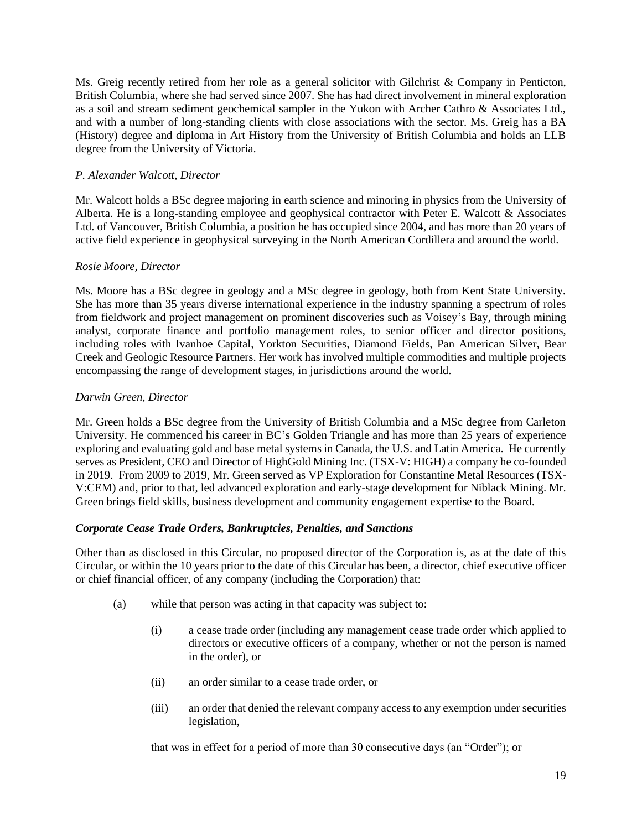Ms. Greig recently retired from her role as a general solicitor with Gilchrist & Company in Penticton, British Columbia, where she had served since 2007. She has had direct involvement in mineral exploration as a soil and stream sediment geochemical sampler in the Yukon with Archer Cathro & Associates Ltd., and with a number of long-standing clients with close associations with the sector. Ms. Greig has a BA (History) degree and diploma in Art History from the University of British Columbia and holds an LLB degree from the University of Victoria.

#### *P. Alexander Walcott, Director*

Mr. Walcott holds a BSc degree majoring in earth science and minoring in physics from the University of Alberta. He is a long-standing employee and geophysical contractor with Peter E. Walcott & Associates Ltd. of Vancouver, British Columbia, a position he has occupied since 2004, and has more than 20 years of active field experience in geophysical surveying in the North American Cordillera and around the world.

#### *Rosie Moore, Director*

Ms. Moore has a BSc degree in geology and a MSc degree in geology, both from Kent State University. She has more than 35 years diverse international experience in the industry spanning a spectrum of roles from fieldwork and project management on prominent discoveries such as Voisey's Bay, through mining analyst, corporate finance and portfolio management roles, to senior officer and director positions, including roles with Ivanhoe Capital, Yorkton Securities, Diamond Fields, Pan American Silver, Bear Creek and Geologic Resource Partners. Her work has involved multiple commodities and multiple projects encompassing the range of development stages, in jurisdictions around the world.

#### *Darwin Green, Director*

Mr. Green holds a BSc degree from the University of British Columbia and a MSc degree from Carleton University. He commenced his career in BC's Golden Triangle and has more than 25 years of experience exploring and evaluating gold and base metal systems in Canada, the U.S. and Latin America. He currently serves as President, CEO and Director of HighGold Mining Inc. (TSX-V: HIGH) a company he co-founded in 2019. From 2009 to 2019, Mr. Green served as VP Exploration for Constantine Metal Resources (TSX-V:CEM) and, prior to that, led advanced exploration and early-stage development for Niblack Mining. Mr. Green brings field skills, business development and community engagement expertise to the Board.

#### *Corporate Cease Trade Orders, Bankruptcies, Penalties, and Sanctions*

Other than as disclosed in this Circular, no proposed director of the Corporation is, as at the date of this Circular, or within the 10 years prior to the date of this Circular has been, a director, chief executive officer or chief financial officer, of any company (including the Corporation) that:

- (a) while that person was acting in that capacity was subject to:
	- (i) a cease trade order (including any management cease trade order which applied to directors or executive officers of a company, whether or not the person is named in the order), or
	- (ii) an order similar to a cease trade order, or
	- (iii) an order that denied the relevant company access to any exemption under securities legislation,

that was in effect for a period of more than 30 consecutive days (an "Order"); or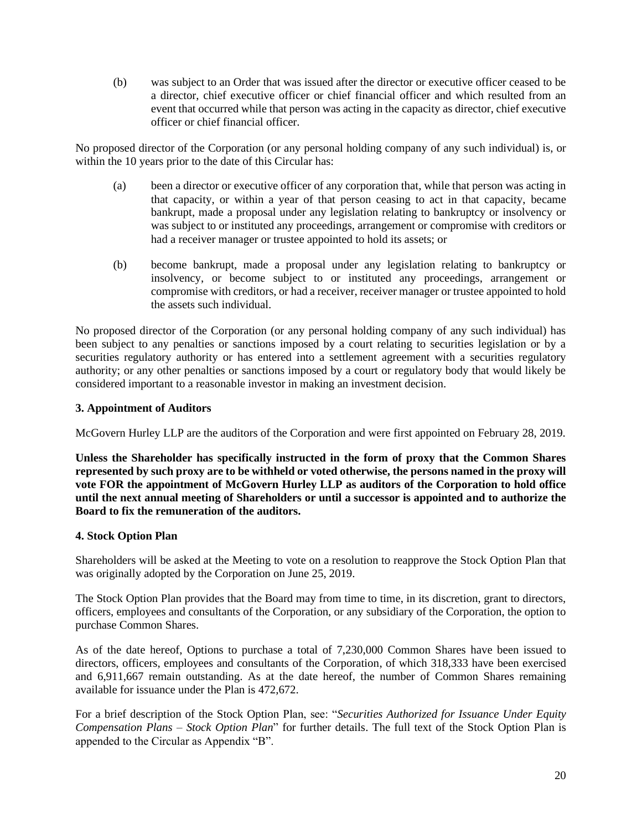(b) was subject to an Order that was issued after the director or executive officer ceased to be a director, chief executive officer or chief financial officer and which resulted from an event that occurred while that person was acting in the capacity as director, chief executive officer or chief financial officer.

No proposed director of the Corporation (or any personal holding company of any such individual) is, or within the 10 years prior to the date of this Circular has:

- (a) been a director or executive officer of any corporation that, while that person was acting in that capacity, or within a year of that person ceasing to act in that capacity, became bankrupt, made a proposal under any legislation relating to bankruptcy or insolvency or was subject to or instituted any proceedings, arrangement or compromise with creditors or had a receiver manager or trustee appointed to hold its assets; or
- (b) become bankrupt, made a proposal under any legislation relating to bankruptcy or insolvency, or become subject to or instituted any proceedings, arrangement or compromise with creditors, or had a receiver, receiver manager or trustee appointed to hold the assets such individual.

No proposed director of the Corporation (or any personal holding company of any such individual) has been subject to any penalties or sanctions imposed by a court relating to securities legislation or by a securities regulatory authority or has entered into a settlement agreement with a securities regulatory authority; or any other penalties or sanctions imposed by a court or regulatory body that would likely be considered important to a reasonable investor in making an investment decision.

#### **3. Appointment of Auditors**

McGovern Hurley LLP are the auditors of the Corporation and were first appointed on February 28, 2019.

**Unless the Shareholder has specifically instructed in the form of proxy that the Common Shares represented by such proxy are to be withheld or voted otherwise, the persons named in the proxy will vote FOR the appointment of McGovern Hurley LLP as auditors of the Corporation to hold office until the next annual meeting of Shareholders or until a successor is appointed and to authorize the Board to fix the remuneration of the auditors.**

#### **4. Stock Option Plan**

Shareholders will be asked at the Meeting to vote on a resolution to reapprove the Stock Option Plan that was originally adopted by the Corporation on June 25, 2019.

The Stock Option Plan provides that the Board may from time to time, in its discretion, grant to directors, officers, employees and consultants of the Corporation, or any subsidiary of the Corporation, the option to purchase Common Shares.

As of the date hereof, Options to purchase a total of 7,230,000 Common Shares have been issued to directors, officers, employees and consultants of the Corporation, of which 318,333 have been exercised and 6,911,667 remain outstanding. As at the date hereof, the number of Common Shares remaining available for issuance under the Plan is 472,672.

For a brief description of the Stock Option Plan, see: "*Securities Authorized for Issuance Under Equity Compensation Plans – Stock Option Plan*" for further details. The full text of the Stock Option Plan is appended to the Circular as Appendix "B".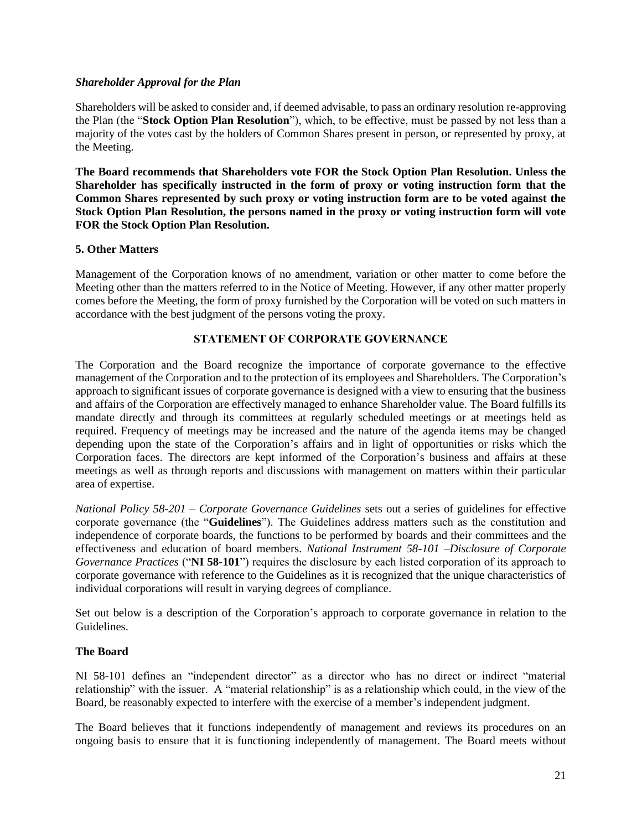#### *Shareholder Approval for the Plan*

Shareholders will be asked to consider and, if deemed advisable, to pass an ordinary resolution re-approving the Plan (the "**Stock Option Plan Resolution**"), which, to be effective, must be passed by not less than a majority of the votes cast by the holders of Common Shares present in person, or represented by proxy, at the Meeting.

**The Board recommends that Shareholders vote FOR the Stock Option Plan Resolution. Unless the Shareholder has specifically instructed in the form of proxy or voting instruction form that the Common Shares represented by such proxy or voting instruction form are to be voted against the Stock Option Plan Resolution, the persons named in the proxy or voting instruction form will vote FOR the Stock Option Plan Resolution.**

#### **5. Other Matters**

Management of the Corporation knows of no amendment, variation or other matter to come before the Meeting other than the matters referred to in the Notice of Meeting. However, if any other matter properly comes before the Meeting, the form of proxy furnished by the Corporation will be voted on such matters in accordance with the best judgment of the persons voting the proxy.

#### **STATEMENT OF CORPORATE GOVERNANCE**

The Corporation and the Board recognize the importance of corporate governance to the effective management of the Corporation and to the protection of its employees and Shareholders. The Corporation's approach to significant issues of corporate governance is designed with a view to ensuring that the business and affairs of the Corporation are effectively managed to enhance Shareholder value. The Board fulfills its mandate directly and through its committees at regularly scheduled meetings or at meetings held as required. Frequency of meetings may be increased and the nature of the agenda items may be changed depending upon the state of the Corporation's affairs and in light of opportunities or risks which the Corporation faces. The directors are kept informed of the Corporation's business and affairs at these meetings as well as through reports and discussions with management on matters within their particular area of expertise.

*National Policy 58-201 – Corporate Governance Guidelines* sets out a series of guidelines for effective corporate governance (the "**Guidelines**"). The Guidelines address matters such as the constitution and independence of corporate boards, the functions to be performed by boards and their committees and the effectiveness and education of board members. *National Instrument 58-101 –Disclosure of Corporate Governance Practices* ("**NI 58-101**") requires the disclosure by each listed corporation of its approach to corporate governance with reference to the Guidelines as it is recognized that the unique characteristics of individual corporations will result in varying degrees of compliance.

Set out below is a description of the Corporation's approach to corporate governance in relation to the Guidelines.

#### **The Board**

NI 58-101 defines an "independent director" as a director who has no direct or indirect "material relationship" with the issuer. A "material relationship" is as a relationship which could, in the view of the Board, be reasonably expected to interfere with the exercise of a member's independent judgment.

The Board believes that it functions independently of management and reviews its procedures on an ongoing basis to ensure that it is functioning independently of management. The Board meets without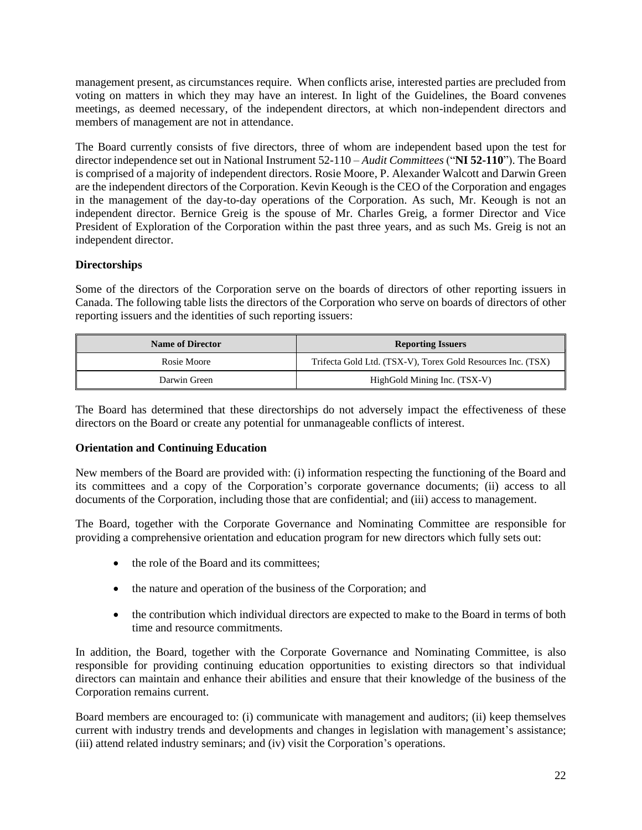management present, as circumstances require. When conflicts arise, interested parties are precluded from voting on matters in which they may have an interest. In light of the Guidelines, the Board convenes meetings, as deemed necessary, of the independent directors, at which non-independent directors and members of management are not in attendance.

The Board currently consists of five directors, three of whom are independent based upon the test for director independence set out in National Instrument 52-110 – *Audit Committees* ("**NI 52-110**"). The Board is comprised of a majority of independent directors. Rosie Moore, P. Alexander Walcott and Darwin Green are the independent directors of the Corporation. Kevin Keough is the CEO of the Corporation and engages in the management of the day-to-day operations of the Corporation. As such, Mr. Keough is not an independent director. Bernice Greig is the spouse of Mr. Charles Greig, a former Director and Vice President of Exploration of the Corporation within the past three years, and as such Ms. Greig is not an independent director.

#### **Directorships**

Some of the directors of the Corporation serve on the boards of directors of other reporting issuers in Canada. The following table lists the directors of the Corporation who serve on boards of directors of other reporting issuers and the identities of such reporting issuers:

| <b>Name of Director</b> | <b>Reporting Issuers</b>                                    |
|-------------------------|-------------------------------------------------------------|
| Rosie Moore             | Trifecta Gold Ltd. (TSX-V), Torex Gold Resources Inc. (TSX) |
| Darwin Green            | HighGold Mining Inc. (TSX-V)                                |

The Board has determined that these directorships do not adversely impact the effectiveness of these directors on the Board or create any potential for unmanageable conflicts of interest.

#### **Orientation and Continuing Education**

New members of the Board are provided with: (i) information respecting the functioning of the Board and its committees and a copy of the Corporation's corporate governance documents; (ii) access to all documents of the Corporation, including those that are confidential; and (iii) access to management.

The Board, together with the Corporate Governance and Nominating Committee are responsible for providing a comprehensive orientation and education program for new directors which fully sets out:

- the role of the Board and its committees;
- the nature and operation of the business of the Corporation; and
- the contribution which individual directors are expected to make to the Board in terms of both time and resource commitments.

In addition, the Board, together with the Corporate Governance and Nominating Committee, is also responsible for providing continuing education opportunities to existing directors so that individual directors can maintain and enhance their abilities and ensure that their knowledge of the business of the Corporation remains current.

Board members are encouraged to: (i) communicate with management and auditors; (ii) keep themselves current with industry trends and developments and changes in legislation with management's assistance; (iii) attend related industry seminars; and (iv) visit the Corporation's operations.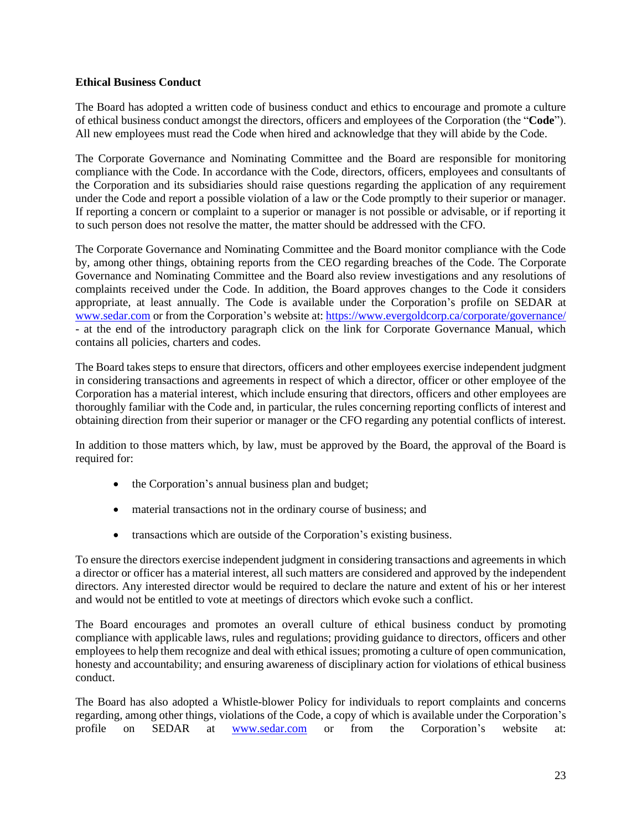#### **Ethical Business Conduct**

The Board has adopted a written code of business conduct and ethics to encourage and promote a culture of ethical business conduct amongst the directors, officers and employees of the Corporation (the "**Code**"). All new employees must read the Code when hired and acknowledge that they will abide by the Code.

The Corporate Governance and Nominating Committee and the Board are responsible for monitoring compliance with the Code. In accordance with the Code, directors, officers, employees and consultants of the Corporation and its subsidiaries should raise questions regarding the application of any requirement under the Code and report a possible violation of a law or the Code promptly to their superior or manager. If reporting a concern or complaint to a superior or manager is not possible or advisable, or if reporting it to such person does not resolve the matter, the matter should be addressed with the CFO.

The Corporate Governance and Nominating Committee and the Board monitor compliance with the Code by, among other things, obtaining reports from the CEO regarding breaches of the Code. The Corporate Governance and Nominating Committee and the Board also review investigations and any resolutions of complaints received under the Code. In addition, the Board approves changes to the Code it considers appropriate, at least annually. The Code is available under the Corporation's profile on SEDAR at [www.sedar.com](http://www.sedar.com/) or from the Corporation's website at: <https://www.evergoldcorp.ca/corporate/governance/> - at the end of the introductory paragraph click on the link for Corporate Governance Manual, which contains all policies, charters and codes.

The Board takes steps to ensure that directors, officers and other employees exercise independent judgment in considering transactions and agreements in respect of which a director, officer or other employee of the Corporation has a material interest, which include ensuring that directors, officers and other employees are thoroughly familiar with the Code and, in particular, the rules concerning reporting conflicts of interest and obtaining direction from their superior or manager or the CFO regarding any potential conflicts of interest.

In addition to those matters which, by law, must be approved by the Board, the approval of the Board is required for:

- the Corporation's annual business plan and budget;
- material transactions not in the ordinary course of business; and
- transactions which are outside of the Corporation's existing business.

To ensure the directors exercise independent judgment in considering transactions and agreements in which a director or officer has a material interest, all such matters are considered and approved by the independent directors. Any interested director would be required to declare the nature and extent of his or her interest and would not be entitled to vote at meetings of directors which evoke such a conflict.

The Board encourages and promotes an overall culture of ethical business conduct by promoting compliance with applicable laws, rules and regulations; providing guidance to directors, officers and other employees to help them recognize and deal with ethical issues; promoting a culture of open communication, honesty and accountability; and ensuring awareness of disciplinary action for violations of ethical business conduct.

The Board has also adopted a Whistle-blower Policy for individuals to report complaints and concerns regarding, among other things, violations of the Code, a copy of which is available under the Corporation's profile on SEDAR at [www.sedar.com](http://www.sedar.com/) or from the Corporation's website at: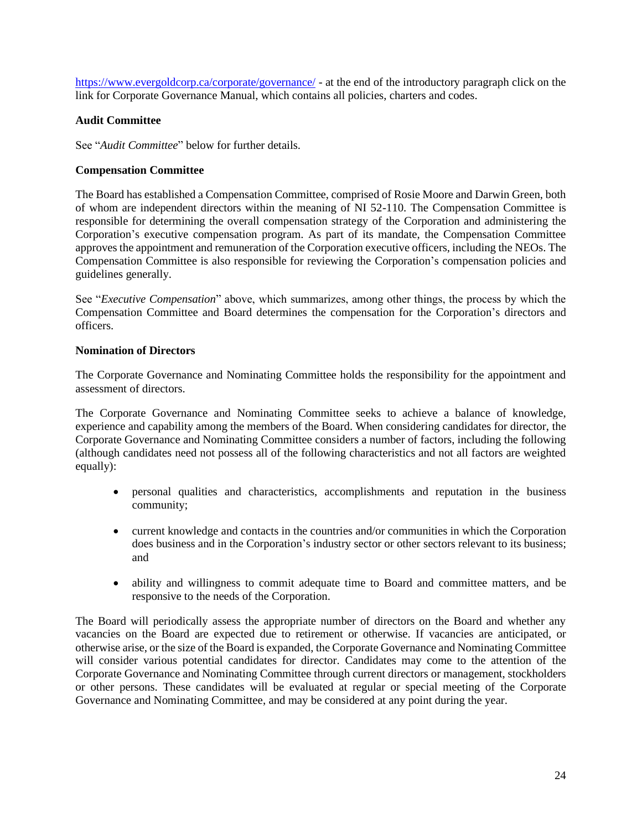<https://www.evergoldcorp.ca/corporate/governance/> - at the end of the introductory paragraph click on the link for Corporate Governance Manual, which contains all policies, charters and codes.

#### **Audit Committee**

See "*Audit Committee*" below for further details.

#### **Compensation Committee**

The Board has established a Compensation Committee, comprised of Rosie Moore and Darwin Green, both of whom are independent directors within the meaning of NI 52-110. The Compensation Committee is responsible for determining the overall compensation strategy of the Corporation and administering the Corporation's executive compensation program. As part of its mandate, the Compensation Committee approves the appointment and remuneration of the Corporation executive officers, including the NEOs. The Compensation Committee is also responsible for reviewing the Corporation's compensation policies and guidelines generally.

See "*Executive Compensation*" above, which summarizes, among other things, the process by which the Compensation Committee and Board determines the compensation for the Corporation's directors and officers.

#### **Nomination of Directors**

The Corporate Governance and Nominating Committee holds the responsibility for the appointment and assessment of directors.

The Corporate Governance and Nominating Committee seeks to achieve a balance of knowledge, experience and capability among the members of the Board. When considering candidates for director, the Corporate Governance and Nominating Committee considers a number of factors, including the following (although candidates need not possess all of the following characteristics and not all factors are weighted equally):

- personal qualities and characteristics, accomplishments and reputation in the business community;
- current knowledge and contacts in the countries and/or communities in which the Corporation does business and in the Corporation's industry sector or other sectors relevant to its business; and
- ability and willingness to commit adequate time to Board and committee matters, and be responsive to the needs of the Corporation.

The Board will periodically assess the appropriate number of directors on the Board and whether any vacancies on the Board are expected due to retirement or otherwise. If vacancies are anticipated, or otherwise arise, or the size of the Board is expanded, the Corporate Governance and Nominating Committee will consider various potential candidates for director. Candidates may come to the attention of the Corporate Governance and Nominating Committee through current directors or management, stockholders or other persons. These candidates will be evaluated at regular or special meeting of the Corporate Governance and Nominating Committee, and may be considered at any point during the year.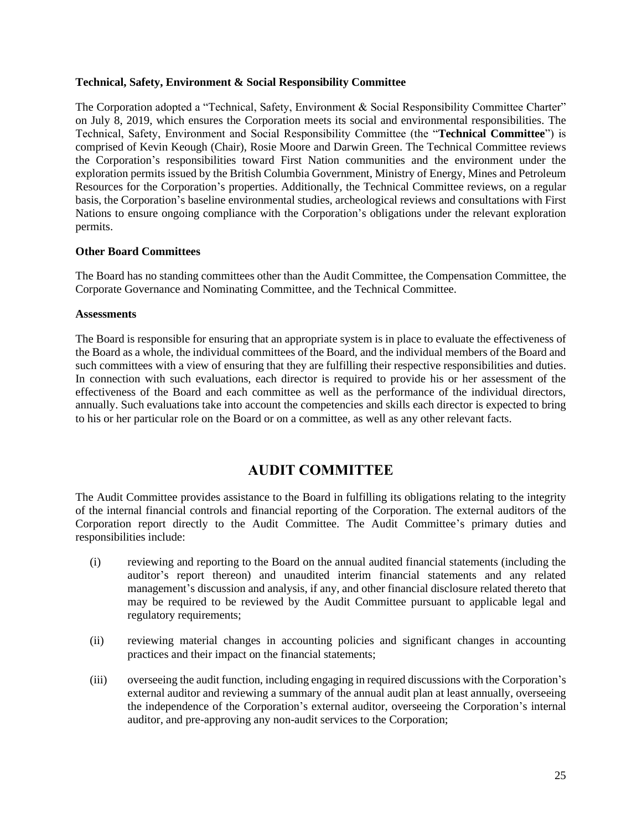#### **Technical, Safety, Environment & Social Responsibility Committee**

The Corporation adopted a "Technical, Safety, Environment & Social Responsibility Committee Charter" on July 8, 2019, which ensures the Corporation meets its social and environmental responsibilities. The Technical, Safety, Environment and Social Responsibility Committee (the "**Technical Committee**") is comprised of Kevin Keough (Chair), Rosie Moore and Darwin Green. The Technical Committee reviews the Corporation's responsibilities toward First Nation communities and the environment under the exploration permits issued by the British Columbia Government, Ministry of Energy, Mines and Petroleum Resources for the Corporation's properties. Additionally, the Technical Committee reviews, on a regular basis, the Corporation's baseline environmental studies, archeological reviews and consultations with First Nations to ensure ongoing compliance with the Corporation's obligations under the relevant exploration permits.

#### **Other Board Committees**

The Board has no standing committees other than the Audit Committee, the Compensation Committee, the Corporate Governance and Nominating Committee, and the Technical Committee.

#### **Assessments**

The Board is responsible for ensuring that an appropriate system is in place to evaluate the effectiveness of the Board as a whole, the individual committees of the Board, and the individual members of the Board and such committees with a view of ensuring that they are fulfilling their respective responsibilities and duties. In connection with such evaluations, each director is required to provide his or her assessment of the effectiveness of the Board and each committee as well as the performance of the individual directors, annually. Such evaluations take into account the competencies and skills each director is expected to bring to his or her particular role on the Board or on a committee, as well as any other relevant facts.

### **AUDIT COMMITTEE**

The Audit Committee provides assistance to the Board in fulfilling its obligations relating to the integrity of the internal financial controls and financial reporting of the Corporation. The external auditors of the Corporation report directly to the Audit Committee. The Audit Committee's primary duties and responsibilities include:

- (i) reviewing and reporting to the Board on the annual audited financial statements (including the auditor's report thereon) and unaudited interim financial statements and any related management's discussion and analysis, if any, and other financial disclosure related thereto that may be required to be reviewed by the Audit Committee pursuant to applicable legal and regulatory requirements;
- (ii) reviewing material changes in accounting policies and significant changes in accounting practices and their impact on the financial statements;
- (iii) overseeing the audit function, including engaging in required discussions with the Corporation's external auditor and reviewing a summary of the annual audit plan at least annually, overseeing the independence of the Corporation's external auditor, overseeing the Corporation's internal auditor, and pre-approving any non-audit services to the Corporation;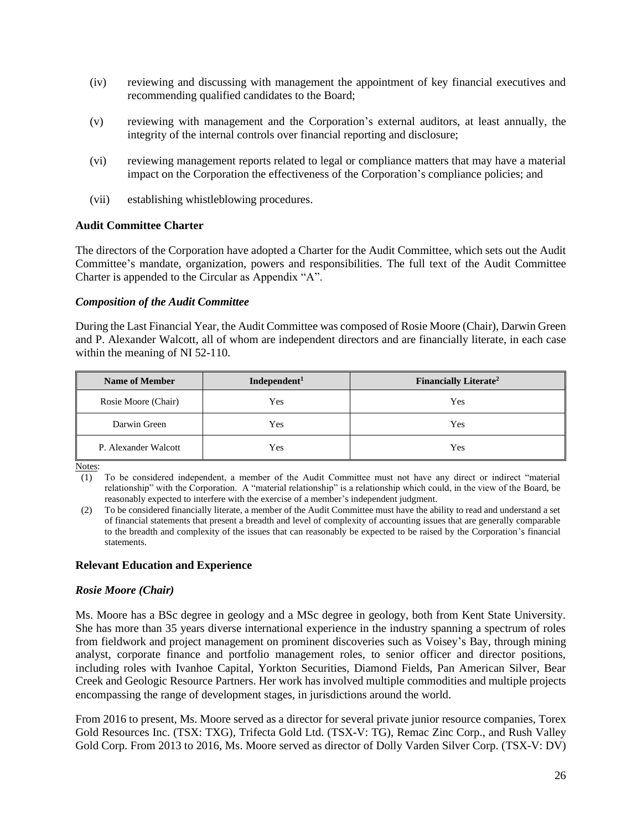- (iv) reviewing and discussing with management the appointment of key financial executives and recommending qualified candidates to the Board;
- (v) reviewing with management and the Corporation's external auditors, at least annually, the integrity of the internal controls over financial reporting and disclosure;
- (vi) reviewing management reports related to legal or compliance matters that may have a material impact on the Corporation the effectiveness of the Corporation's compliance policies; and
- (vii) establishing whistleblowing procedures.

#### **Audit Committee Charter**

The directors of the Corporation have adopted a Charter for the Audit Committee, which sets out the Audit Committee's mandate, organization, powers and responsibilities. The full text of the Audit Committee Charter is appended to the Circular as Appendix "A".

#### *Composition of the Audit Committee*

During the Last Financial Year, the Audit Committee was composed of Rosie Moore (Chair), Darwin Green and P. Alexander Walcott, all of whom are independent directors and are financially literate, in each case within the meaning of NI 52-110.

| <b>Name of Member</b> | Independent <sup>1</sup> | Financially Literate <sup>2</sup> |
|-----------------------|--------------------------|-----------------------------------|
| Rosie Moore (Chair)   | Yes                      | Yes                               |
| Darwin Green          | Yes                      | Yes                               |
| P. Alexander Walcott  | Yes                      | Yes                               |

Notes:

(1) To be considered independent, a member of the Audit Committee must not have any direct or indirect "material relationship" with the Corporation. A "material relationship" is a relationship which could, in the view of the Board, be reasonably expected to interfere with the exercise of a member's independent judgment.

(2) To be considered financially literate, a member of the Audit Committee must have the ability to read and understand a set of financial statements that present a breadth and level of complexity of accounting issues that are generally comparable to the breadth and complexity of the issues that can reasonably be expected to be raised by the Corporation's financial statements.

#### **Relevant Education and Experience**

#### *Rosie Moore (Chair)*

Ms. Moore has a BSc degree in geology and a MSc degree in geology, both from Kent State University. She has more than 35 years diverse international experience in the industry spanning a spectrum of roles from fieldwork and project management on prominent discoveries such as Voisey's Bay, through mining analyst, corporate finance and portfolio management roles, to senior officer and director positions, including roles with Ivanhoe Capital, Yorkton Securities, Diamond Fields, Pan American Silver, Bear Creek and Geologic Resource Partners. Her work has involved multiple commodities and multiple projects encompassing the range of development stages, in jurisdictions around the world.

From 2016 to present, Ms. Moore served as a director for several private junior resource companies, Torex Gold Resources Inc. (TSX: TXG), Trifecta Gold Ltd. (TSX-V: TG), Remac Zinc Corp., and Rush Valley Gold Corp. From 2013 to 2016, Ms. Moore served as director of Dolly Varden Silver Corp. (TSX-V: DV)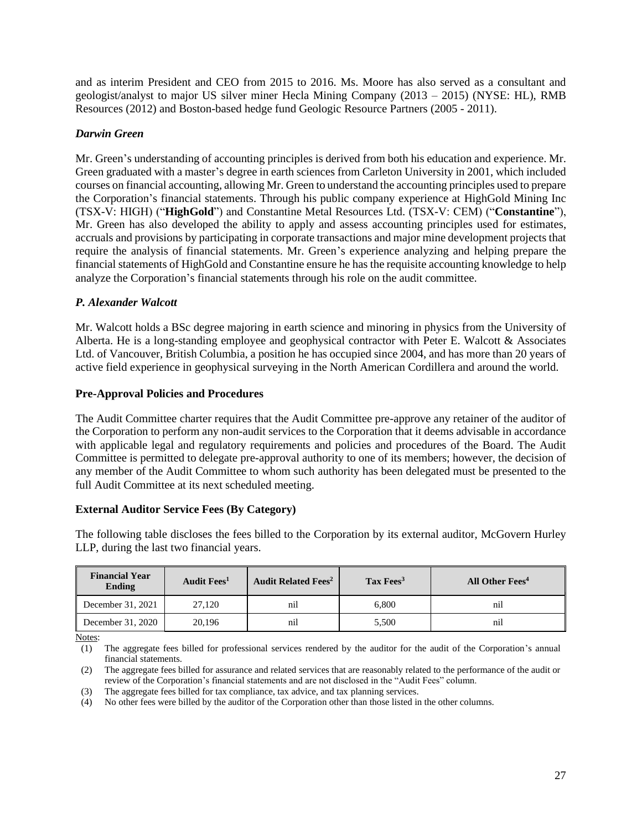and as interim President and CEO from 2015 to 2016. Ms. Moore has also served as a consultant and geologist/analyst to major US silver miner Hecla Mining Company (2013 – 2015) (NYSE: HL), RMB Resources (2012) and Boston-based hedge fund Geologic Resource Partners (2005 - 2011).

#### *Darwin Green*

Mr. Green's understanding of accounting principles is derived from both his education and experience. Mr. Green graduated with a master's degree in earth sciences from Carleton University in 2001, which included courses on financial accounting, allowing Mr. Green to understand the accounting principles used to prepare the Corporation's financial statements. Through his public company experience at HighGold Mining Inc (TSX-V: HIGH) ("**HighGold**") and Constantine Metal Resources Ltd. (TSX-V: CEM) ("**Constantine**"), Mr. Green has also developed the ability to apply and assess accounting principles used for estimates, accruals and provisions by participating in corporate transactions and major mine development projects that require the analysis of financial statements. Mr. Green's experience analyzing and helping prepare the financial statements of HighGold and Constantine ensure he has the requisite accounting knowledge to help analyze the Corporation's financial statements through his role on the audit committee.

#### *P. Alexander Walcott*

Mr. Walcott holds a BSc degree majoring in earth science and minoring in physics from the University of Alberta. He is a long-standing employee and geophysical contractor with Peter E. Walcott & Associates Ltd. of Vancouver, British Columbia, a position he has occupied since 2004, and has more than 20 years of active field experience in geophysical surveying in the North American Cordillera and around the world.

#### **Pre-Approval Policies and Procedures**

The Audit Committee charter requires that the Audit Committee pre-approve any retainer of the auditor of the Corporation to perform any non-audit services to the Corporation that it deems advisable in accordance with applicable legal and regulatory requirements and policies and procedures of the Board. The Audit Committee is permitted to delegate pre-approval authority to one of its members; however, the decision of any member of the Audit Committee to whom such authority has been delegated must be presented to the full Audit Committee at its next scheduled meeting.

#### **External Auditor Service Fees (By Category)**

The following table discloses the fees billed to the Corporation by its external auditor, McGovern Hurley LLP, during the last two financial years.

| <b>Financial Year</b><br>Ending | Audit Fees <sup>1</sup> | <b>Audit Related Fees<sup>2</sup></b> | Tax Fees <sup>3</sup> | All Other Fees <sup>4</sup> |
|---------------------------------|-------------------------|---------------------------------------|-----------------------|-----------------------------|
| December 31, 2021               | 27,120                  | nıl                                   | 6.800                 | nıl                         |
| December 31, 2020               | 20.196                  | nıı                                   | 5,500                 | nıl                         |

Notes:

(1) The aggregate fees billed for professional services rendered by the auditor for the audit of the Corporation's annual financial statements.

(2) The aggregate fees billed for assurance and related services that are reasonably related to the performance of the audit or review of the Corporation's financial statements and are not disclosed in the "Audit Fees" column.

(4) No other fees were billed by the auditor of the Corporation other than those listed in the other columns.

<sup>(3)</sup> The aggregate fees billed for tax compliance, tax advice, and tax planning services.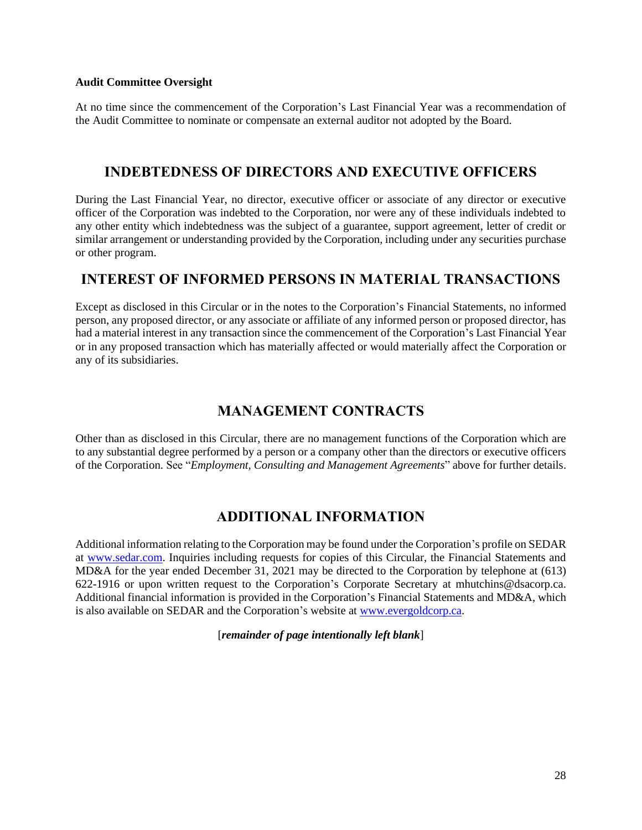#### **Audit Committee Oversight**

At no time since the commencement of the Corporation's Last Financial Year was a recommendation of the Audit Committee to nominate or compensate an external auditor not adopted by the Board.

### **INDEBTEDNESS OF DIRECTORS AND EXECUTIVE OFFICERS**

During the Last Financial Year, no director, executive officer or associate of any director or executive officer of the Corporation was indebted to the Corporation, nor were any of these individuals indebted to any other entity which indebtedness was the subject of a guarantee, support agreement, letter of credit or similar arrangement or understanding provided by the Corporation, including under any securities purchase or other program.

### **INTEREST OF INFORMED PERSONS IN MATERIAL TRANSACTIONS**

Except as disclosed in this Circular or in the notes to the Corporation's Financial Statements, no informed person, any proposed director, or any associate or affiliate of any informed person or proposed director, has had a material interest in any transaction since the commencement of the Corporation's Last Financial Year or in any proposed transaction which has materially affected or would materially affect the Corporation or any of its subsidiaries.

## **MANAGEMENT CONTRACTS**

Other than as disclosed in this Circular, there are no management functions of the Corporation which are to any substantial degree performed by a person or a company other than the directors or executive officers of the Corporation. See "*Employment, Consulting and Management Agreements*" above for further details.

## **ADDITIONAL INFORMATION**

Additional information relating to the Corporation may be found under the Corporation's profile on SEDAR at [www.sedar.com.](http://www.sedar.com/) Inquiries including requests for copies of this Circular, the Financial Statements and MD&A for the year ended December 31, 2021 may be directed to the Corporation by telephone at (613) 622-1916 or upon written request to the Corporation's Corporate Secretary at mhutchins@dsacorp.ca. Additional financial information is provided in the Corporation's Financial Statements and MD&A, which is also available on SEDAR and the Corporation's website at [www.evergoldcorp.ca.](http://www.evergoldcorp.ca/)

[*remainder of page intentionally left blank*]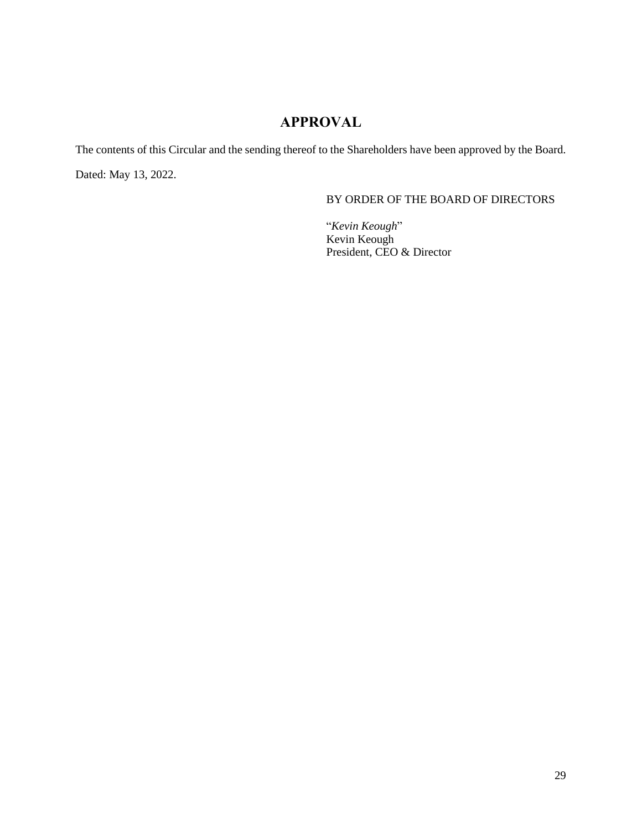## **APPROVAL**

The contents of this Circular and the sending thereof to the Shareholders have been approved by the Board. Dated: May 13, 2022.

#### BY ORDER OF THE BOARD OF DIRECTORS

"*Kevin Keough*" Kevin Keough President, CEO & Director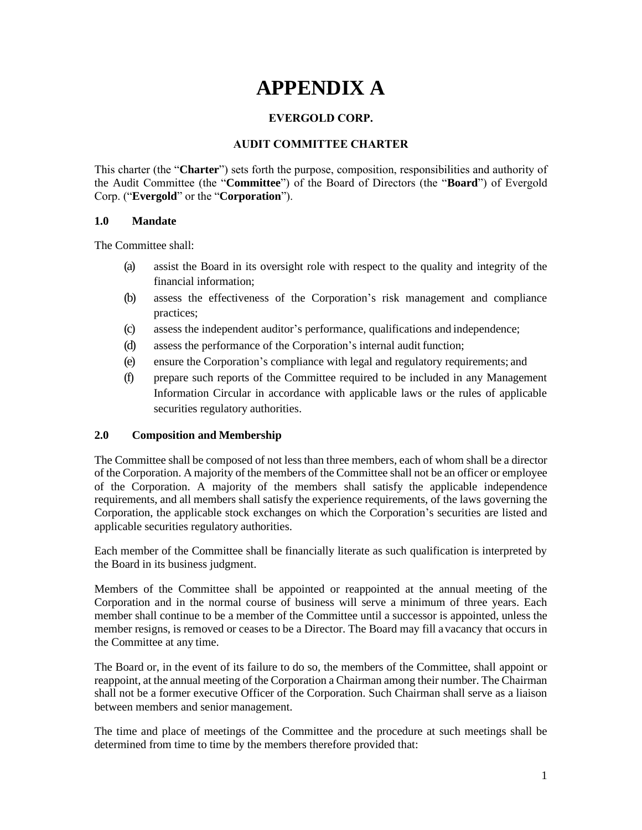## **APPENDIX A**

#### **EVERGOLD CORP.**

#### **AUDIT COMMITTEE CHARTER**

This charter (the "**Charter**") sets forth the purpose, composition, responsibilities and authority of the Audit Committee (the "**Committee**") of the Board of Directors (the "**Board**") of Evergold Corp. ("**Evergold**" or the "**Corporation**").

#### **1.0 Mandate**

The Committee shall:

- (a) assist the Board in its oversight role with respect to the quality and integrity of the financial information;
- (b) assess the effectiveness of the Corporation's risk management and compliance practices;
- (c) assess the independent auditor's performance, qualifications and independence;
- (d) assess the performance of the Corporation's internal audit function;
- (e) ensure the Corporation's compliance with legal and regulatory requirements; and
- (f) prepare such reports of the Committee required to be included in any Management Information Circular in accordance with applicable laws or the rules of applicable securities regulatory authorities.

#### **2.0 Composition and Membership**

The Committee shall be composed of not less than three members, each of whom shall be a director of the Corporation. A majority of the members of the Committee shall not be an officer or employee of the Corporation. A majority of the members shall satisfy the applicable independence requirements, and all members shall satisfy the experience requirements, of the laws governing the Corporation, the applicable stock exchanges on which the Corporation's securities are listed and applicable securities regulatory authorities.

Each member of the Committee shall be financially literate as such qualification is interpreted by the Board in its business judgment.

Members of the Committee shall be appointed or reappointed at the annual meeting of the Corporation and in the normal course of business will serve a minimum of three years. Each member shall continue to be a member of the Committee until a successor is appointed, unless the member resigns, is removed or ceases to be a Director. The Board may fill avacancy that occurs in the Committee at any time.

The Board or, in the event of its failure to do so, the members of the Committee, shall appoint or reappoint, at the annual meeting of the Corporation a Chairman among their number. The Chairman shall not be a former executive Officer of the Corporation. Such Chairman shall serve as a liaison between members and senior management.

The time and place of meetings of the Committee and the procedure at such meetings shall be determined from time to time by the members therefore provided that: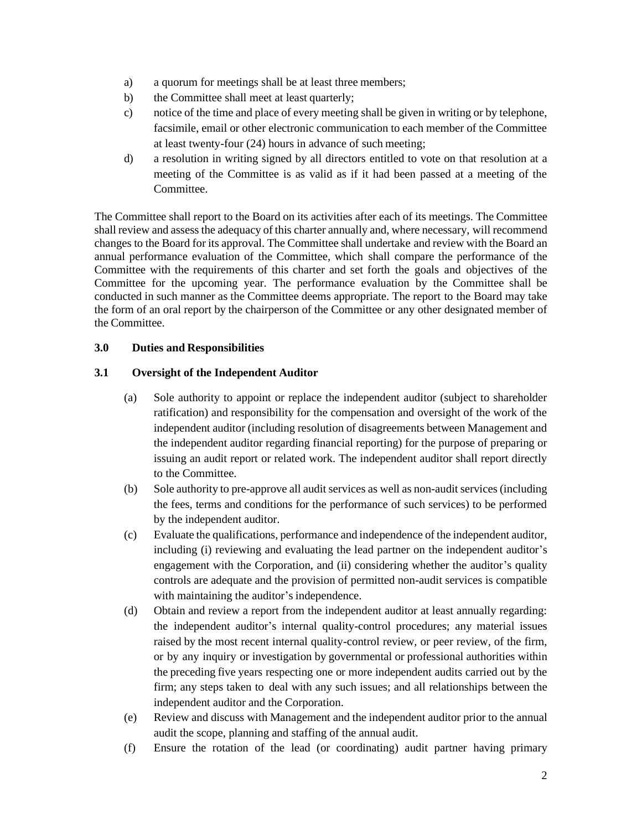- a) a quorum for meetings shall be at least three members;
- b) the Committee shall meet at least quarterly;
- c) notice of the time and place of every meeting shall be given in writing or by telephone, facsimile, email or other electronic communication to each member of the Committee at least twenty-four (24) hours in advance of such meeting;
- d) a resolution in writing signed by all directors entitled to vote on that resolution at a meeting of the Committee is as valid as if it had been passed at a meeting of the Committee.

The Committee shall report to the Board on its activities after each of its meetings. The Committee shall review and assess the adequacy of this charter annually and, where necessary, will recommend changes to the Board for its approval. The Committee shall undertake and review with the Board an annual performance evaluation of the Committee, which shall compare the performance of the Committee with the requirements of this charter and set forth the goals and objectives of the Committee for the upcoming year. The performance evaluation by the Committee shall be conducted in such manner as the Committee deems appropriate. The report to the Board may take the form of an oral report by the chairperson of the Committee or any other designated member of the Committee.

#### **3.0 Duties and Responsibilities**

#### **3.1 Oversight of the Independent Auditor**

- (a) Sole authority to appoint or replace the independent auditor (subject to shareholder ratification) and responsibility for the compensation and oversight of the work of the independent auditor (including resolution of disagreements between Management and the independent auditor regarding financial reporting) for the purpose of preparing or issuing an audit report or related work. The independent auditor shall report directly to the Committee.
- (b) Sole authority to pre-approve all audit services as well as non-audit services (including the fees, terms and conditions for the performance of such services) to be performed by the independent auditor.
- (c) Evaluate the qualifications, performance and independence of the independent auditor, including (i) reviewing and evaluating the lead partner on the independent auditor's engagement with the Corporation, and (ii) considering whether the auditor's quality controls are adequate and the provision of permitted non-audit services is compatible with maintaining the auditor's independence.
- (d) Obtain and review a report from the independent auditor at least annually regarding: the independent auditor's internal quality-control procedures; any material issues raised by the most recent internal quality-control review, or peer review, of the firm, or by any inquiry or investigation by governmental or professional authorities within the preceding five years respecting one or more independent audits carried out by the firm; any steps taken to deal with any such issues; and all relationships between the independent auditor and the Corporation.
- (e) Review and discuss with Management and the independent auditor prior to the annual audit the scope, planning and staffing of the annual audit.
- (f) Ensure the rotation of the lead (or coordinating) audit partner having primary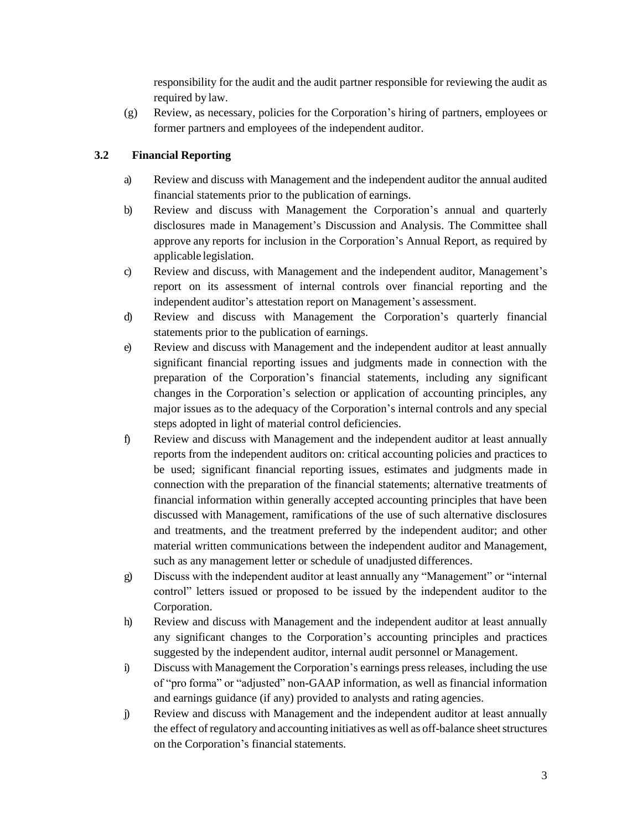responsibility for the audit and the audit partner responsible for reviewing the audit as required by law.

(g) Review, as necessary, policies for the Corporation's hiring of partners, employees or former partners and employees of the independent auditor.

#### **3.2 Financial Reporting**

- a) Review and discuss with Management and the independent auditor the annual audited financial statements prior to the publication of earnings.
- b) Review and discuss with Management the Corporation's annual and quarterly disclosures made in Management's Discussion and Analysis. The Committee shall approve any reports for inclusion in the Corporation's Annual Report, as required by applicable legislation.
- c) Review and discuss, with Management and the independent auditor, Management's report on its assessment of internal controls over financial reporting and the independent auditor's attestation report on Management's assessment.
- d) Review and discuss with Management the Corporation's quarterly financial statements prior to the publication of earnings.
- e) Review and discuss with Management and the independent auditor at least annually significant financial reporting issues and judgments made in connection with the preparation of the Corporation's financial statements, including any significant changes in the Corporation's selection or application of accounting principles, any major issues as to the adequacy of the Corporation's internal controls and any special steps adopted in light of material control deficiencies.
- f) Review and discuss with Management and the independent auditor at least annually reports from the independent auditors on: critical accounting policies and practices to be used; significant financial reporting issues, estimates and judgments made in connection with the preparation of the financial statements; alternative treatments of financial information within generally accepted accounting principles that have been discussed with Management, ramifications of the use of such alternative disclosures and treatments, and the treatment preferred by the independent auditor; and other material written communications between the independent auditor and Management, such as any management letter or schedule of unadjusted differences.
- g) Discuss with the independent auditor at least annually any "Management" or "internal control" letters issued or proposed to be issued by the independent auditor to the Corporation.
- h) Review and discuss with Management and the independent auditor at least annually any significant changes to the Corporation's accounting principles and practices suggested by the independent auditor, internal audit personnel or Management.
- i) Discuss with Management the Corporation's earnings press releases, including the use of "pro forma" or "adjusted" non-GAAP information, as well as financial information and earnings guidance (if any) provided to analysts and rating agencies.
- j) Review and discuss with Management and the independent auditor at least annually the effect of regulatory and accounting initiatives as well as off-balance sheet structures on the Corporation's financial statements.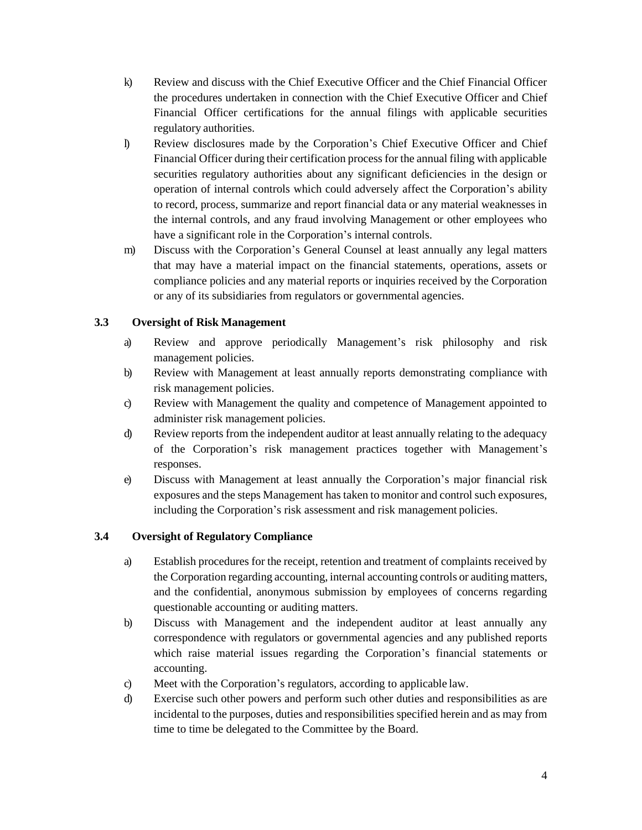- k) Review and discuss with the Chief Executive Officer and the Chief Financial Officer the procedures undertaken in connection with the Chief Executive Officer and Chief Financial Officer certifications for the annual filings with applicable securities regulatory authorities.
- l) Review disclosures made by the Corporation's Chief Executive Officer and Chief Financial Officer during their certification process for the annual filing with applicable securities regulatory authorities about any significant deficiencies in the design or operation of internal controls which could adversely affect the Corporation's ability to record, process, summarize and report financial data or any material weaknesses in the internal controls, and any fraud involving Management or other employees who have a significant role in the Corporation's internal controls.
- m) Discuss with the Corporation's General Counsel at least annually any legal matters that may have a material impact on the financial statements, operations, assets or compliance policies and any material reports or inquiries received by the Corporation or any of its subsidiaries from regulators or governmental agencies.

#### **3.3 Oversight of Risk Management**

- a) Review and approve periodically Management's risk philosophy and risk management policies.
- b) Review with Management at least annually reports demonstrating compliance with risk management policies.
- c) Review with Management the quality and competence of Management appointed to administer risk management policies.
- d) Review reports from the independent auditor at least annually relating to the adequacy of the Corporation's risk management practices together with Management's responses.
- e) Discuss with Management at least annually the Corporation's major financial risk exposures and the steps Management has taken to monitor and control such exposures, including the Corporation's risk assessment and risk management policies.

#### **3.4 Oversight of Regulatory Compliance**

- a) Establish procedures for the receipt, retention and treatment of complaints received by the Corporation regarding accounting, internal accounting controls or auditing matters, and the confidential, anonymous submission by employees of concerns regarding questionable accounting or auditing matters.
- b) Discuss with Management and the independent auditor at least annually any correspondence with regulators or governmental agencies and any published reports which raise material issues regarding the Corporation's financial statements or accounting.
- c) Meet with the Corporation's regulators, according to applicable law.
- d) Exercise such other powers and perform such other duties and responsibilities as are incidental to the purposes, duties and responsibilities specified herein and as may from time to time be delegated to the Committee by the Board.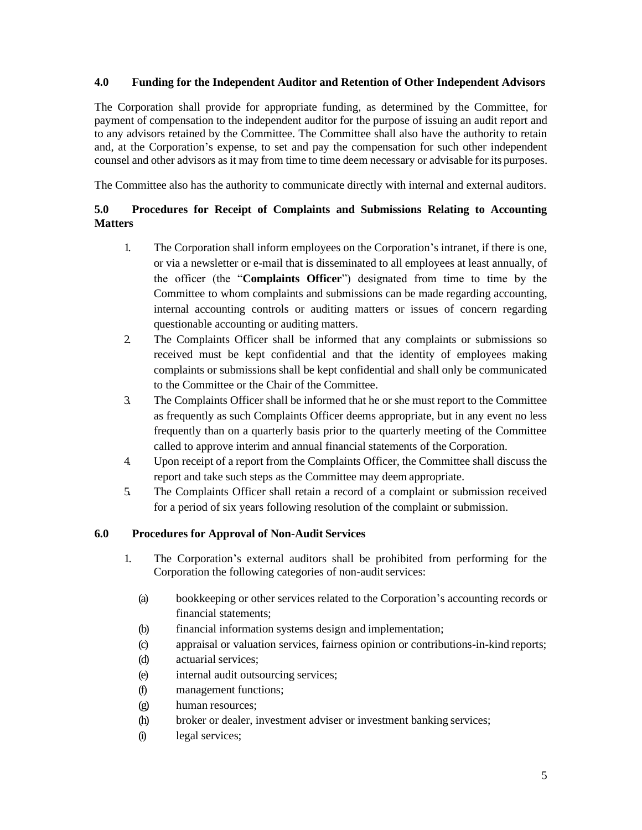#### **4.0 Funding for the Independent Auditor and Retention of Other Independent Advisors**

The Corporation shall provide for appropriate funding, as determined by the Committee, for payment of compensation to the independent auditor for the purpose of issuing an audit report and to any advisors retained by the Committee. The Committee shall also have the authority to retain and, at the Corporation's expense, to set and pay the compensation for such other independent counsel and other advisors as it may from time to time deem necessary or advisable for its purposes.

The Committee also has the authority to communicate directly with internal and external auditors.

#### **5.0 Procedures for Receipt of Complaints and Submissions Relating to Accounting Matters**

- 1. The Corporation shall inform employees on the Corporation's intranet, if there is one, or via a newsletter or e-mail that is disseminated to all employees at least annually, of the officer (the "**Complaints Officer**") designated from time to time by the Committee to whom complaints and submissions can be made regarding accounting, internal accounting controls or auditing matters or issues of concern regarding questionable accounting or auditing matters.
- 2. The Complaints Officer shall be informed that any complaints or submissions so received must be kept confidential and that the identity of employees making complaints or submissions shall be kept confidential and shall only be communicated to the Committee or the Chair of the Committee.
- 3. The Complaints Officer shall be informed that he or she must report to the Committee as frequently as such Complaints Officer deems appropriate, but in any event no less frequently than on a quarterly basis prior to the quarterly meeting of the Committee called to approve interim and annual financial statements of the Corporation.
- 4. Upon receipt of a report from the Complaints Officer, the Committee shall discuss the report and take such steps as the Committee may deem appropriate.
- 5. The Complaints Officer shall retain a record of a complaint or submission received for a period of six years following resolution of the complaint or submission.

#### **6.0 Procedures for Approval of Non-Audit Services**

- 1. The Corporation's external auditors shall be prohibited from performing for the Corporation the following categories of non-audit services:
	- (a) bookkeeping or other services related to the Corporation's accounting records or financial statements;
	- (b) financial information systems design and implementation;
	- (c) appraisal or valuation services, fairness opinion or contributions-in-kind reports;
	- (d) actuarial services;
	- (e) internal audit outsourcing services;
	- (f) management functions;
	- (g) human resources;
	- (h) broker or dealer, investment adviser or investment banking services;
	- (i) legal services;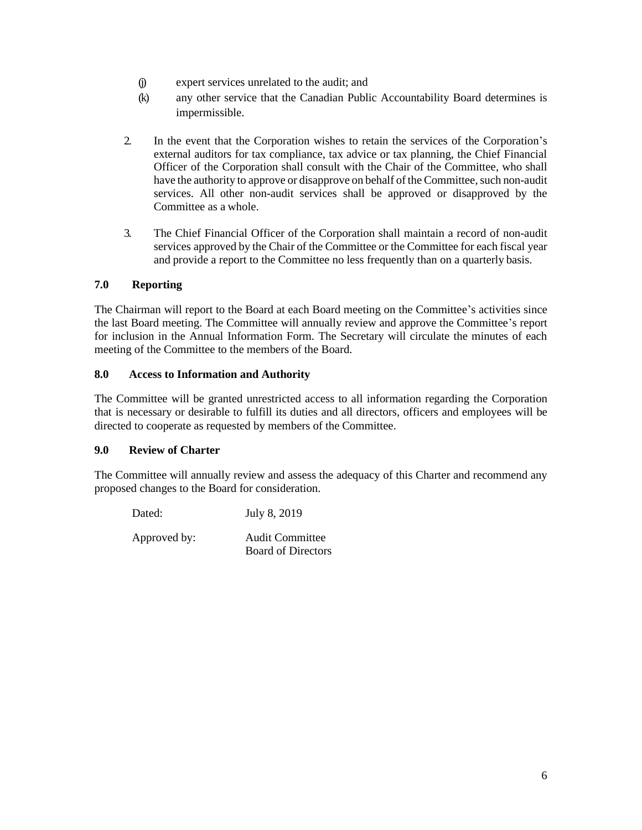- (j) expert services unrelated to the audit; and
- (k) any other service that the Canadian Public Accountability Board determines is impermissible.
- 2. In the event that the Corporation wishes to retain the services of the Corporation's external auditors for tax compliance, tax advice or tax planning, the Chief Financial Officer of the Corporation shall consult with the Chair of the Committee, who shall have the authority to approve or disapprove on behalf of the Committee, such non-audit services. All other non-audit services shall be approved or disapproved by the Committee as a whole.
- 3. The Chief Financial Officer of the Corporation shall maintain a record of non-audit services approved by the Chair of the Committee or the Committee for each fiscal year and provide a report to the Committee no less frequently than on a quarterly basis.

#### **7.0 Reporting**

The Chairman will report to the Board at each Board meeting on the Committee's activities since the last Board meeting. The Committee will annually review and approve the Committee's report for inclusion in the Annual Information Form. The Secretary will circulate the minutes of each meeting of the Committee to the members of the Board.

#### **8.0 Access to Information and Authority**

The Committee will be granted unrestricted access to all information regarding the Corporation that is necessary or desirable to fulfill its duties and all directors, officers and employees will be directed to cooperate as requested by members of the Committee.

#### **9.0 Review of Charter**

The Committee will annually review and assess the adequacy of this Charter and recommend any proposed changes to the Board for consideration.

| Dated:       | July 8, 2019                                        |
|--------------|-----------------------------------------------------|
| Approved by: | <b>Audit Committee</b><br><b>Board of Directors</b> |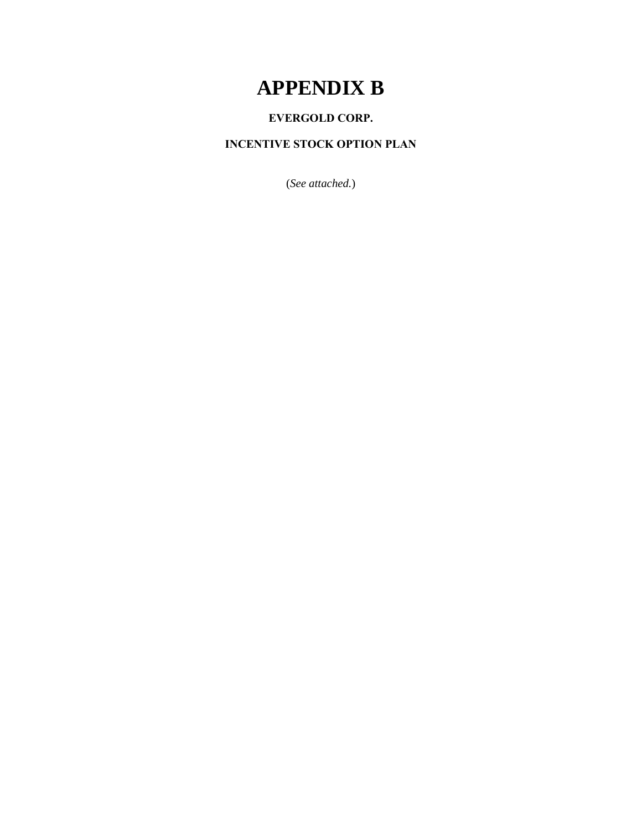## **APPENDIX B**

### **EVERGOLD CORP.**

### **INCENTIVE STOCK OPTION PLAN**

(*See attached.*)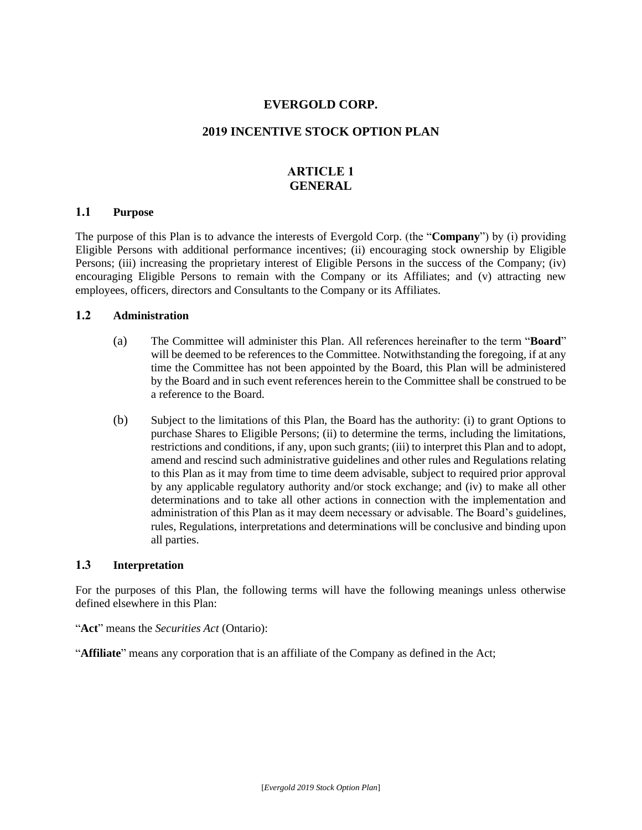#### **EVERGOLD CORP.**

#### **2019 INCENTIVE STOCK OPTION PLAN**

#### **ARTICLE 1 GENERAL**

#### **1.1 Purpose**

The purpose of this Plan is to advance the interests of Evergold Corp. (the "**Company**") by (i) providing Eligible Persons with additional performance incentives; (ii) encouraging stock ownership by Eligible Persons; (iii) increasing the proprietary interest of Eligible Persons in the success of the Company; (iv) encouraging Eligible Persons to remain with the Company or its Affiliates; and (v) attracting new employees, officers, directors and Consultants to the Company or its Affiliates.

#### **1.2 Administration**

- (a) The Committee will administer this Plan. All references hereinafter to the term "**Board**" will be deemed to be references to the Committee. Notwithstanding the foregoing, if at any time the Committee has not been appointed by the Board, this Plan will be administered by the Board and in such event references herein to the Committee shall be construed to be a reference to the Board.
- (b) Subject to the limitations of this Plan, the Board has the authority: (i) to grant Options to purchase Shares to Eligible Persons; (ii) to determine the terms, including the limitations, restrictions and conditions, if any, upon such grants; (iii) to interpret this Plan and to adopt, amend and rescind such administrative guidelines and other rules and Regulations relating to this Plan as it may from time to time deem advisable, subject to required prior approval by any applicable regulatory authority and/or stock exchange; and (iv) to make all other determinations and to take all other actions in connection with the implementation and administration of this Plan as it may deem necessary or advisable. The Board's guidelines, rules, Regulations, interpretations and determinations will be conclusive and binding upon all parties.

#### **1.3 Interpretation**

For the purposes of this Plan, the following terms will have the following meanings unless otherwise defined elsewhere in this Plan:

"**Affiliate**" means any corporation that is an affiliate of the Company as defined in the Act;

<sup>&</sup>quot;**Act**" means the *Securities Act* (Ontario):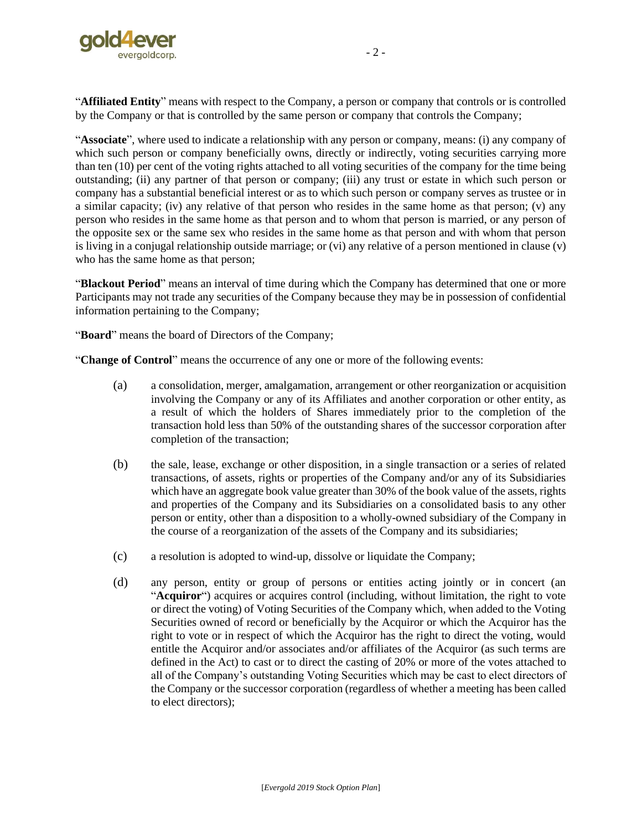

"**Affiliated Entity**" means with respect to the Company, a person or company that controls or is controlled by the Company or that is controlled by the same person or company that controls the Company;

"**Associate**", where used to indicate a relationship with any person or company, means: (i) any company of which such person or company beneficially owns, directly or indirectly, voting securities carrying more than ten (10) per cent of the voting rights attached to all voting securities of the company for the time being outstanding; (ii) any partner of that person or company; (iii) any trust or estate in which such person or company has a substantial beneficial interest or as to which such person or company serves as trustee or in a similar capacity; (iv) any relative of that person who resides in the same home as that person; (v) any person who resides in the same home as that person and to whom that person is married, or any person of the opposite sex or the same sex who resides in the same home as that person and with whom that person is living in a conjugal relationship outside marriage; or (vi) any relative of a person mentioned in clause (v) who has the same home as that person;

"**Blackout Period**" means an interval of time during which the Company has determined that one or more Participants may not trade any securities of the Company because they may be in possession of confidential information pertaining to the Company;

"**Board**" means the board of Directors of the Company;

"**Change of Control**" means the occurrence of any one or more of the following events:

- (a) a consolidation, merger, amalgamation, arrangement or other reorganization or acquisition involving the Company or any of its Affiliates and another corporation or other entity, as a result of which the holders of Shares immediately prior to the completion of the transaction hold less than 50% of the outstanding shares of the successor corporation after completion of the transaction;
- (b) the sale, lease, exchange or other disposition, in a single transaction or a series of related transactions, of assets, rights or properties of the Company and/or any of its Subsidiaries which have an aggregate book value greater than 30% of the book value of the assets, rights and properties of the Company and its Subsidiaries on a consolidated basis to any other person or entity, other than a disposition to a wholly-owned subsidiary of the Company in the course of a reorganization of the assets of the Company and its subsidiaries;
- (c) a resolution is adopted to wind-up, dissolve or liquidate the Company;
- (d) any person, entity or group of persons or entities acting jointly or in concert (an "**Acquiror**") acquires or acquires control (including, without limitation, the right to vote or direct the voting) of Voting Securities of the Company which, when added to the Voting Securities owned of record or beneficially by the Acquiror or which the Acquiror has the right to vote or in respect of which the Acquiror has the right to direct the voting, would entitle the Acquiror and/or associates and/or affiliates of the Acquiror (as such terms are defined in the Act) to cast or to direct the casting of 20% or more of the votes attached to all of the Company's outstanding Voting Securities which may be cast to elect directors of the Company or the successor corporation (regardless of whether a meeting has been called to elect directors);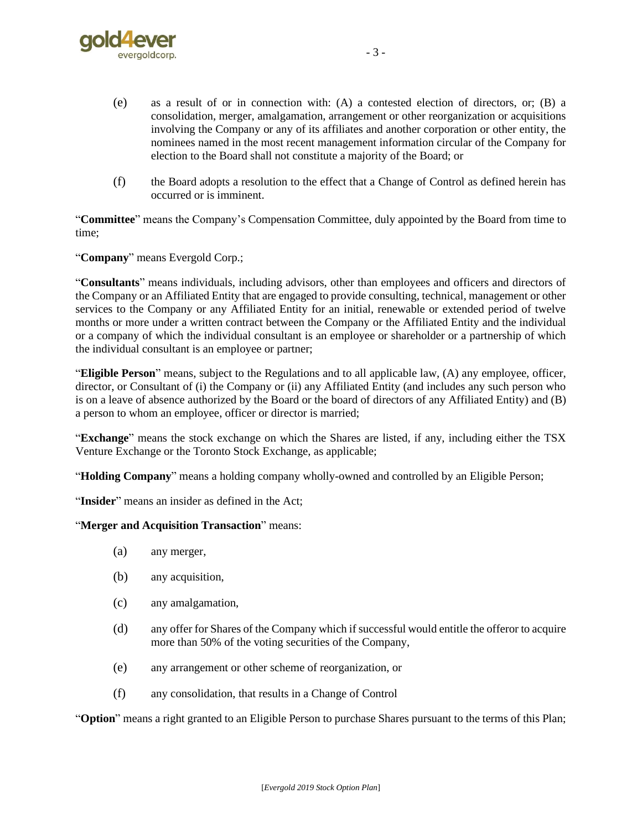

- 3 -

- (e) as a result of or in connection with: (A) a contested election of directors, or; (B) a consolidation, merger, amalgamation, arrangement or other reorganization or acquisitions involving the Company or any of its affiliates and another corporation or other entity, the nominees named in the most recent management information circular of the Company for election to the Board shall not constitute a majority of the Board; or
- (f) the Board adopts a resolution to the effect that a Change of Control as defined herein has occurred or is imminent.

"**Committee**" means the Company's Compensation Committee, duly appointed by the Board from time to time;

"**Company**" means Evergold Corp.;

"**Consultants**" means individuals, including advisors, other than employees and officers and directors of the Company or an Affiliated Entity that are engaged to provide consulting, technical, management or other services to the Company or any Affiliated Entity for an initial, renewable or extended period of twelve months or more under a written contract between the Company or the Affiliated Entity and the individual or a company of which the individual consultant is an employee or shareholder or a partnership of which the individual consultant is an employee or partner;

"**Eligible Person**" means, subject to the Regulations and to all applicable law, (A) any employee, officer, director, or Consultant of (i) the Company or (ii) any Affiliated Entity (and includes any such person who is on a leave of absence authorized by the Board or the board of directors of any Affiliated Entity) and (B) a person to whom an employee, officer or director is married;

"**Exchange**" means the stock exchange on which the Shares are listed, if any, including either the TSX Venture Exchange or the Toronto Stock Exchange, as applicable;

"**Holding Company**" means a holding company wholly-owned and controlled by an Eligible Person;

"Insider" means an insider as defined in the Act;

"**Merger and Acquisition Transaction**" means:

- (a) any merger,
- (b) any acquisition,
- (c) any amalgamation,
- (d) any offer for Shares of the Company which if successful would entitle the offeror to acquire more than 50% of the voting securities of the Company,
- (e) any arrangement or other scheme of reorganization, or
- (f) any consolidation, that results in a Change of Control

"**Option**" means a right granted to an Eligible Person to purchase Shares pursuant to the terms of this Plan;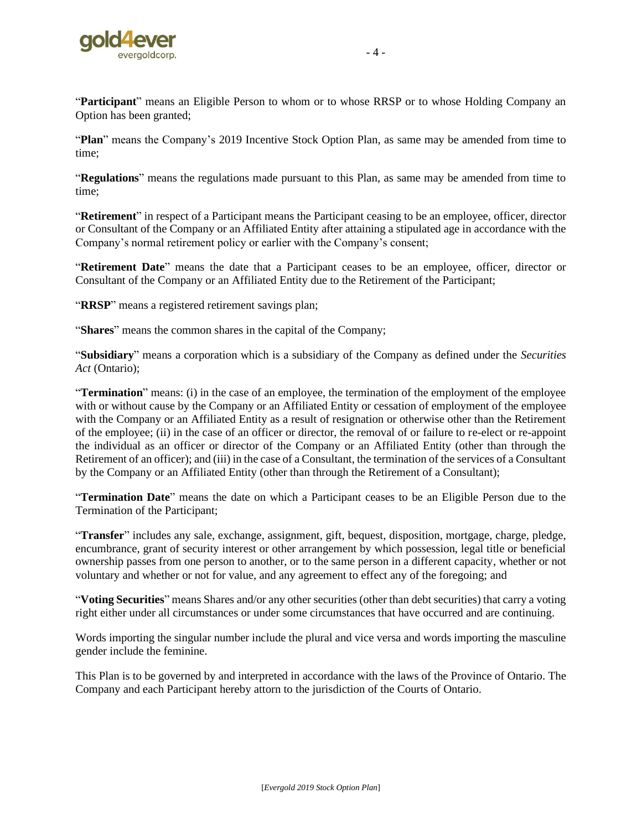

"**Plan**" means the Company's 2019 Incentive Stock Option Plan, as same may be amended from time to time;

"**Regulations**" means the regulations made pursuant to this Plan, as same may be amended from time to time;

"**Retirement**" in respect of a Participant means the Participant ceasing to be an employee, officer, director or Consultant of the Company or an Affiliated Entity after attaining a stipulated age in accordance with the Company's normal retirement policy or earlier with the Company's consent;

"**Retirement Date**" means the date that a Participant ceases to be an employee, officer, director or Consultant of the Company or an Affiliated Entity due to the Retirement of the Participant;

"**RRSP**" means a registered retirement savings plan;

"**Shares**" means the common shares in the capital of the Company;

"**Subsidiary**" means a corporation which is a subsidiary of the Company as defined under the *Securities Act* (Ontario);

"**Termination**" means: (i) in the case of an employee, the termination of the employment of the employee with or without cause by the Company or an Affiliated Entity or cessation of employment of the employee with the Company or an Affiliated Entity as a result of resignation or otherwise other than the Retirement of the employee; (ii) in the case of an officer or director, the removal of or failure to re-elect or re-appoint the individual as an officer or director of the Company or an Affiliated Entity (other than through the Retirement of an officer); and (iii) in the case of a Consultant, the termination of the services of a Consultant by the Company or an Affiliated Entity (other than through the Retirement of a Consultant);

"**Termination Date**" means the date on which a Participant ceases to be an Eligible Person due to the Termination of the Participant;

"**Transfer**" includes any sale, exchange, assignment, gift, bequest, disposition, mortgage, charge, pledge, encumbrance, grant of security interest or other arrangement by which possession, legal title or beneficial ownership passes from one person to another, or to the same person in a different capacity, whether or not voluntary and whether or not for value, and any agreement to effect any of the foregoing; and

"**Voting Securities**" means Shares and/or any other securities (other than debt securities) that carry a voting right either under all circumstances or under some circumstances that have occurred and are continuing.

Words importing the singular number include the plural and vice versa and words importing the masculine gender include the feminine.

This Plan is to be governed by and interpreted in accordance with the laws of the Province of Ontario. The Company and each Participant hereby attorn to the jurisdiction of the Courts of Ontario.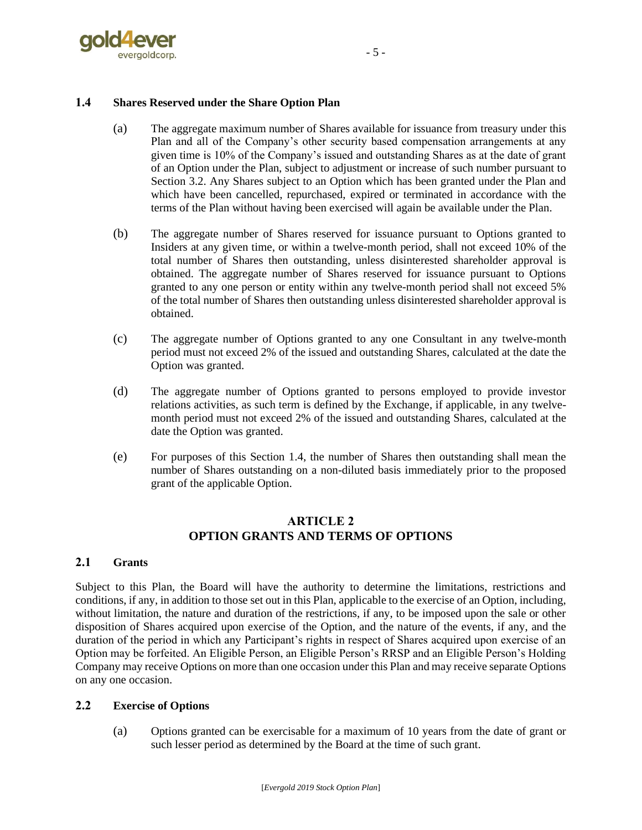

#### <span id="page-43-0"></span>**1.4 Shares Reserved under the Share Option Plan**

- (a) The aggregate maximum number of Shares available for issuance from treasury under this Plan and all of the Company's other security based compensation arrangements at any given time is 10% of the Company's issued and outstanding Shares as at the date of grant of an Option under the Plan, subject to adjustment or increase of such number pursuant to Section [3.2.](#page-48-0) Any Shares subject to an Option which has been granted under the Plan and which have been cancelled, repurchased, expired or terminated in accordance with the terms of the Plan without having been exercised will again be available under the Plan.
- (b) The aggregate number of Shares reserved for issuance pursuant to Options granted to Insiders at any given time, or within a twelve-month period, shall not exceed 10% of the total number of Shares then outstanding, unless disinterested shareholder approval is obtained. The aggregate number of Shares reserved for issuance pursuant to Options granted to any one person or entity within any twelve-month period shall not exceed 5% of the total number of Shares then outstanding unless disinterested shareholder approval is obtained.
- (c) The aggregate number of Options granted to any one Consultant in any twelve-month period must not exceed 2% of the issued and outstanding Shares, calculated at the date the Option was granted.
- (d) The aggregate number of Options granted to persons employed to provide investor relations activities, as such term is defined by the Exchange, if applicable, in any twelvemonth period must not exceed 2% of the issued and outstanding Shares, calculated at the date the Option was granted.
- (e) For purposes of this Section [1.4,](#page-43-0) the number of Shares then outstanding shall mean the number of Shares outstanding on a non-diluted basis immediately prior to the proposed grant of the applicable Option.

#### **ARTICLE 2 OPTION GRANTS AND TERMS OF OPTIONS**

#### **2.1 Grants**

Subject to this Plan, the Board will have the authority to determine the limitations, restrictions and conditions, if any, in addition to those set out in this Plan, applicable to the exercise of an Option, including, without limitation, the nature and duration of the restrictions, if any, to be imposed upon the sale or other disposition of Shares acquired upon exercise of the Option, and the nature of the events, if any, and the duration of the period in which any Participant's rights in respect of Shares acquired upon exercise of an Option may be forfeited. An Eligible Person, an Eligible Person's RRSP and an Eligible Person's Holding Company may receive Options on more than one occasion under this Plan and may receive separate Options on any one occasion.

#### <span id="page-43-1"></span>**2.2 Exercise of Options**

(a) Options granted can be exercisable for a maximum of 10 years from the date of grant or such lesser period as determined by the Board at the time of such grant.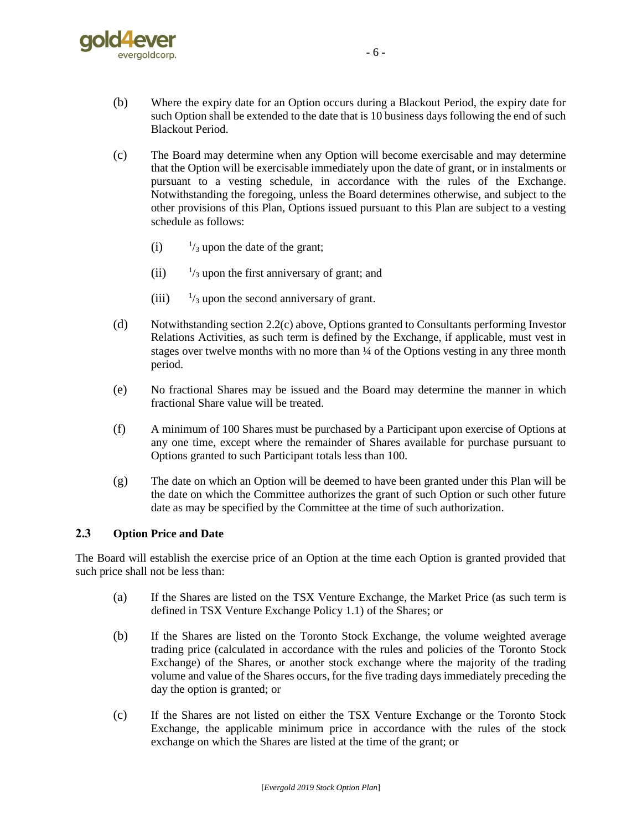

- (b) Where the expiry date for an Option occurs during a Blackout Period, the expiry date for such Option shall be extended to the date that is 10 business days following the end of such Blackout Period.
- <span id="page-44-0"></span>(c) The Board may determine when any Option will become exercisable and may determine that the Option will be exercisable immediately upon the date of grant, or in instalments or pursuant to a vesting schedule, in accordance with the rules of the Exchange. Notwithstanding the foregoing, unless the Board determines otherwise, and subject to the other provisions of this Plan, Options issued pursuant to this Plan are subject to a vesting schedule as follows:
	- $(i)$  $\frac{1}{3}$  upon the date of the grant;
	- $(ii)$  $\frac{1}{3}$  upon the first anniversary of grant; and
	- $(iii)$  $\frac{1}{3}$  upon the second anniversary of grant.
- (d) Notwithstanding sectio[n 2.2\(c\)](#page-44-0) above, Options granted to Consultants performing Investor Relations Activities, as such term is defined by the Exchange, if applicable, must vest in stages over twelve months with no more than  $\frac{1}{4}$  of the Options vesting in any three month period.
- (e) No fractional Shares may be issued and the Board may determine the manner in which fractional Share value will be treated.
- (f) A minimum of 100 Shares must be purchased by a Participant upon exercise of Options at any one time, except where the remainder of Shares available for purchase pursuant to Options granted to such Participant totals less than 100.
- (g) The date on which an Option will be deemed to have been granted under this Plan will be the date on which the Committee authorizes the grant of such Option or such other future date as may be specified by the Committee at the time of such authorization.

#### **2.3 Option Price and Date**

The Board will establish the exercise price of an Option at the time each Option is granted provided that such price shall not be less than:

- (a) If the Shares are listed on the TSX Venture Exchange, the Market Price (as such term is defined in TSX Venture Exchange Policy 1.1) of the Shares; or
- (b) If the Shares are listed on the Toronto Stock Exchange, the volume weighted average trading price (calculated in accordance with the rules and policies of the Toronto Stock Exchange) of the Shares, or another stock exchange where the majority of the trading volume and value of the Shares occurs, for the five trading days immediately preceding the day the option is granted; or
- (c) If the Shares are not listed on either the TSX Venture Exchange or the Toronto Stock Exchange, the applicable minimum price in accordance with the rules of the stock exchange on which the Shares are listed at the time of the grant; or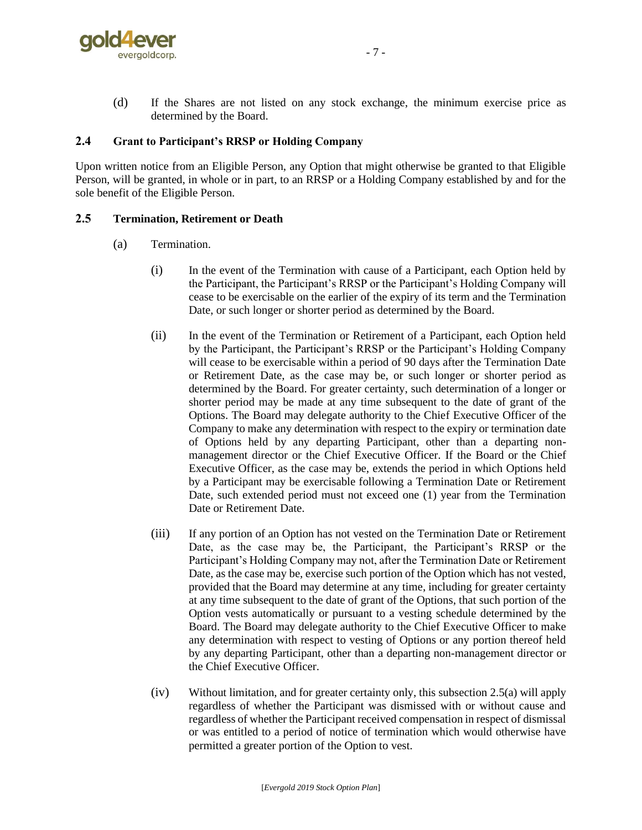

(d) If the Shares are not listed on any stock exchange, the minimum exercise price as determined by the Board.

#### **2.4 Grant to Participant's RRSP or Holding Company**

Upon written notice from an Eligible Person, any Option that might otherwise be granted to that Eligible Person, will be granted, in whole or in part, to an RRSP or a Holding Company established by and for the sole benefit of the Eligible Person.

#### <span id="page-45-0"></span>**2.5 Termination, Retirement or Death**

- (a) Termination.
	- (i) In the event of the Termination with cause of a Participant, each Option held by the Participant, the Participant's RRSP or the Participant's Holding Company will cease to be exercisable on the earlier of the expiry of its term and the Termination Date, or such longer or shorter period as determined by the Board.
	- (ii) In the event of the Termination or Retirement of a Participant, each Option held by the Participant, the Participant's RRSP or the Participant's Holding Company will cease to be exercisable within a period of 90 days after the Termination Date or Retirement Date, as the case may be, or such longer or shorter period as determined by the Board. For greater certainty, such determination of a longer or shorter period may be made at any time subsequent to the date of grant of the Options. The Board may delegate authority to the Chief Executive Officer of the Company to make any determination with respect to the expiry or termination date of Options held by any departing Participant, other than a departing nonmanagement director or the Chief Executive Officer. If the Board or the Chief Executive Officer, as the case may be, extends the period in which Options held by a Participant may be exercisable following a Termination Date or Retirement Date, such extended period must not exceed one (1) year from the Termination Date or Retirement Date.
	- (iii) If any portion of an Option has not vested on the Termination Date or Retirement Date, as the case may be, the Participant, the Participant's RRSP or the Participant's Holding Company may not, after the Termination Date or Retirement Date, as the case may be, exercise such portion of the Option which has not vested, provided that the Board may determine at any time, including for greater certainty at any time subsequent to the date of grant of the Options, that such portion of the Option vests automatically or pursuant to a vesting schedule determined by the Board. The Board may delegate authority to the Chief Executive Officer to make any determination with respect to vesting of Options or any portion thereof held by any departing Participant, other than a departing non-management director or the Chief Executive Officer.
	- (iv) Without limitation, and for greater certainty only, this subsection [2.5\(a\)](#page-45-0) will apply regardless of whether the Participant was dismissed with or without cause and regardless of whether the Participant received compensation in respect of dismissal or was entitled to a period of notice of termination which would otherwise have permitted a greater portion of the Option to vest.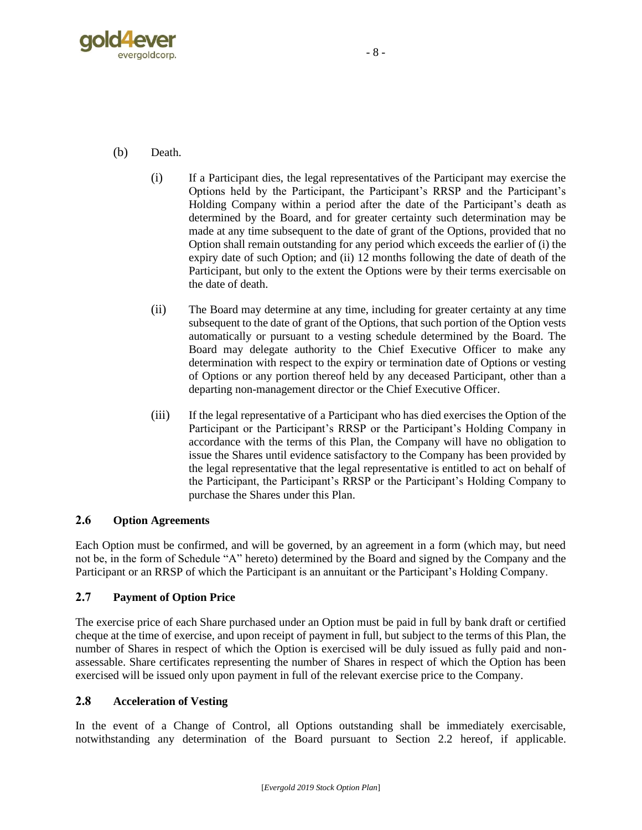

- (b) Death.
	- (i) If a Participant dies, the legal representatives of the Participant may exercise the Options held by the Participant, the Participant's RRSP and the Participant's Holding Company within a period after the date of the Participant's death as determined by the Board, and for greater certainty such determination may be made at any time subsequent to the date of grant of the Options, provided that no Option shall remain outstanding for any period which exceeds the earlier of (i) the expiry date of such Option; and (ii) 12 months following the date of death of the Participant, but only to the extent the Options were by their terms exercisable on the date of death.
	- (ii) The Board may determine at any time, including for greater certainty at any time subsequent to the date of grant of the Options, that such portion of the Option vests automatically or pursuant to a vesting schedule determined by the Board. The Board may delegate authority to the Chief Executive Officer to make any determination with respect to the expiry or termination date of Options or vesting of Options or any portion thereof held by any deceased Participant, other than a departing non-management director or the Chief Executive Officer.
	- (iii) If the legal representative of a Participant who has died exercises the Option of the Participant or the Participant's RRSP or the Participant's Holding Company in accordance with the terms of this Plan, the Company will have no obligation to issue the Shares until evidence satisfactory to the Company has been provided by the legal representative that the legal representative is entitled to act on behalf of the Participant, the Participant's RRSP or the Participant's Holding Company to purchase the Shares under this Plan.

#### **2.6 Option Agreements**

Each Option must be confirmed, and will be governed, by an agreement in a form (which may, but need not be, in the form of Schedule "A" hereto) determined by the Board and signed by the Company and the Participant or an RRSP of which the Participant is an annuitant or the Participant's Holding Company.

#### **2.7 Payment of Option Price**

The exercise price of each Share purchased under an Option must be paid in full by bank draft or certified cheque at the time of exercise, and upon receipt of payment in full, but subject to the terms of this Plan, the number of Shares in respect of which the Option is exercised will be duly issued as fully paid and nonassessable. Share certificates representing the number of Shares in respect of which the Option has been exercised will be issued only upon payment in full of the relevant exercise price to the Company.

#### <span id="page-46-0"></span>**2.8 Acceleration of Vesting**

In the event of a Change of Control, all Options outstanding shall be immediately exercisable, notwithstanding any determination of the Board pursuant to Section [2.2](#page-43-1) hereof, if applicable.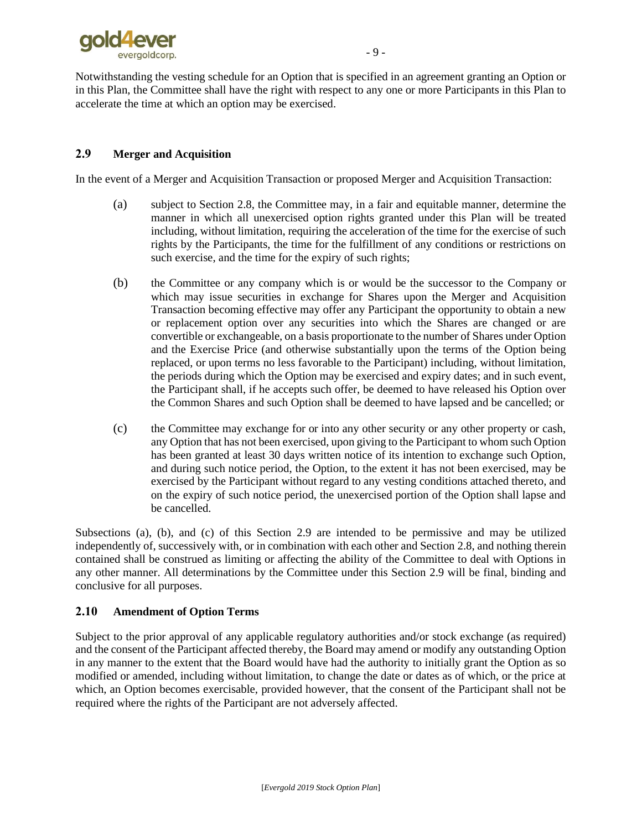

Notwithstanding the vesting schedule for an Option that is specified in an agreement granting an Option or in this Plan, the Committee shall have the right with respect to any one or more Participants in this Plan to accelerate the time at which an option may be exercised.

#### <span id="page-47-4"></span>**2.9 Merger and Acquisition**

<span id="page-47-0"></span>In the event of a Merger and Acquisition Transaction or proposed Merger and Acquisition Transaction:

- <span id="page-47-3"></span>(a) subject to Section [2.8,](#page-46-0) the Committee may, in a fair and equitable manner, determine the manner in which all unexercised option rights granted under this Plan will be treated including, without limitation, requiring the acceleration of the time for the exercise of such rights by the Participants, the time for the fulfillment of any conditions or restrictions on such exercise, and the time for the expiry of such rights;
- <span id="page-47-1"></span>(b) the Committee or any company which is or would be the successor to the Company or which may issue securities in exchange for Shares upon the Merger and Acquisition Transaction becoming effective may offer any Participant the opportunity to obtain a new or replacement option over any securities into which the Shares are changed or are convertible or exchangeable, on a basis proportionate to the number of Shares under Option and the Exercise Price (and otherwise substantially upon the terms of the Option being replaced, or upon terms no less favorable to the Participant) including, without limitation, the periods during which the Option may be exercised and expiry dates; and in such event, the Participant shall, if he accepts such offer, be deemed to have released his Option over the Common Shares and such Option shall be deemed to have lapsed and be cancelled; or
- <span id="page-47-2"></span>(c) the Committee may exchange for or into any other security or any other property or cash, any Option that has not been exercised, upon giving to the Participant to whom such Option has been granted at least 30 days written notice of its intention to exchange such Option, and during such notice period, the Option, to the extent it has not been exercised, may be exercised by the Participant without regard to any vesting conditions attached thereto, and on the expiry of such notice period, the unexercised portion of the Option shall lapse and be cancelled.

Subsections [\(a\),](#page-47-0) [\(b\),](#page-47-1) and [\(c\)](#page-47-2) of this Section [2.9](#page-47-3) are intended to be permissive and may be utilized independently of, successively with, or in combination with each other and Section [2.8,](#page-46-0) and nothing therein contained shall be construed as limiting or affecting the ability of the Committee to deal with Options in any other manner. All determinations by the Committee under this Section [2.9](#page-47-3) will be final, binding and conclusive for all purposes.

#### **2.10 Amendment of Option Terms**

Subject to the prior approval of any applicable regulatory authorities and/or stock exchange (as required) and the consent of the Participant affected thereby, the Board may amend or modify any outstanding Option in any manner to the extent that the Board would have had the authority to initially grant the Option as so modified or amended, including without limitation, to change the date or dates as of which, or the price at which, an Option becomes exercisable, provided however, that the consent of the Participant shall not be required where the rights of the Participant are not adversely affected.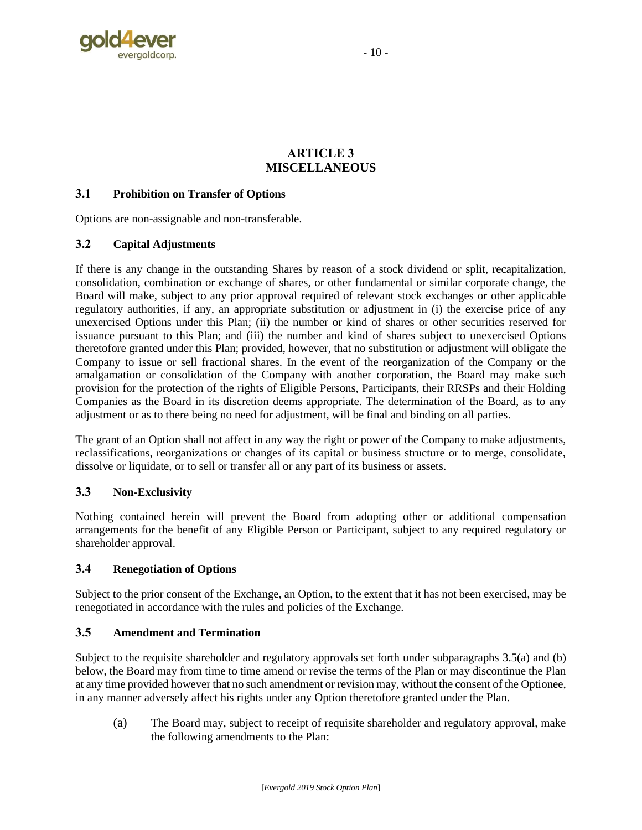

#### **ARTICLE 3 MISCELLANEOUS**

#### **3.1 Prohibition on Transfer of Options**

Options are non-assignable and non-transferable.

#### <span id="page-48-0"></span>**3.2 Capital Adjustments**

If there is any change in the outstanding Shares by reason of a stock dividend or split, recapitalization, consolidation, combination or exchange of shares, or other fundamental or similar corporate change, the Board will make, subject to any prior approval required of relevant stock exchanges or other applicable regulatory authorities, if any, an appropriate substitution or adjustment in (i) the exercise price of any unexercised Options under this Plan; (ii) the number or kind of shares or other securities reserved for issuance pursuant to this Plan; and (iii) the number and kind of shares subject to unexercised Options theretofore granted under this Plan; provided, however, that no substitution or adjustment will obligate the Company to issue or sell fractional shares. In the event of the reorganization of the Company or the amalgamation or consolidation of the Company with another corporation, the Board may make such provision for the protection of the rights of Eligible Persons, Participants, their RRSPs and their Holding Companies as the Board in its discretion deems appropriate. The determination of the Board, as to any adjustment or as to there being no need for adjustment, will be final and binding on all parties.

The grant of an Option shall not affect in any way the right or power of the Company to make adjustments, reclassifications, reorganizations or changes of its capital or business structure or to merge, consolidate, dissolve or liquidate, or to sell or transfer all or any part of its business or assets.

#### **3.3 Non-Exclusivity**

Nothing contained herein will prevent the Board from adopting other or additional compensation arrangements for the benefit of any Eligible Person or Participant, subject to any required regulatory or shareholder approval.

#### **3.4 Renegotiation of Options**

Subject to the prior consent of the Exchange, an Option, to the extent that it has not been exercised, may be renegotiated in accordance with the rules and policies of the Exchange.

#### **3.5 Amendment and Termination**

Subject to the requisite shareholder and regulatory approvals set forth under subparagraphs [3.5\(a\)](#page-48-1) and [\(b\)](#page-49-0) below, the Board may from time to time amend or revise the terms of the Plan or may discontinue the Plan at any time provided however that no such amendment or revision may, without the consent of the Optionee, in any manner adversely affect his rights under any Option theretofore granted under the Plan.

<span id="page-48-1"></span>(a) The Board may, subject to receipt of requisite shareholder and regulatory approval, make the following amendments to the Plan: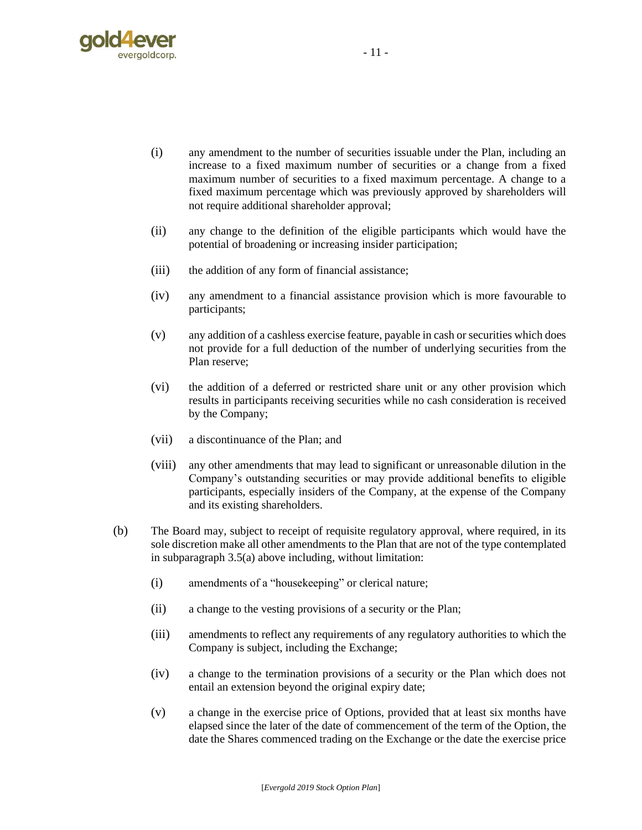

- (i) any amendment to the number of securities issuable under the Plan, including an increase to a fixed maximum number of securities or a change from a fixed maximum number of securities to a fixed maximum percentage. A change to a fixed maximum percentage which was previously approved by shareholders will not require additional shareholder approval;
- (ii) any change to the definition of the eligible participants which would have the potential of broadening or increasing insider participation;
- (iii) the addition of any form of financial assistance;
- (iv) any amendment to a financial assistance provision which is more favourable to participants;
- (v) any addition of a cashless exercise feature, payable in cash or securities which does not provide for a full deduction of the number of underlying securities from the Plan reserve;
- (vi) the addition of a deferred or restricted share unit or any other provision which results in participants receiving securities while no cash consideration is received by the Company;
- (vii) a discontinuance of the Plan; and
- (viii) any other amendments that may lead to significant or unreasonable dilution in the Company's outstanding securities or may provide additional benefits to eligible participants, especially insiders of the Company, at the expense of the Company and its existing shareholders.
- <span id="page-49-0"></span>(b) The Board may, subject to receipt of requisite regulatory approval, where required, in its sole discretion make all other amendments to the Plan that are not of the type contemplated in subparagraph [3.5\(a\)](#page-48-1) above including, without limitation:
	- (i) amendments of a "housekeeping" or clerical nature;
	- (ii) a change to the vesting provisions of a security or the Plan;
	- (iii) amendments to reflect any requirements of any regulatory authorities to which the Company is subject, including the Exchange;
	- (iv) a change to the termination provisions of a security or the Plan which does not entail an extension beyond the original expiry date;
	- (v) a change in the exercise price of Options, provided that at least six months have elapsed since the later of the date of commencement of the term of the Option, the date the Shares commenced trading on the Exchange or the date the exercise price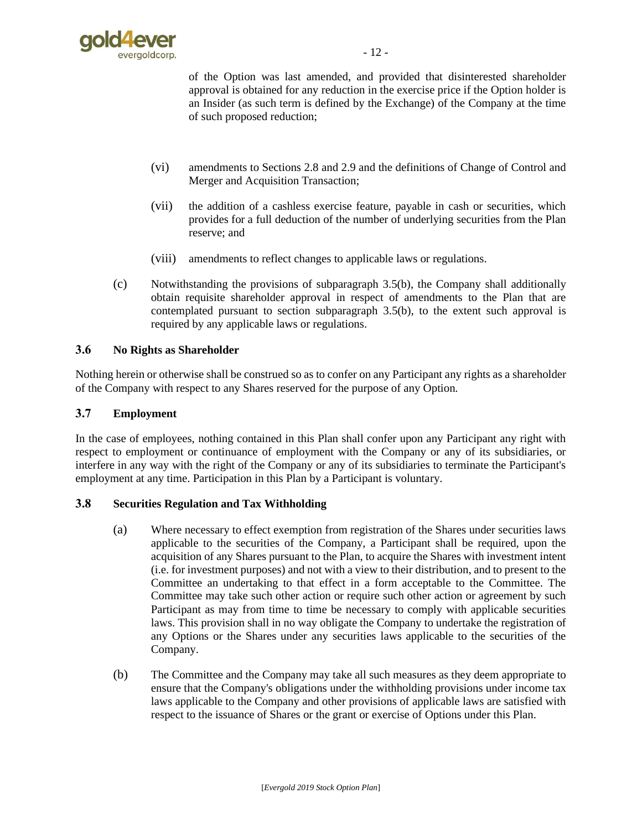

of the Option was last amended, and provided that disinterested shareholder approval is obtained for any reduction in the exercise price if the Option holder is an Insider (as such term is defined by the Exchange) of the Company at the time of such proposed reduction;

- (vi) amendments to Sections [2.8](#page-46-0) and [2.9](#page-47-4) and the definitions of Change of Control and Merger and Acquisition Transaction;
- (vii) the addition of a cashless exercise feature, payable in cash or securities, which provides for a full deduction of the number of underlying securities from the Plan reserve; and
- (viii) amendments to reflect changes to applicable laws or regulations.
- (c) Notwithstanding the provisions of subparagraph [3.5\(b\),](#page-49-0) the Company shall additionally obtain requisite shareholder approval in respect of amendments to the Plan that are contemplated pursuant to section subparagraph [3.5\(b\),](#page-49-0) to the extent such approval is required by any applicable laws or regulations.

#### **3.6 No Rights as Shareholder**

Nothing herein or otherwise shall be construed so as to confer on any Participant any rights as a shareholder of the Company with respect to any Shares reserved for the purpose of any Option.

#### **3.7 Employment**

In the case of employees, nothing contained in this Plan shall confer upon any Participant any right with respect to employment or continuance of employment with the Company or any of its subsidiaries, or interfere in any way with the right of the Company or any of its subsidiaries to terminate the Participant's employment at any time. Participation in this Plan by a Participant is voluntary.

#### **3.8 Securities Regulation and Tax Withholding**

- (a) Where necessary to effect exemption from registration of the Shares under securities laws applicable to the securities of the Company, a Participant shall be required, upon the acquisition of any Shares pursuant to the Plan, to acquire the Shares with investment intent (i.e. for investment purposes) and not with a view to their distribution, and to present to the Committee an undertaking to that effect in a form acceptable to the Committee. The Committee may take such other action or require such other action or agreement by such Participant as may from time to time be necessary to comply with applicable securities laws. This provision shall in no way obligate the Company to undertake the registration of any Options or the Shares under any securities laws applicable to the securities of the Company.
- (b) The Committee and the Company may take all such measures as they deem appropriate to ensure that the Company's obligations under the withholding provisions under income tax laws applicable to the Company and other provisions of applicable laws are satisfied with respect to the issuance of Shares or the grant or exercise of Options under this Plan.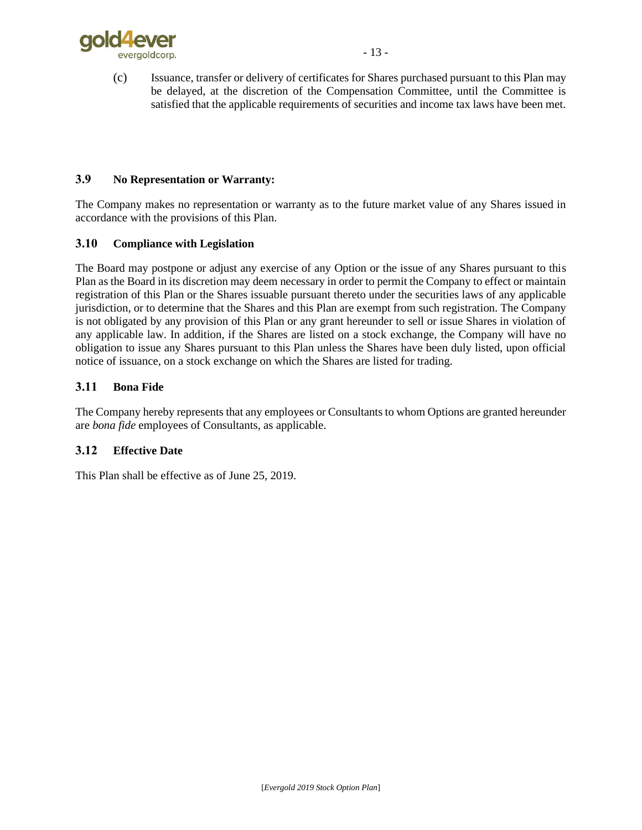

(c) Issuance, transfer or delivery of certificates for Shares purchased pursuant to this Plan may be delayed, at the discretion of the Compensation Committee, until the Committee is satisfied that the applicable requirements of securities and income tax laws have been met.

#### **3.9 No Representation or Warranty:**

The Company makes no representation or warranty as to the future market value of any Shares issued in accordance with the provisions of this Plan.

#### **3.10 Compliance with Legislation**

The Board may postpone or adjust any exercise of any Option or the issue of any Shares pursuant to this Plan as the Board in its discretion may deem necessary in order to permit the Company to effect or maintain registration of this Plan or the Shares issuable pursuant thereto under the securities laws of any applicable jurisdiction, or to determine that the Shares and this Plan are exempt from such registration. The Company is not obligated by any provision of this Plan or any grant hereunder to sell or issue Shares in violation of any applicable law. In addition, if the Shares are listed on a stock exchange, the Company will have no obligation to issue any Shares pursuant to this Plan unless the Shares have been duly listed, upon official notice of issuance, on a stock exchange on which the Shares are listed for trading.

#### **3.11 Bona Fide**

The Company hereby represents that any employees or Consultants to whom Options are granted hereunder are *bona fide* employees of Consultants, as applicable.

#### **3.12 Effective Date**

This Plan shall be effective as of June 25, 2019.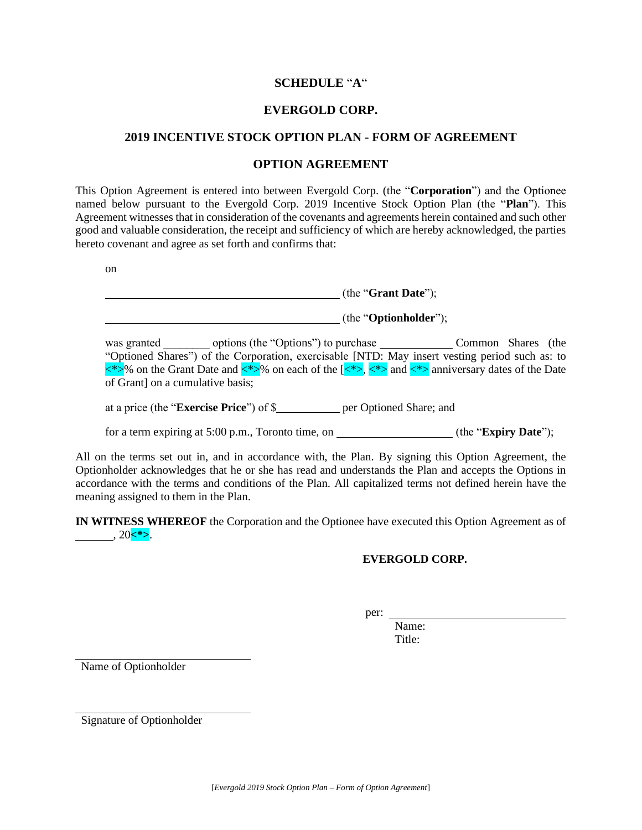#### **SCHEDULE** "**A**"

#### **EVERGOLD CORP.**

#### **2019 INCENTIVE STOCK OPTION PLAN - FORM OF AGREEMENT**

#### **OPTION AGREEMENT**

This Option Agreement is entered into between Evergold Corp. (the "**Corporation**") and the Optionee named below pursuant to the Evergold Corp. 2019 Incentive Stock Option Plan (the "**Plan**"). This Agreement witnesses that in consideration of the covenants and agreements herein contained and such other good and valuable consideration, the receipt and sufficiency of which are hereby acknowledged, the parties hereto covenant and agree as set forth and confirms that:

on

| (the "Grant Date");            |
|--------------------------------|
| (the " <b>Optionholder</b> "); |

was granted options (the "Options") to purchase Common Shares (the "Optioned Shares") of the Corporation, exercisable [NTD: May insert vesting period such as: to  $\langle\hat{\psi}\rangle$  on the Grant Date and  $\langle\hat{\psi}\rangle$  on each of the  $\langle\langle\hat{\psi}\rangle,\langle\hat{\psi}\rangle$  and  $\langle\hat{\psi}\rangle$  anniversary dates of the Date of Grant] on a cumulative basis;

at a price (the "**Exercise Price**") of \$ per Optioned Share; and

for a term expiring at 5:00 p.m., Toronto time, on \_\_\_\_\_\_\_\_\_\_\_\_\_\_\_\_(the "**Expiry Date**");

All on the terms set out in, and in accordance with, the Plan. By signing this Option Agreement, the Optionholder acknowledges that he or she has read and understands the Plan and accepts the Options in accordance with the terms and conditions of the Plan. All capitalized terms not defined herein have the meaning assigned to them in the Plan.

**IN WITNESS WHEREOF** the Corporation and the Optionee have executed this Option Agreement as of  $, 20 < \infty$ .

#### **EVERGOLD CORP.**

per:

Name: Title:

Name of Optionholder

Signature of Optionholder